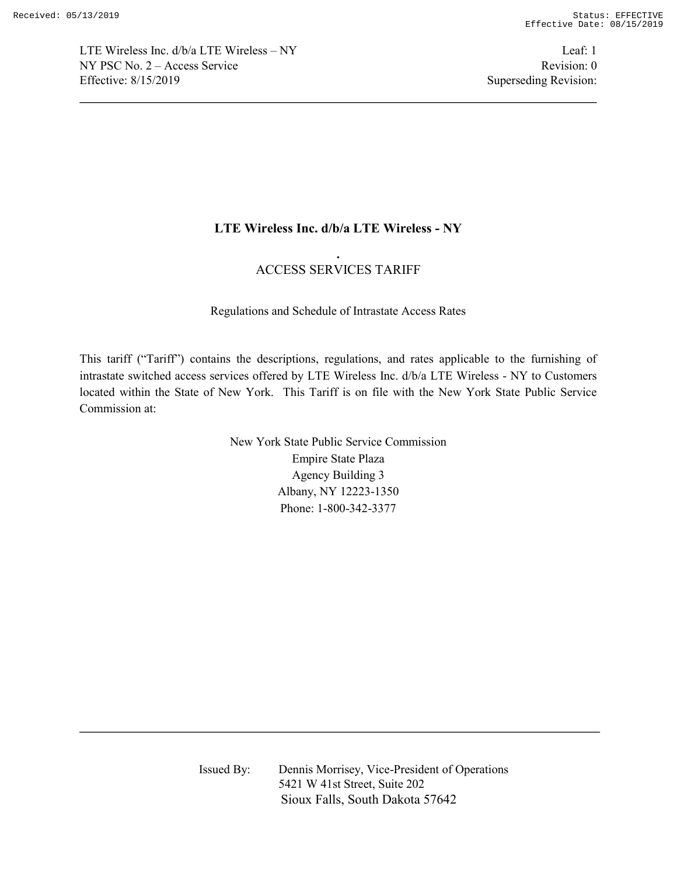LTE Wireless Inc.  $d/b/a$  LTE Wireless – NY Leaf: 1 NY PSC No. 2 – Access Service Revision: 0 Effective: 8/15/2019 Superseding Revision:

# **LTE Wireless Inc. d/b/a LTE Wireless - NY**

# **.** ACCESS SERVICES TARIFF

Regulations and Schedule of Intrastate Access Rates

This tariff ("Tariff") contains the descriptions, regulations, and rates applicable to the furnishing of intrastate switched access services offered by LTE Wireless Inc. d/b/a LTE Wireless - NY to Customers located within the State of New York. This Tariff is on file with the New York State Public Service Commission at:

> New York State Public Service Commission Empire State Plaza Agency Building 3 Albany, NY 12223-1350 Phone: 1-800-342-3377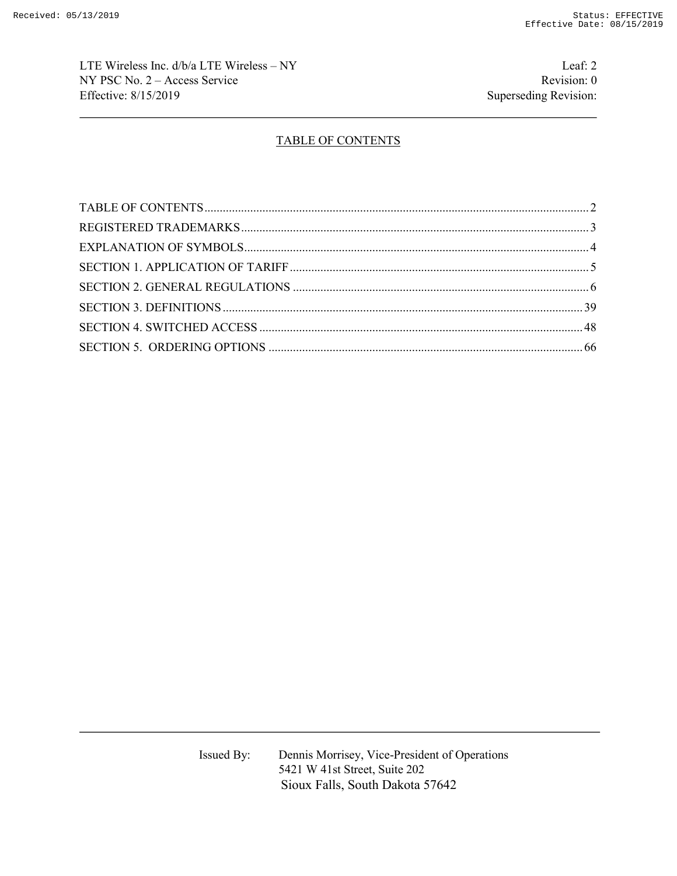LTE Wireless Inc. d/b/a LTE Wireless – NY Leaf: 2 NY PSC No. 2 – Access Service Revision: 0 Effective: 8/15/2019 Superseding Revision:

# TABLE OF CONTENTS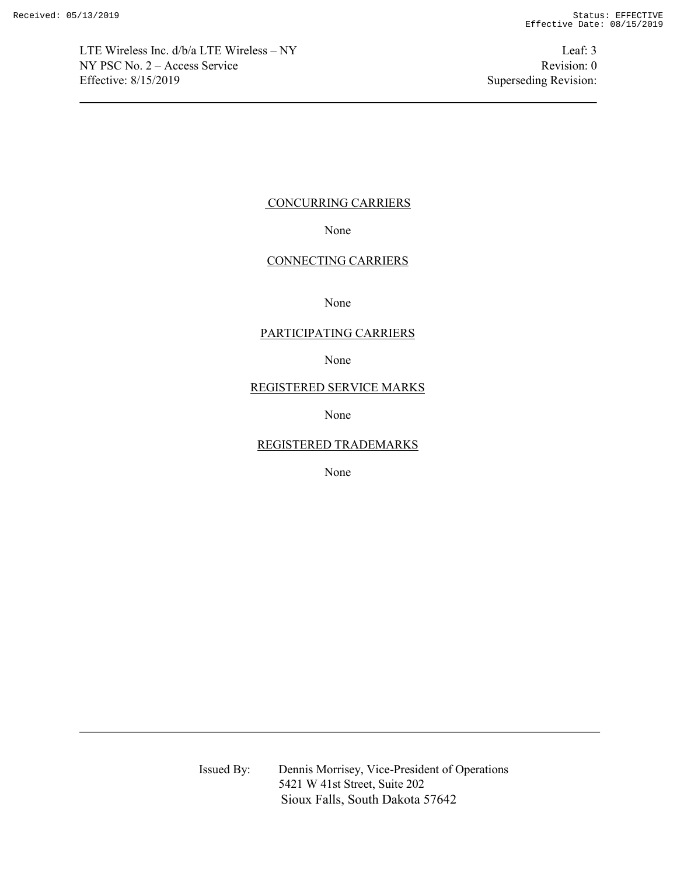LTE Wireless Inc. d/b/a LTE Wireless – NY Leaf: 3 NY PSC No. 2 – Access Service Revision: 0 Effective: 8/15/2019 Superseding Revision:

## CONCURRING CARRIERS

None

## CONNECTING CARRIERS

None

## PARTICIPATING CARRIERS

None

## REGISTERED SERVICE MARKS

None

### REGISTERED TRADEMARKS

None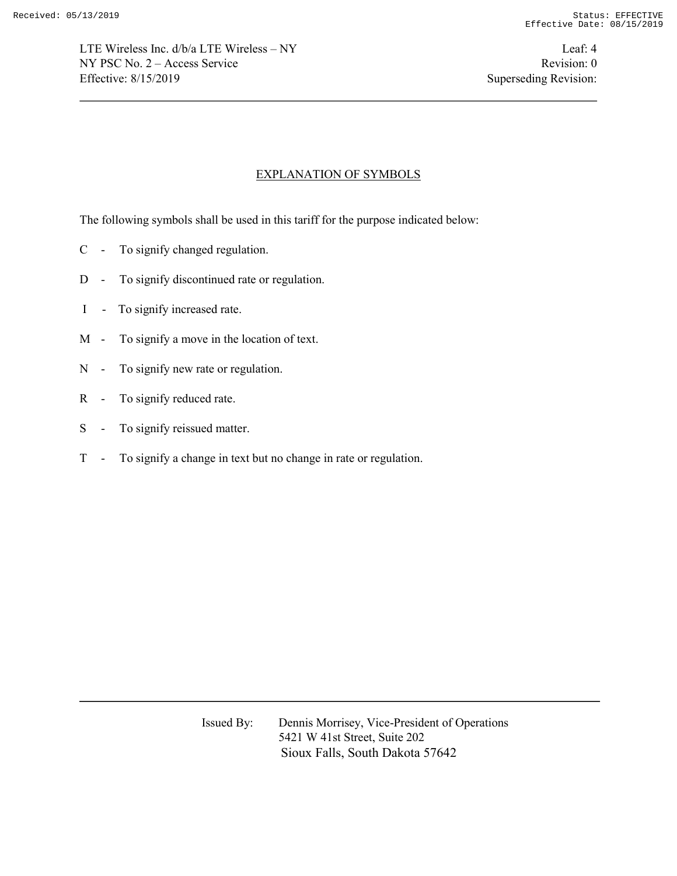LTE Wireless Inc. d/b/a LTE Wireless – NY Leaf: 4 NY PSC No. 2 – Access Service Revision: 0 Effective: 8/15/2019 Superseding Revision:

## EXPLANATION OF SYMBOLS

The following symbols shall be used in this tariff for the purpose indicated below:

- C To signify changed regulation.
- D To signify discontinued rate or regulation.
- I To signify increased rate.
- M To signify a move in the location of text.
- N To signify new rate or regulation.
- R To signify reduced rate.
- S To signify reissued matter.
- T To signify a change in text but no change in rate or regulation.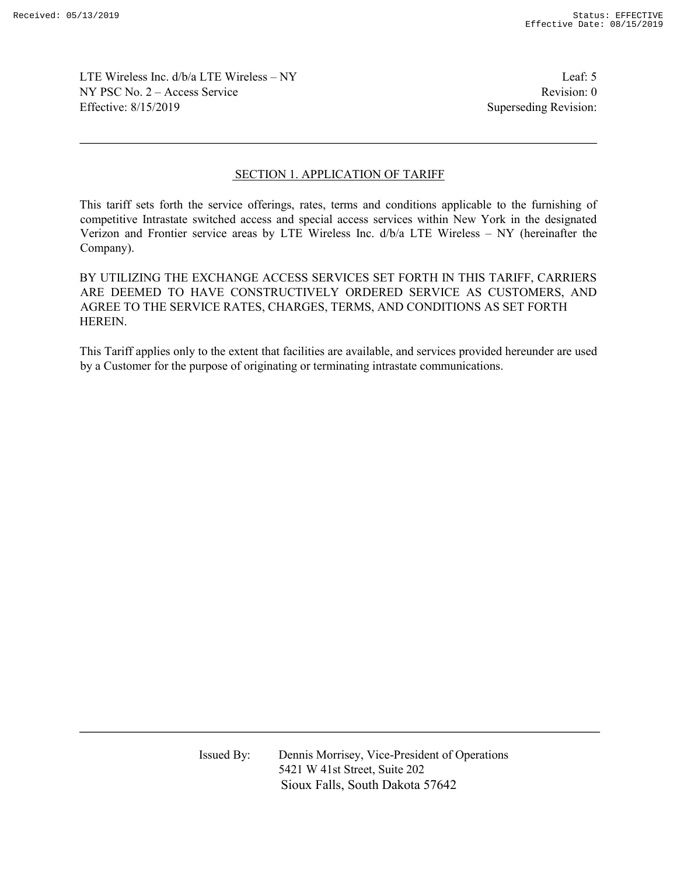LTE Wireless Inc. d/b/a LTE Wireless – NY Leaf: 5 NY PSC No. 2 – Access Service Revision: 0 Effective: 8/15/2019 Superseding Revision:

## SECTION 1. APPLICATION OF TARIFF

This tariff sets forth the service offerings, rates, terms and conditions applicable to the furnishing of competitive Intrastate switched access and special access services within New York in the designated Verizon and Frontier service areas by LTE Wireless Inc. d/b/a LTE Wireless – NY (hereinafter the Company).

BY UTILIZING THE EXCHANGE ACCESS SERVICES SET FORTH IN THIS TARIFF, CARRIERS ARE DEEMED TO HAVE CONSTRUCTIVELY ORDERED SERVICE AS CUSTOMERS, AND AGREE TO THE SERVICE RATES, CHARGES, TERMS, AND CONDITIONS AS SET FORTH HEREIN.

This Tariff applies only to the extent that facilities are available, and services provided hereunder are used by a Customer for the purpose of originating or terminating intrastate communications.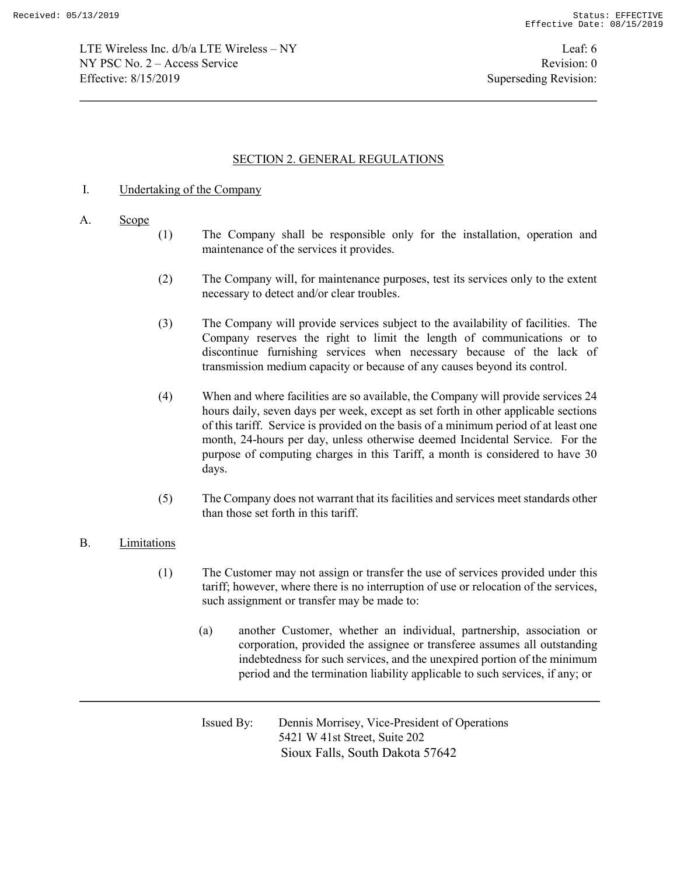LTE Wireless Inc. d/b/a LTE Wireless – NY Leaf: 6 NY PSC No. 2 – Access Service Revision: 0 Effective: 8/15/2019 Superseding Revision:

## SECTION 2. GENERAL REGULATIONS

### I. Undertaking of the Company

#### A. Scope

- (1) The Company shall be responsible only for the installation, operation and maintenance of the services it provides.
- (2) The Company will, for maintenance purposes, test its services only to the extent necessary to detect and/or clear troubles.
- (3) The Company will provide services subject to the availability of facilities. The Company reserves the right to limit the length of communications or to discontinue furnishing services when necessary because of the lack of transmission medium capacity or because of any causes beyond its control.
- (4) When and where facilities are so available, the Company will provide services 24 hours daily, seven days per week, except as set forth in other applicable sections of this tariff. Service is provided on the basis of a minimum period of at least one month, 24-hours per day, unless otherwise deemed Incidental Service. For the purpose of computing charges in this Tariff, a month is considered to have 30 days.
- (5) The Company does not warrant that its facilities and services meet standards other than those set forth in this tariff.

#### B. Limitations

- (1) The Customer may not assign or transfer the use of services provided under this tariff; however, where there is no interruption of use or relocation of the services, such assignment or transfer may be made to:
	- (a) another Customer, whether an individual, partnership, association or corporation, provided the assignee or transferee assumes all outstanding indebtedness for such services, and the unexpired portion of the minimum period and the termination liability applicable to such services, if any; or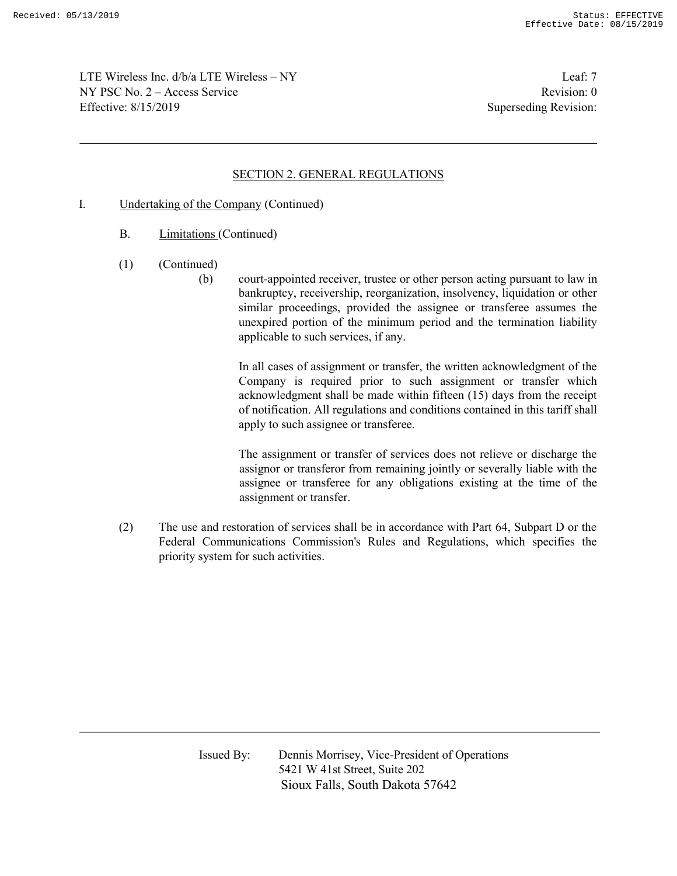LTE Wireless Inc. d/b/a LTE Wireless – NY Leaf: 7 NY PSC No. 2 – Access Service Revision: 0 Effective: 8/15/2019 Superseding Revision:

## SECTION 2. GENERAL REGULATIONS

- I. Undertaking of the Company (Continued)
	- B. Limitations (Continued)
	- (1) (Continued)
		- (b) court-appointed receiver, trustee or other person acting pursuant to law in bankruptcy, receivership, reorganization, insolvency, liquidation or other similar proceedings, provided the assignee or transferee assumes the unexpired portion of the minimum period and the termination liability applicable to such services, if any.

 In all cases of assignment or transfer, the written acknowledgment of the Company is required prior to such assignment or transfer which acknowledgment shall be made within fifteen (15) days from the receipt of notification. All regulations and conditions contained in this tariff shall apply to such assignee or transferee.

The assignment or transfer of services does not relieve or discharge the assignor or transferor from remaining jointly or severally liable with the assignee or transferee for any obligations existing at the time of the assignment or transfer.

(2) The use and restoration of services shall be in accordance with Part 64, Subpart D or the Federal Communications Commission's Rules and Regulations, which specifies the priority system for such activities.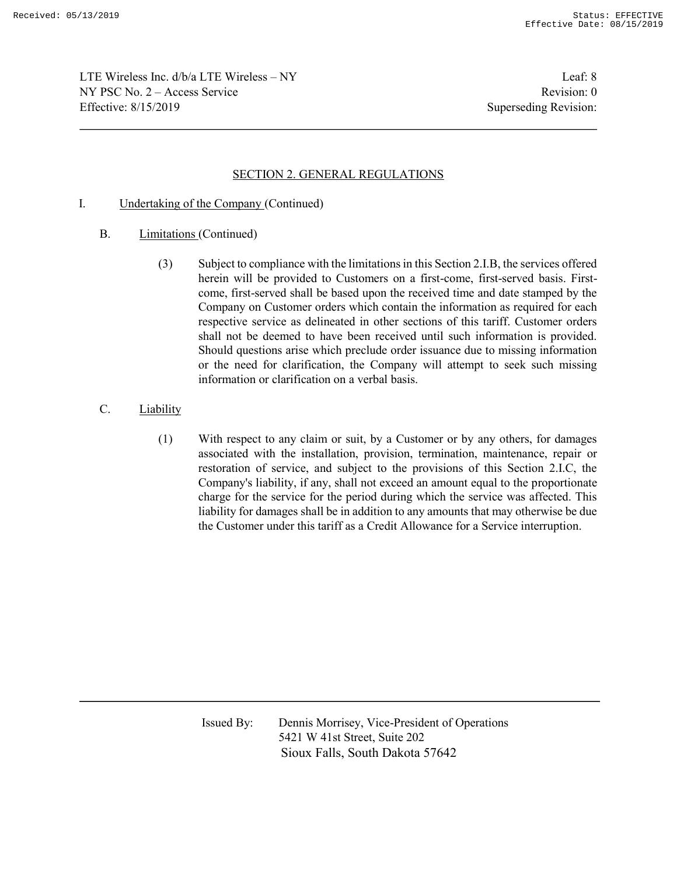LTE Wireless Inc. d/b/a LTE Wireless – NY Leaf: 8 NY PSC No. 2 – Access Service Revision: 0 Effective: 8/15/2019 Superseding Revision:

## SECTION 2. GENERAL REGULATIONS

- I. Undertaking of the Company (Continued)
	- B. Limitations (Continued)
		- (3) Subject to compliance with the limitations in this Section 2.I.B, the services offered herein will be provided to Customers on a first-come, first-served basis. Firstcome, first-served shall be based upon the received time and date stamped by the Company on Customer orders which contain the information as required for each respective service as delineated in other sections of this tariff. Customer orders shall not be deemed to have been received until such information is provided. Should questions arise which preclude order issuance due to missing information or the need for clarification, the Company will attempt to seek such missing information or clarification on a verbal basis.
	- C. Liability
		- (1) With respect to any claim or suit, by a Customer or by any others, for damages associated with the installation, provision, termination, maintenance, repair or restoration of service, and subject to the provisions of this Section 2.I.C, the Company's liability, if any, shall not exceed an amount equal to the proportionate charge for the service for the period during which the service was affected. This liability for damages shall be in addition to any amounts that may otherwise be due the Customer under this tariff as a Credit Allowance for a Service interruption.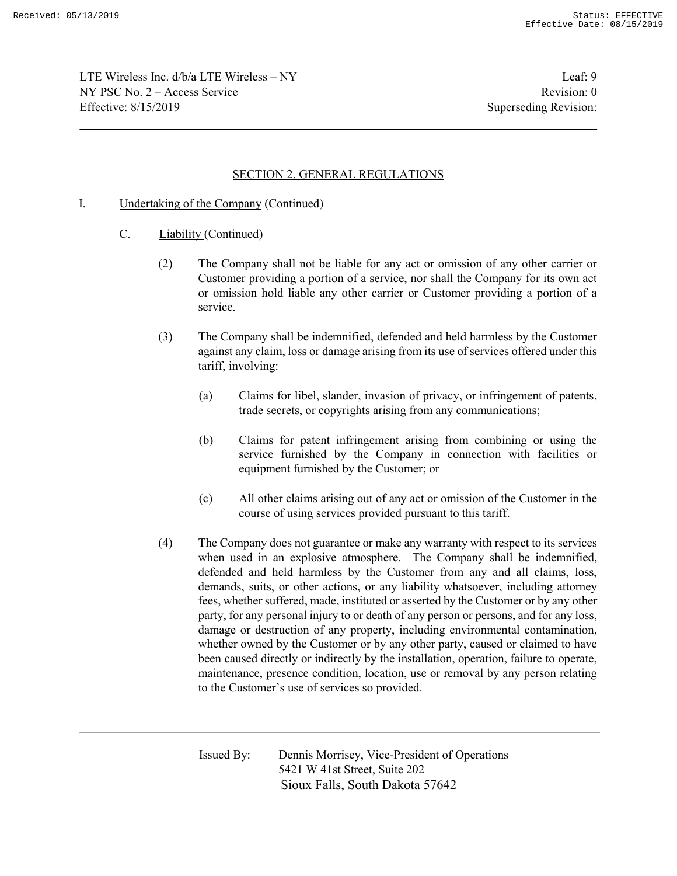LTE Wireless Inc. d/b/a LTE Wireless – NY Leaf: 9 NY PSC No. 2 – Access Service Revision: 0 Effective: 8/15/2019 Superseding Revision:

## SECTION 2. GENERAL REGULATIONS

- I. Undertaking of the Company (Continued)
	- C. Liability (Continued)
		- (2) The Company shall not be liable for any act or omission of any other carrier or Customer providing a portion of a service, nor shall the Company for its own act or omission hold liable any other carrier or Customer providing a portion of a service.
		- (3) The Company shall be indemnified, defended and held harmless by the Customer against any claim, loss or damage arising from its use of services offered under this tariff, involving:
			- (a) Claims for libel, slander, invasion of privacy, or infringement of patents, trade secrets, or copyrights arising from any communications;
			- (b) Claims for patent infringement arising from combining or using the service furnished by the Company in connection with facilities or equipment furnished by the Customer; or
			- (c) All other claims arising out of any act or omission of the Customer in the course of using services provided pursuant to this tariff.
		- (4) The Company does not guarantee or make any warranty with respect to its services when used in an explosive atmosphere. The Company shall be indemnified, defended and held harmless by the Customer from any and all claims, loss, demands, suits, or other actions, or any liability whatsoever, including attorney fees, whether suffered, made, instituted or asserted by the Customer or by any other party, for any personal injury to or death of any person or persons, and for any loss, damage or destruction of any property, including environmental contamination, whether owned by the Customer or by any other party, caused or claimed to have been caused directly or indirectly by the installation, operation, failure to operate, maintenance, presence condition, location, use or removal by any person relating to the Customer's use of services so provided.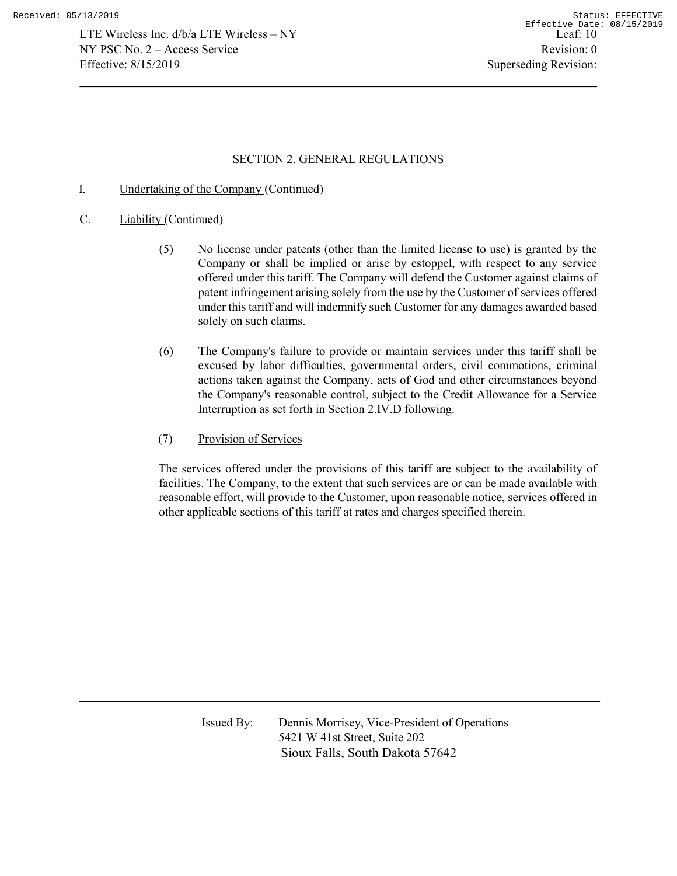## SECTION 2. GENERAL REGULATIONS

- I. Undertaking of the Company (Continued)
- C. Liability (Continued)
	- (5) No license under patents (other than the limited license to use) is granted by the Company or shall be implied or arise by estoppel, with respect to any service offered under this tariff. The Company will defend the Customer against claims of patent infringement arising solely from the use by the Customer of services offered under this tariff and will indemnify such Customer for any damages awarded based solely on such claims.
	- (6) The Company's failure to provide or maintain services under this tariff shall be excused by labor difficulties, governmental orders, civil commotions, criminal actions taken against the Company, acts of God and other circumstances beyond the Company's reasonable control, subject to the Credit Allowance for a Service Interruption as set forth in Section 2.IV.D following.
	- (7) Provision of Services

The services offered under the provisions of this tariff are subject to the availability of facilities. The Company, to the extent that such services are or can be made available with reasonable effort, will provide to the Customer, upon reasonable notice, services offered in other applicable sections of this tariff at rates and charges specified therein.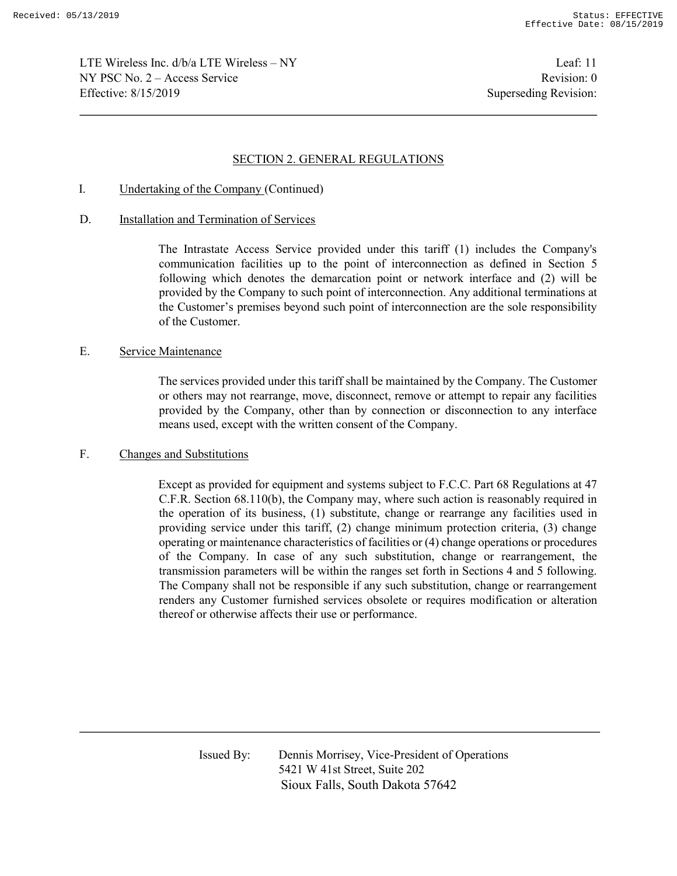LTE Wireless Inc. d/b/a LTE Wireless – NY Leaf: 11  $NY PSC No. 2 - Access Service$  Revision: 0 Effective: 8/15/2019 Superseding Revision:

#### SECTION 2. GENERAL REGULATIONS

I. Undertaking of the Company (Continued)

#### D. Installation and Termination of Services

The Intrastate Access Service provided under this tariff (1) includes the Company's communication facilities up to the point of interconnection as defined in Section 5 following which denotes the demarcation point or network interface and (2) will be provided by the Company to such point of interconnection. Any additional terminations at the Customer's premises beyond such point of interconnection are the sole responsibility of the Customer.

#### E. Service Maintenance

The services provided under this tariff shall be maintained by the Company. The Customer or others may not rearrange, move, disconnect, remove or attempt to repair any facilities provided by the Company, other than by connection or disconnection to any interface means used, except with the written consent of the Company.

### F. Changes and Substitutions

Except as provided for equipment and systems subject to F.C.C. Part 68 Regulations at 47 C.F.R. Section 68.110(b), the Company may, where such action is reasonably required in the operation of its business, (1) substitute, change or rearrange any facilities used in providing service under this tariff, (2) change minimum protection criteria, (3) change operating or maintenance characteristics of facilities or (4) change operations or procedures of the Company. In case of any such substitution, change or rearrangement, the transmission parameters will be within the ranges set forth in Sections 4 and 5 following. The Company shall not be responsible if any such substitution, change or rearrangement renders any Customer furnished services obsolete or requires modification or alteration thereof or otherwise affects their use or performance.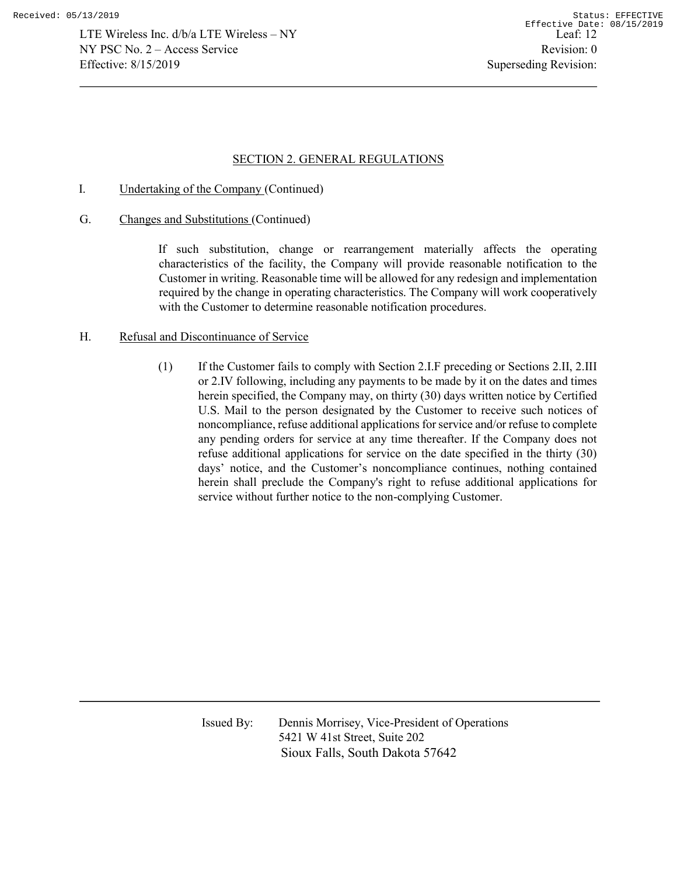## SECTION 2. GENERAL REGULATIONS

- I. Undertaking of the Company (Continued)
- G. Changes and Substitutions (Continued)

If such substitution, change or rearrangement materially affects the operating characteristics of the facility, the Company will provide reasonable notification to the Customer in writing. Reasonable time will be allowed for any redesign and implementation required by the change in operating characteristics. The Company will work cooperatively with the Customer to determine reasonable notification procedures.

#### H. Refusal and Discontinuance of Service

(1) If the Customer fails to comply with Section 2.I.F preceding or Sections 2.II, 2.III or 2.IV following, including any payments to be made by it on the dates and times herein specified, the Company may, on thirty (30) days written notice by Certified U.S. Mail to the person designated by the Customer to receive such notices of noncompliance, refuse additional applications for service and/or refuse to complete any pending orders for service at any time thereafter. If the Company does not refuse additional applications for service on the date specified in the thirty (30) days' notice, and the Customer's noncompliance continues, nothing contained herein shall preclude the Company's right to refuse additional applications for service without further notice to the non-complying Customer.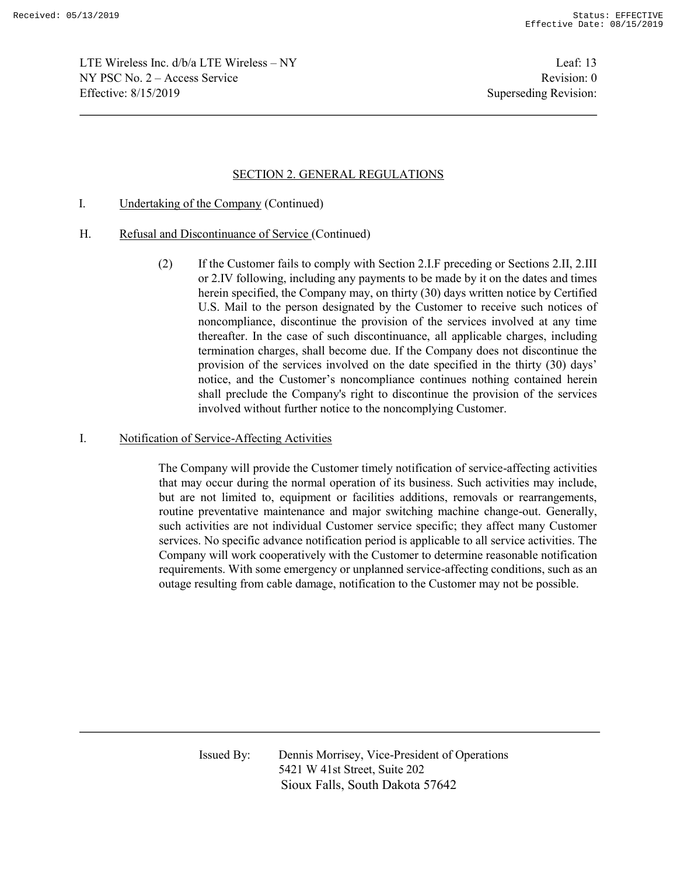LTE Wireless Inc. d/b/a LTE Wireless – NY Leaf: 13  $NY PSC No. 2 - Access Service$  Revision: 0 Effective: 8/15/2019 Superseding Revision:

## SECTION 2. GENERAL REGULATIONS

- I. Undertaking of the Company (Continued)
- H. Refusal and Discontinuance of Service (Continued)
	- (2) If the Customer fails to comply with Section 2.I.F preceding or Sections 2.II, 2.III or 2.IV following, including any payments to be made by it on the dates and times herein specified, the Company may, on thirty (30) days written notice by Certified U.S. Mail to the person designated by the Customer to receive such notices of noncompliance, discontinue the provision of the services involved at any time thereafter. In the case of such discontinuance, all applicable charges, including termination charges, shall become due. If the Company does not discontinue the provision of the services involved on the date specified in the thirty (30) days' notice, and the Customer's noncompliance continues nothing contained herein shall preclude the Company's right to discontinue the provision of the services involved without further notice to the noncomplying Customer.

#### I. Notification of Service-Affecting Activities

The Company will provide the Customer timely notification of service-affecting activities that may occur during the normal operation of its business. Such activities may include, but are not limited to, equipment or facilities additions, removals or rearrangements, routine preventative maintenance and major switching machine change-out. Generally, such activities are not individual Customer service specific; they affect many Customer services. No specific advance notification period is applicable to all service activities. The Company will work cooperatively with the Customer to determine reasonable notification requirements. With some emergency or unplanned service-affecting conditions, such as an outage resulting from cable damage, notification to the Customer may not be possible.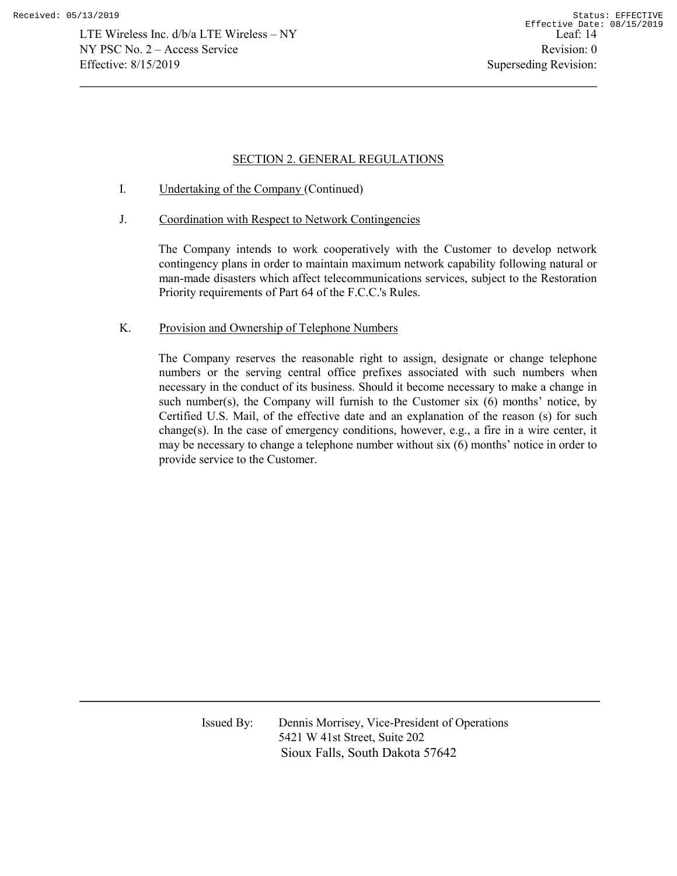## SECTION 2. GENERAL REGULATIONS

- I. Undertaking of the Company (Continued)
- J. Coordination with Respect to Network Contingencies

The Company intends to work cooperatively with the Customer to develop network contingency plans in order to maintain maximum network capability following natural or man-made disasters which affect telecommunications services, subject to the Restoration Priority requirements of Part 64 of the F.C.C.'s Rules.

## K. Provision and Ownership of Telephone Numbers

The Company reserves the reasonable right to assign, designate or change telephone numbers or the serving central office prefixes associated with such numbers when necessary in the conduct of its business. Should it become necessary to make a change in such number(s), the Company will furnish to the Customer six  $(6)$  months' notice, by Certified U.S. Mail, of the effective date and an explanation of the reason (s) for such change(s). In the case of emergency conditions, however, e.g., a fire in a wire center, it may be necessary to change a telephone number without six (6) months' notice in order to provide service to the Customer.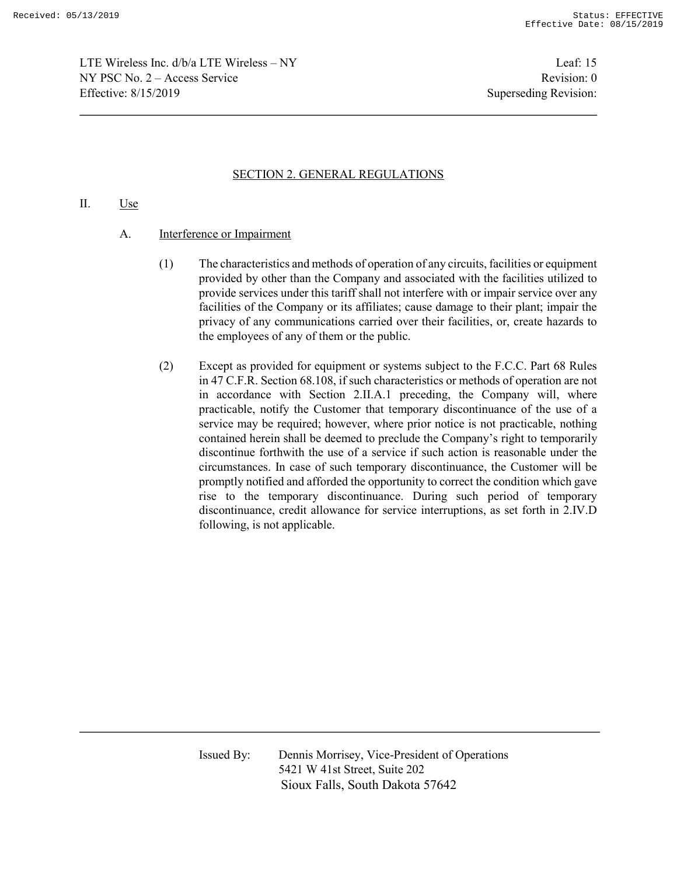LTE Wireless Inc. d/b/a LTE Wireless – NY Leaf: 15  $NY PSC No. 2 - Access Service$  Revision: 0 Effective: 8/15/2019 Superseding Revision:

# SECTION 2. GENERAL REGULATIONS

### II. Use

- A. Interference or Impairment
	- (1) The characteristics and methods of operation of any circuits, facilities or equipment provided by other than the Company and associated with the facilities utilized to provide services under this tariff shall not interfere with or impair service over any facilities of the Company or its affiliates; cause damage to their plant; impair the privacy of any communications carried over their facilities, or, create hazards to the employees of any of them or the public.
	- (2) Except as provided for equipment or systems subject to the F.C.C. Part 68 Rules in 47 C.F.R. Section 68.108, if such characteristics or methods of operation are not in accordance with Section 2.II.A.1 preceding, the Company will, where practicable, notify the Customer that temporary discontinuance of the use of a service may be required; however, where prior notice is not practicable, nothing contained herein shall be deemed to preclude the Company's right to temporarily discontinue forthwith the use of a service if such action is reasonable under the circumstances. In case of such temporary discontinuance, the Customer will be promptly notified and afforded the opportunity to correct the condition which gave rise to the temporary discontinuance. During such period of temporary discontinuance, credit allowance for service interruptions, as set forth in 2.IV.D following, is not applicable.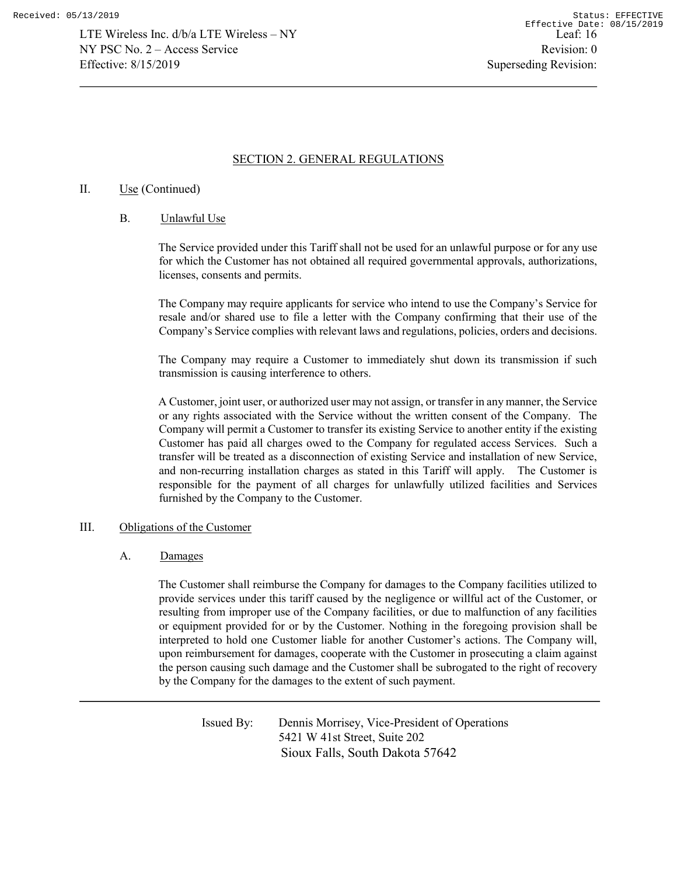## SECTION 2. GENERAL REGULATIONS

## II. Use (Continued)

### B. Unlawful Use

The Service provided under this Tariff shall not be used for an unlawful purpose or for any use for which the Customer has not obtained all required governmental approvals, authorizations, licenses, consents and permits.

The Company may require applicants for service who intend to use the Company's Service for resale and/or shared use to file a letter with the Company confirming that their use of the Company's Service complies with relevant laws and regulations, policies, orders and decisions.

The Company may require a Customer to immediately shut down its transmission if such transmission is causing interference to others.

A Customer, joint user, or authorized user may not assign, or transfer in any manner, the Service or any rights associated with the Service without the written consent of the Company. The Company will permit a Customer to transfer its existing Service to another entity if the existing Customer has paid all charges owed to the Company for regulated access Services. Such a transfer will be treated as a disconnection of existing Service and installation of new Service, and non-recurring installation charges as stated in this Tariff will apply. The Customer is responsible for the payment of all charges for unlawfully utilized facilities and Services furnished by the Company to the Customer.

#### III. Obligations of the Customer

#### A. Damages

The Customer shall reimburse the Company for damages to the Company facilities utilized to provide services under this tariff caused by the negligence or willful act of the Customer, or resulting from improper use of the Company facilities, or due to malfunction of any facilities or equipment provided for or by the Customer. Nothing in the foregoing provision shall be interpreted to hold one Customer liable for another Customer's actions. The Company will, upon reimbursement for damages, cooperate with the Customer in prosecuting a claim against the person causing such damage and the Customer shall be subrogated to the right of recovery by the Company for the damages to the extent of such payment.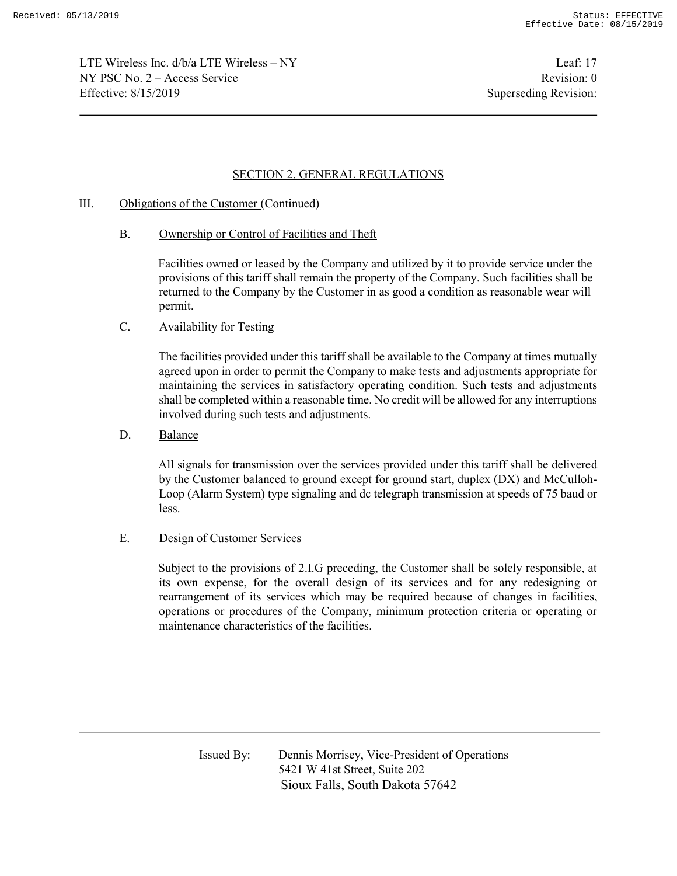LTE Wireless Inc. d/b/a LTE Wireless – NY Leaf: 17  $NY PSC No. 2 - Access Service$  Revision: 0 Effective: 8/15/2019 Superseding Revision:

# SECTION 2. GENERAL REGULATIONS

## III. Obligations of the Customer (Continued)

B. Ownership or Control of Facilities and Theft

Facilities owned or leased by the Company and utilized by it to provide service under the provisions of this tariff shall remain the property of the Company. Such facilities shall be returned to the Company by the Customer in as good a condition as reasonable wear will permit.

## C. Availability for Testing

The facilities provided under this tariff shall be available to the Company at times mutually agreed upon in order to permit the Company to make tests and adjustments appropriate for maintaining the services in satisfactory operating condition. Such tests and adjustments shall be completed within a reasonable time. No credit will be allowed for any interruptions involved during such tests and adjustments.

D. Balance

All signals for transmission over the services provided under this tariff shall be delivered by the Customer balanced to ground except for ground start, duplex (DX) and McCulloh-Loop (Alarm System) type signaling and dc telegraph transmission at speeds of 75 baud or less.

E. Design of Customer Services

Subject to the provisions of 2.I.G preceding, the Customer shall be solely responsible, at its own expense, for the overall design of its services and for any redesigning or rearrangement of its services which may be required because of changes in facilities, operations or procedures of the Company, minimum protection criteria or operating or maintenance characteristics of the facilities.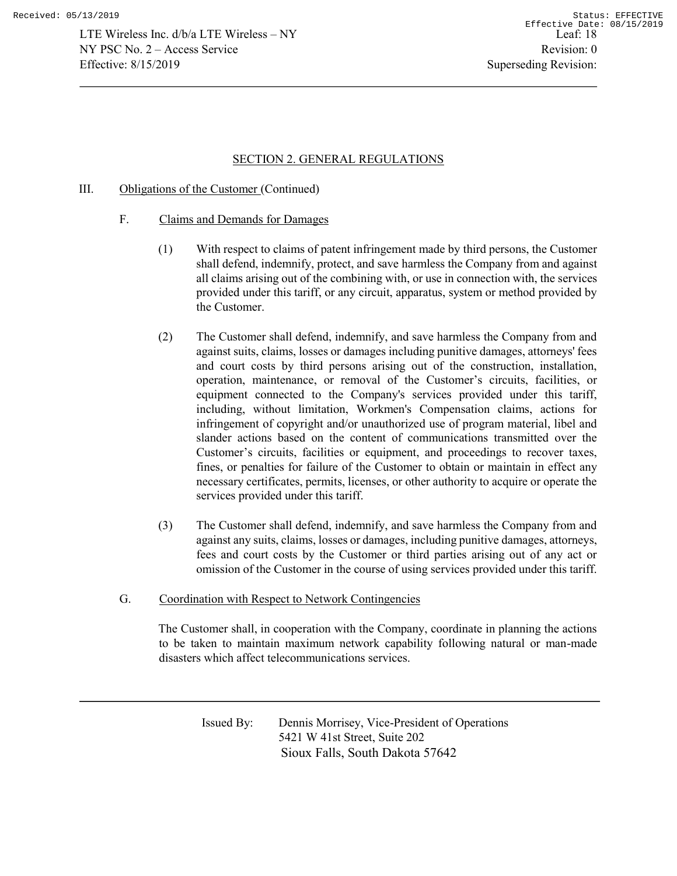## SECTION 2. GENERAL REGULATIONS

## III. Obligations of the Customer (Continued)

- F. Claims and Demands for Damages
	- (1) With respect to claims of patent infringement made by third persons, the Customer shall defend, indemnify, protect, and save harmless the Company from and against all claims arising out of the combining with, or use in connection with, the services provided under this tariff, or any circuit, apparatus, system or method provided by the Customer.
	- (2) The Customer shall defend, indemnify, and save harmless the Company from and against suits, claims, losses or damages including punitive damages, attorneys' fees and court costs by third persons arising out of the construction, installation, operation, maintenance, or removal of the Customer's circuits, facilities, or equipment connected to the Company's services provided under this tariff, including, without limitation, Workmen's Compensation claims, actions for infringement of copyright and/or unauthorized use of program material, libel and slander actions based on the content of communications transmitted over the Customer's circuits, facilities or equipment, and proceedings to recover taxes, fines, or penalties for failure of the Customer to obtain or maintain in effect any necessary certificates, permits, licenses, or other authority to acquire or operate the services provided under this tariff.
	- (3) The Customer shall defend, indemnify, and save harmless the Company from and against any suits, claims, losses or damages, including punitive damages, attorneys, fees and court costs by the Customer or third parties arising out of any act or omission of the Customer in the course of using services provided under this tariff.
- G. Coordination with Respect to Network Contingencies

The Customer shall, in cooperation with the Company, coordinate in planning the actions to be taken to maintain maximum network capability following natural or man-made disasters which affect telecommunications services.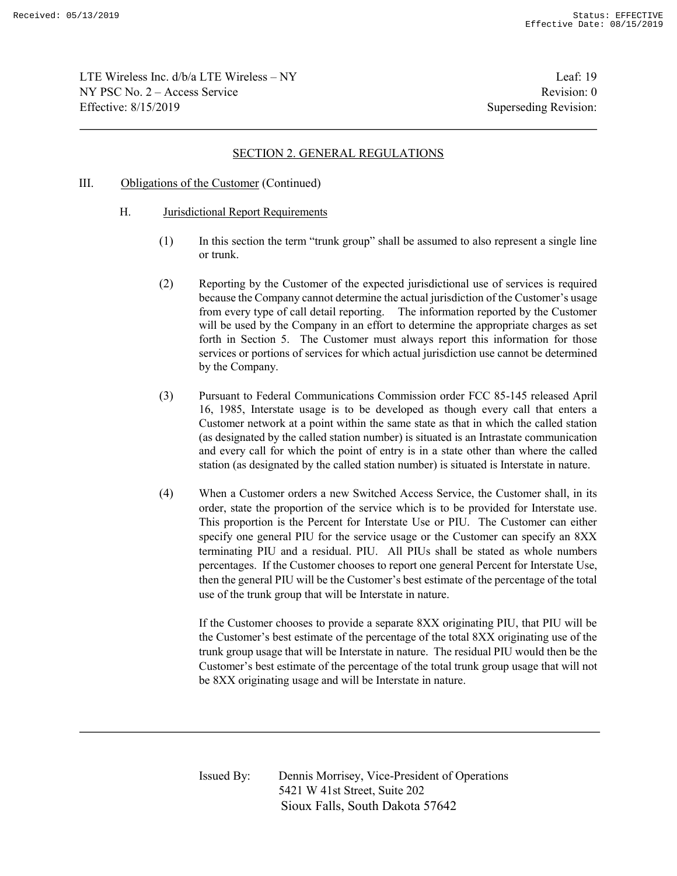LTE Wireless Inc. d/b/a LTE Wireless – NY Leaf: 19 NY PSC No. 2 – Access Service Revision: 0 Effective: 8/15/2019 Superseding Revision:

## SECTION 2. GENERAL REGULATIONS

#### III. Obligations of the Customer (Continued)

- H. Jurisdictional Report Requirements
	- (1) In this section the term "trunk group" shall be assumed to also represent a single line or trunk.
	- (2) Reporting by the Customer of the expected jurisdictional use of services is required because the Company cannot determine the actual jurisdiction of the Customer's usage from every type of call detail reporting. The information reported by the Customer will be used by the Company in an effort to determine the appropriate charges as set forth in Section 5. The Customer must always report this information for those services or portions of services for which actual jurisdiction use cannot be determined by the Company.
	- (3) Pursuant to Federal Communications Commission order FCC 85-145 released April 16, 1985, Interstate usage is to be developed as though every call that enters a Customer network at a point within the same state as that in which the called station (as designated by the called station number) is situated is an Intrastate communication and every call for which the point of entry is in a state other than where the called station (as designated by the called station number) is situated is Interstate in nature.
	- (4) When a Customer orders a new Switched Access Service, the Customer shall, in its order, state the proportion of the service which is to be provided for Interstate use. This proportion is the Percent for Interstate Use or PIU. The Customer can either specify one general PIU for the service usage or the Customer can specify an 8XX terminating PIU and a residual. PIU. All PIUs shall be stated as whole numbers percentages. If the Customer chooses to report one general Percent for Interstate Use, then the general PIU will be the Customer's best estimate of the percentage of the total use of the trunk group that will be Interstate in nature.

If the Customer chooses to provide a separate 8XX originating PIU, that PIU will be the Customer's best estimate of the percentage of the total 8XX originating use of the trunk group usage that will be Interstate in nature. The residual PIU would then be the Customer's best estimate of the percentage of the total trunk group usage that will not be 8XX originating usage and will be Interstate in nature.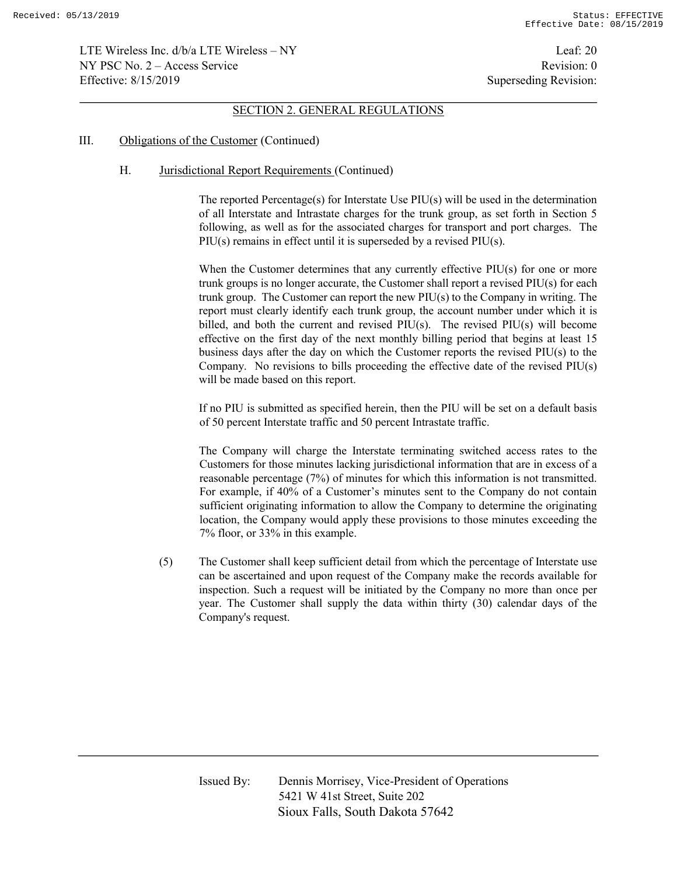LTE Wireless Inc. d/b/a LTE Wireless – NY Leaf: 20 NY PSC No. 2 – Access Service Revision: 0 Effective: 8/15/2019 Superseding Revision:

#### SECTION 2. GENERAL REGULATIONS

#### III. Obligations of the Customer (Continued)

## H. Jurisdictional Report Requirements (Continued)

The reported Percentage(s) for Interstate Use PIU(s) will be used in the determination of all Interstate and Intrastate charges for the trunk group, as set forth in Section 5 following, as well as for the associated charges for transport and port charges. The PIU(s) remains in effect until it is superseded by a revised PIU(s).

When the Customer determines that any currently effective PIU(s) for one or more trunk groups is no longer accurate, the Customer shall report a revised PIU(s) for each trunk group. The Customer can report the new PIU(s) to the Company in writing. The report must clearly identify each trunk group, the account number under which it is billed, and both the current and revised PIU(s). The revised PIU(s) will become effective on the first day of the next monthly billing period that begins at least 15 business days after the day on which the Customer reports the revised PIU(s) to the Company. No revisions to bills proceeding the effective date of the revised PIU(s) will be made based on this report.

If no PIU is submitted as specified herein, then the PIU will be set on a default basis of 50 percent Interstate traffic and 50 percent Intrastate traffic.

The Company will charge the Interstate terminating switched access rates to the Customers for those minutes lacking jurisdictional information that are in excess of a reasonable percentage (7%) of minutes for which this information is not transmitted. For example, if 40% of a Customer's minutes sent to the Company do not contain sufficient originating information to allow the Company to determine the originating location, the Company would apply these provisions to those minutes exceeding the 7% floor, or 33% in this example.

(5) The Customer shall keep sufficient detail from which the percentage of Interstate use can be ascertained and upon request of the Company make the records available for inspection. Such a request will be initiated by the Company no more than once per year. The Customer shall supply the data within thirty (30) calendar days of the Company's request.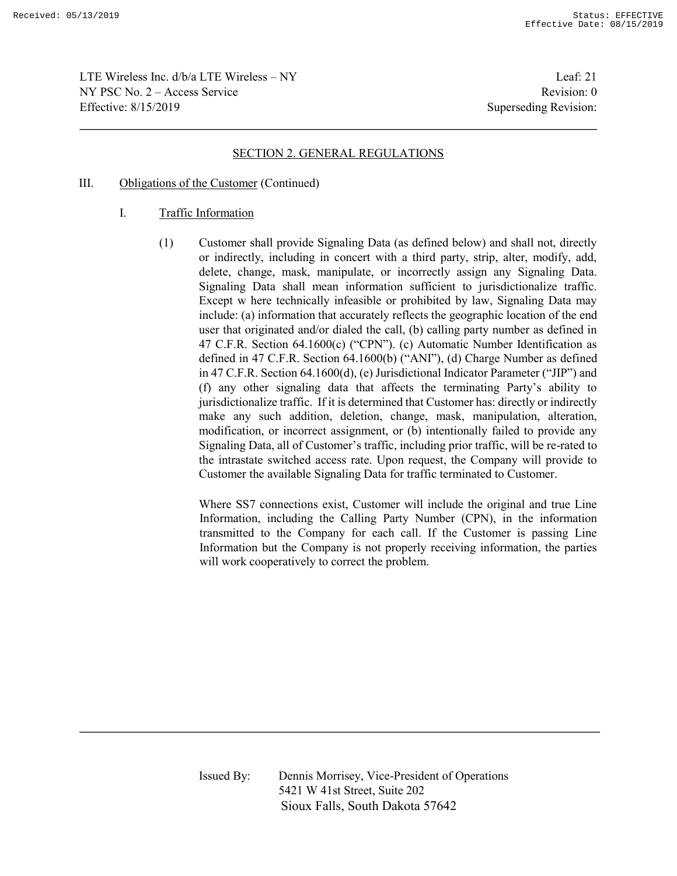LTE Wireless Inc.  $d/b/a$  LTE Wireless – NY Leaf: 21 NY PSC No. 2 – Access Service Revision: 0 Effective: 8/15/2019 Superseding Revision:

## SECTION 2. GENERAL REGULATIONS

- III. Obligations of the Customer (Continued)
	- I. Traffic Information
		- (1) Customer shall provide Signaling Data (as defined below) and shall not, directly or indirectly, including in concert with a third party, strip, alter, modify, add, delete, change, mask, manipulate, or incorrectly assign any Signaling Data. Signaling Data shall mean information sufficient to jurisdictionalize traffic. Except w here technically infeasible or prohibited by law, Signaling Data may include: (a) information that accurately reflects the geographic location of the end user that originated and/or dialed the call, (b) calling party number as defined in 47 C.F.R. Section 64.1600(c) ("CPN"). (c) Automatic Number Identification as defined in 47 C.F.R. Section 64.1600(b) ("ANI"), (d) Charge Number as defined in 47 C.F.R. Section 64.1600(d), (e) Jurisdictional Indicator Parameter ("JIP") and (f) any other signaling data that affects the terminating Party's ability to jurisdictionalize traffic. If it is determined that Customer has: directly or indirectly make any such addition, deletion, change, mask, manipulation, alteration, modification, or incorrect assignment, or (b) intentionally failed to provide any Signaling Data, all of Customer's traffic, including prior traffic, will be re-rated to the intrastate switched access rate. Upon request, the Company will provide to Customer the available Signaling Data for traffic terminated to Customer.

Where SS7 connections exist, Customer will include the original and true Line Information, including the Calling Party Number (CPN), in the information transmitted to the Company for each call. If the Customer is passing Line Information but the Company is not properly receiving information, the parties will work cooperatively to correct the problem.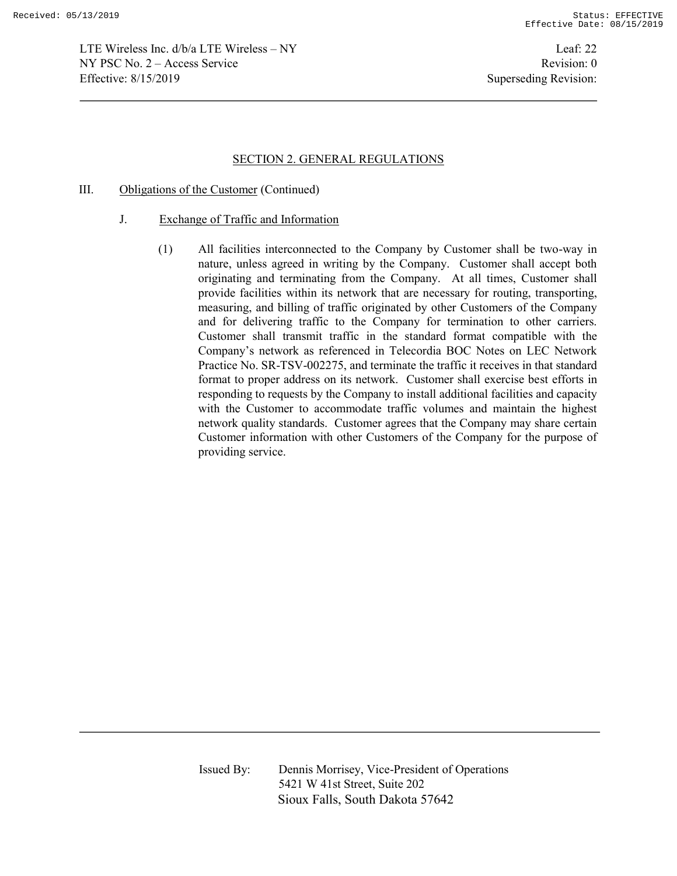LTE Wireless Inc. d/b/a LTE Wireless – NY Leaf: 22 NY PSC No. 2 – Access Service Revision: 0 Effective: 8/15/2019 Superseding Revision:

### SECTION 2. GENERAL REGULATIONS

- III. Obligations of the Customer (Continued)
	- J. Exchange of Traffic and Information
		- (1) All facilities interconnected to the Company by Customer shall be two-way in nature, unless agreed in writing by the Company. Customer shall accept both originating and terminating from the Company. At all times, Customer shall provide facilities within its network that are necessary for routing, transporting, measuring, and billing of traffic originated by other Customers of the Company and for delivering traffic to the Company for termination to other carriers. Customer shall transmit traffic in the standard format compatible with the Company's network as referenced in Telecordia BOC Notes on LEC Network Practice No. SR-TSV-002275, and terminate the traffic it receives in that standard format to proper address on its network. Customer shall exercise best efforts in responding to requests by the Company to install additional facilities and capacity with the Customer to accommodate traffic volumes and maintain the highest network quality standards. Customer agrees that the Company may share certain Customer information with other Customers of the Company for the purpose of providing service.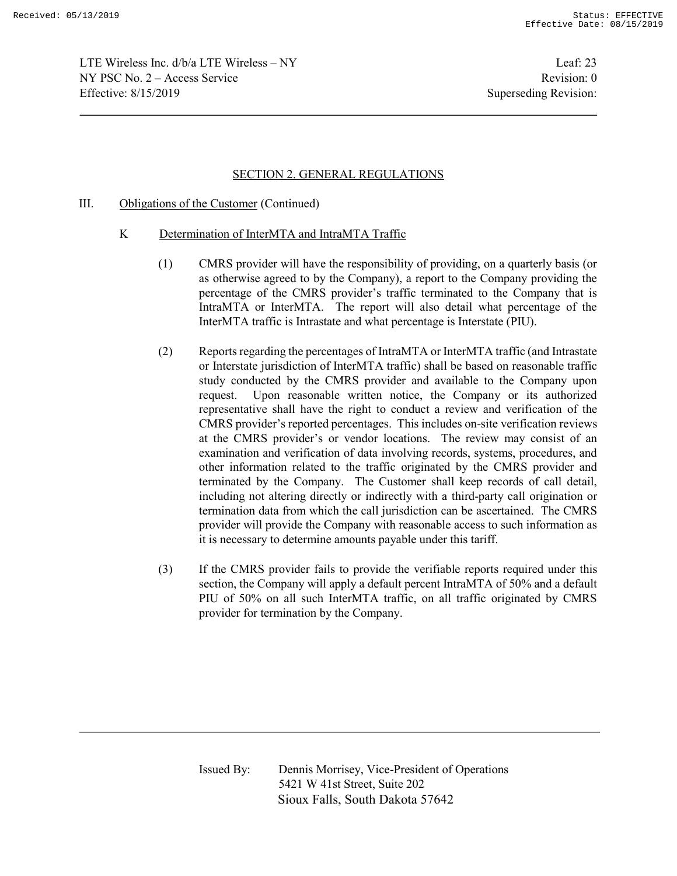LTE Wireless Inc. d/b/a LTE Wireless – NY Leaf: 23  $NY PSC No. 2 - Access Service$  Revision: 0 Effective: 8/15/2019 Superseding Revision:

## SECTION 2. GENERAL REGULATIONS

### III. Obligations of the Customer (Continued)

- K Determination of InterMTA and IntraMTA Traffic
	- (1) CMRS provider will have the responsibility of providing, on a quarterly basis (or as otherwise agreed to by the Company), a report to the Company providing the percentage of the CMRS provider's traffic terminated to the Company that is IntraMTA or InterMTA. The report will also detail what percentage of the InterMTA traffic is Intrastate and what percentage is Interstate (PIU).
	- (2) Reports regarding the percentages of IntraMTA or InterMTA traffic (and Intrastate or Interstate jurisdiction of InterMTA traffic) shall be based on reasonable traffic study conducted by the CMRS provider and available to the Company upon request. Upon reasonable written notice, the Company or its authorized representative shall have the right to conduct a review and verification of the CMRS provider's reported percentages. This includes on-site verification reviews at the CMRS provider's or vendor locations. The review may consist of an examination and verification of data involving records, systems, procedures, and other information related to the traffic originated by the CMRS provider and terminated by the Company. The Customer shall keep records of call detail, including not altering directly or indirectly with a third-party call origination or termination data from which the call jurisdiction can be ascertained. The CMRS provider will provide the Company with reasonable access to such information as it is necessary to determine amounts payable under this tariff.
	- (3) If the CMRS provider fails to provide the verifiable reports required under this section, the Company will apply a default percent IntraMTA of 50% and a default PIU of 50% on all such InterMTA traffic, on all traffic originated by CMRS provider for termination by the Company.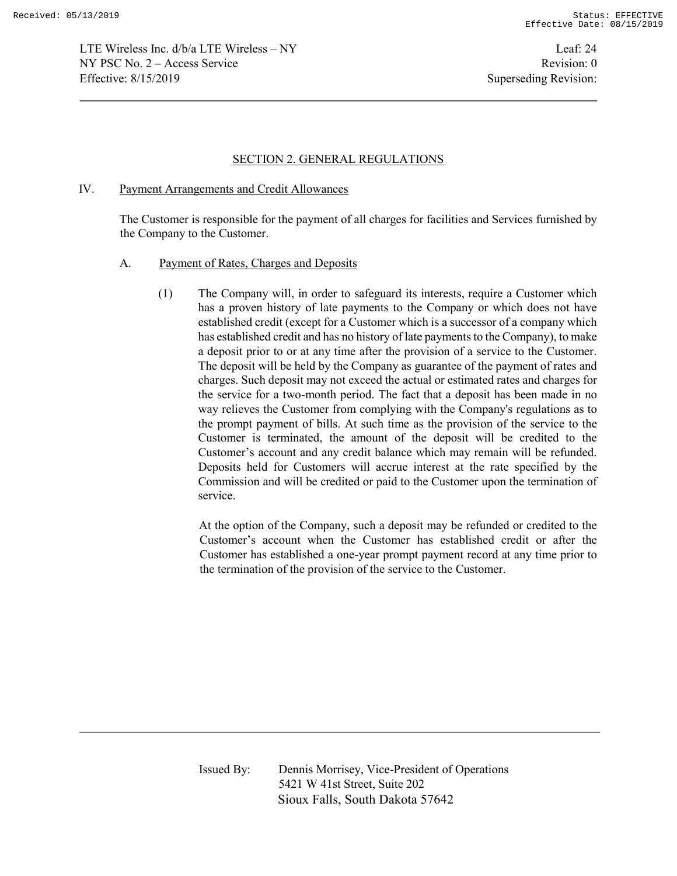LTE Wireless Inc. d/b/a LTE Wireless – NY Leaf: 24 NY PSC No. 2 – Access Service Revision: 0 Effective: 8/15/2019 Superseding Revision:

#### SECTION 2. GENERAL REGULATIONS

#### IV. Payment Arrangements and Credit Allowances

The Customer is responsible for the payment of all charges for facilities and Services furnished by the Company to the Customer.

#### A. Payment of Rates, Charges and Deposits

(1) The Company will, in order to safeguard its interests, require a Customer which has a proven history of late payments to the Company or which does not have established credit (except for a Customer which is a successor of a company which has established credit and has no history of late payments to the Company), to make a deposit prior to or at any time after the provision of a service to the Customer. The deposit will be held by the Company as guarantee of the payment of rates and charges. Such deposit may not exceed the actual or estimated rates and charges for the service for a two-month period. The fact that a deposit has been made in no way relieves the Customer from complying with the Company's regulations as to the prompt payment of bills. At such time as the provision of the service to the Customer is terminated, the amount of the deposit will be credited to the Customer's account and any credit balance which may remain will be refunded. Deposits held for Customers will accrue interest at the rate specified by the Commission and will be credited or paid to the Customer upon the termination of service.

At the option of the Company, such a deposit may be refunded or credited to the Customer's account when the Customer has established credit or after the Customer has established a one-year prompt payment record at any time prior to the termination of the provision of the service to the Customer.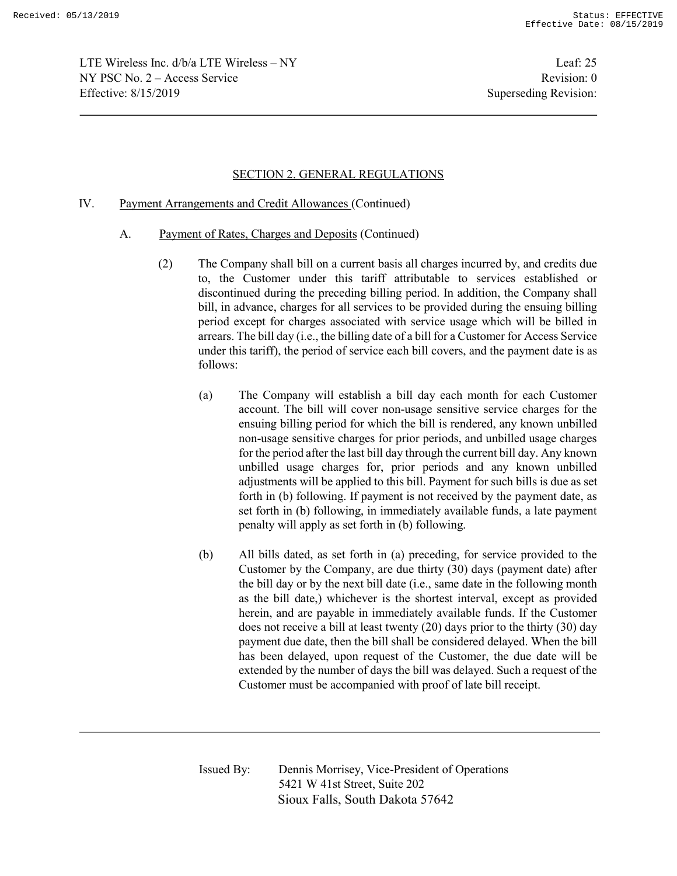LTE Wireless Inc. d/b/a LTE Wireless – NY Leaf: 25  $NY PSC No. 2 - Access Service$  Revision: 0 Effective: 8/15/2019 Superseding Revision:

# SECTION 2. GENERAL REGULATIONS

### IV. Payment Arrangements and Credit Allowances (Continued)

- A. Payment of Rates, Charges and Deposits (Continued)
	- (2) The Company shall bill on a current basis all charges incurred by, and credits due to, the Customer under this tariff attributable to services established or discontinued during the preceding billing period. In addition, the Company shall bill, in advance, charges for all services to be provided during the ensuing billing period except for charges associated with service usage which will be billed in arrears. The bill day (i.e., the billing date of a bill for a Customer for Access Service under this tariff), the period of service each bill covers, and the payment date is as follows:
		- (a) The Company will establish a bill day each month for each Customer account. The bill will cover non-usage sensitive service charges for the ensuing billing period for which the bill is rendered, any known unbilled non-usage sensitive charges for prior periods, and unbilled usage charges for the period after the last bill day through the current bill day. Any known unbilled usage charges for, prior periods and any known unbilled adjustments will be applied to this bill. Payment for such bills is due as set forth in (b) following. If payment is not received by the payment date, as set forth in (b) following, in immediately available funds, a late payment penalty will apply as set forth in (b) following.
		- (b) All bills dated, as set forth in (a) preceding, for service provided to the Customer by the Company, are due thirty (30) days (payment date) after the bill day or by the next bill date (i.e., same date in the following month as the bill date,) whichever is the shortest interval, except as provided herein, and are payable in immediately available funds. If the Customer does not receive a bill at least twenty (20) days prior to the thirty (30) day payment due date, then the bill shall be considered delayed. When the bill has been delayed, upon request of the Customer, the due date will be extended by the number of days the bill was delayed. Such a request of the Customer must be accompanied with proof of late bill receipt.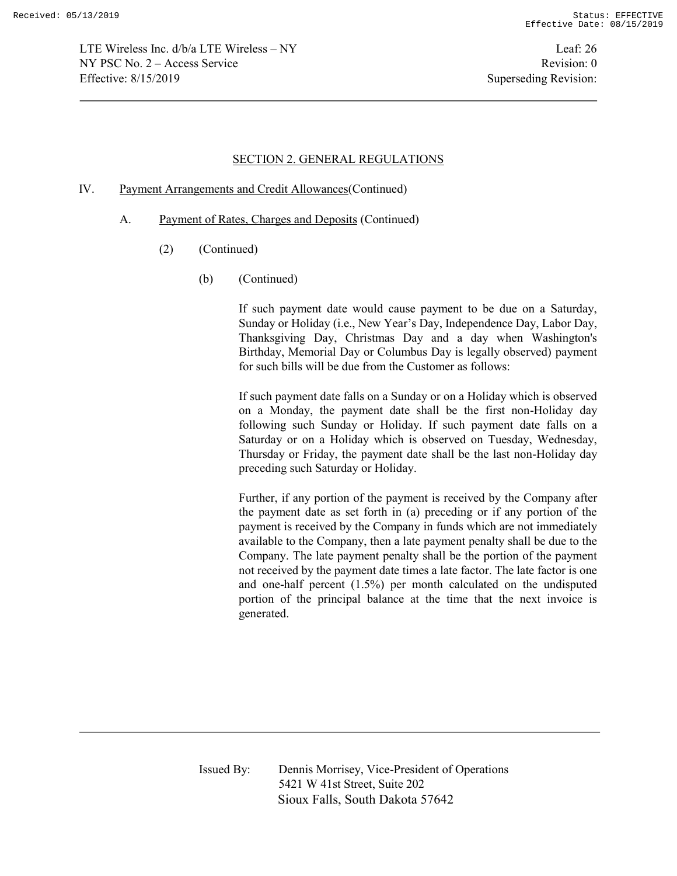LTE Wireless Inc. d/b/a LTE Wireless – NY Leaf: 26 NY PSC No. 2 – Access Service Revision: 0 Effective: 8/15/2019 Superseding Revision:

### SECTION 2. GENERAL REGULATIONS

### IV. Payment Arrangements and Credit Allowances(Continued)

- A. Payment of Rates, Charges and Deposits (Continued)
	- (2) (Continued)
		- (b) (Continued)

If such payment date would cause payment to be due on a Saturday, Sunday or Holiday (i.e., New Year's Day, Independence Day, Labor Day, Thanksgiving Day, Christmas Day and a day when Washington's Birthday, Memorial Day or Columbus Day is legally observed) payment for such bills will be due from the Customer as follows:

If such payment date falls on a Sunday or on a Holiday which is observed on a Monday, the payment date shall be the first non-Holiday day following such Sunday or Holiday. If such payment date falls on a Saturday or on a Holiday which is observed on Tuesday, Wednesday, Thursday or Friday, the payment date shall be the last non-Holiday day preceding such Saturday or Holiday.

Further, if any portion of the payment is received by the Company after the payment date as set forth in (a) preceding or if any portion of the payment is received by the Company in funds which are not immediately available to the Company, then a late payment penalty shall be due to the Company. The late payment penalty shall be the portion of the payment not received by the payment date times a late factor. The late factor is one and one-half percent (1.5%) per month calculated on the undisputed portion of the principal balance at the time that the next invoice is generated.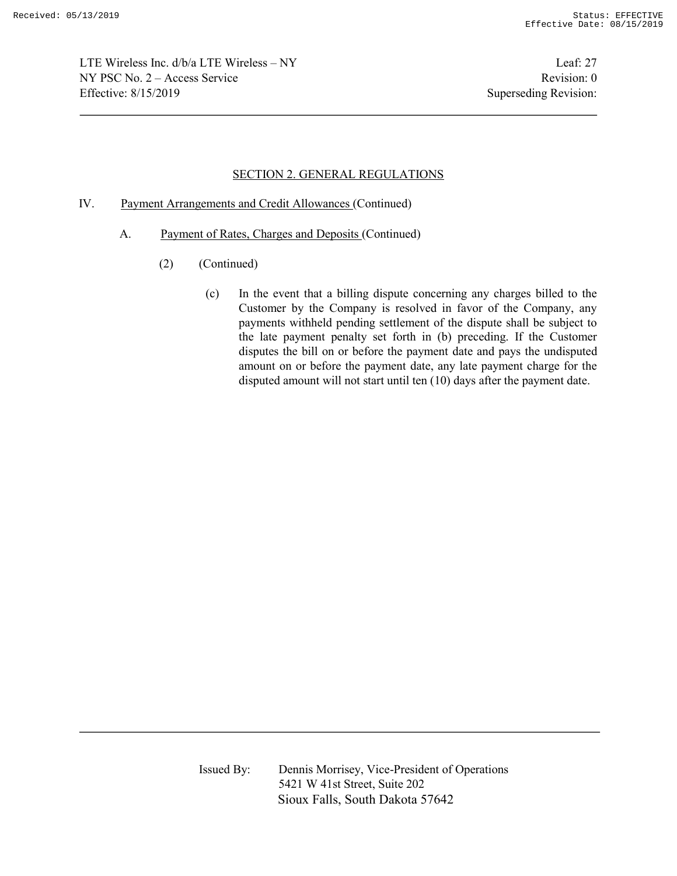LTE Wireless Inc. d/b/a LTE Wireless – NY Leaf: 27 NY PSC No. 2 – Access Service Revision: 0 Effective: 8/15/2019 Superseding Revision:

## SECTION 2. GENERAL REGULATIONS

- IV. Payment Arrangements and Credit Allowances (Continued)
	- A. Payment of Rates, Charges and Deposits (Continued)
		- (2) (Continued)
			- (c) In the event that a billing dispute concerning any charges billed to the Customer by the Company is resolved in favor of the Company, any payments withheld pending settlement of the dispute shall be subject to the late payment penalty set forth in (b) preceding. If the Customer disputes the bill on or before the payment date and pays the undisputed amount on or before the payment date, any late payment charge for the disputed amount will not start until ten (10) days after the payment date.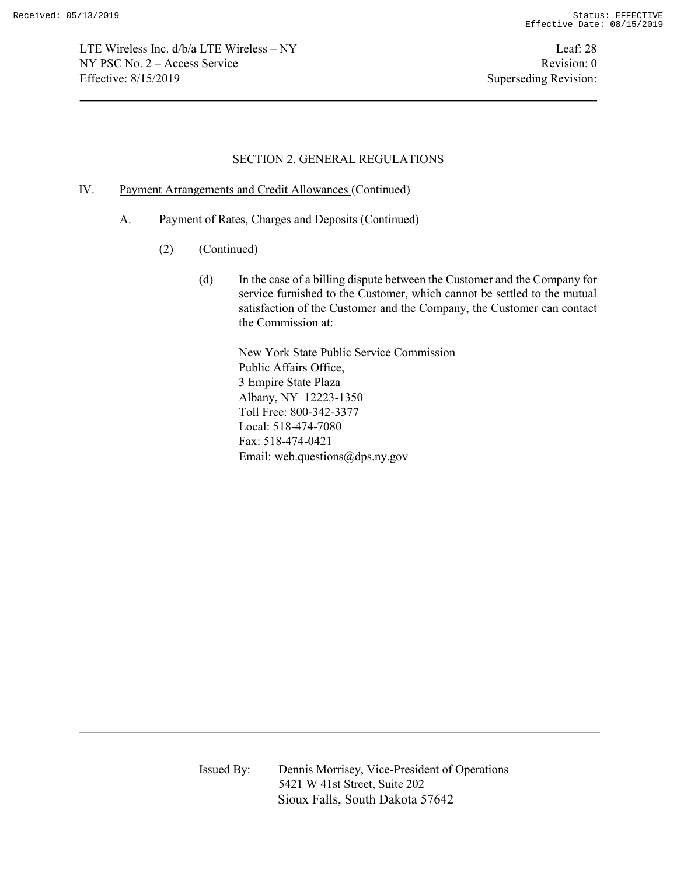LTE Wireless Inc. d/b/a LTE Wireless – NY Leaf: 28 NY PSC No. 2 – Access Service Revision: 0 Effective: 8/15/2019 Superseding Revision:

### SECTION 2. GENERAL REGULATIONS

- IV. Payment Arrangements and Credit Allowances (Continued)
	- A. Payment of Rates, Charges and Deposits (Continued)
		- (2) (Continued)
			- (d) In the case of a billing dispute between the Customer and the Company for service furnished to the Customer, which cannot be settled to the mutual satisfaction of the Customer and the Company, the Customer can contact the Commission at:

New York State Public Service Commission Public Affairs Office, 3 Empire State Plaza Albany, NY 12223-1350 Toll Free: 800-342-3377 Local: 518-474-7080 Fax: 518-474-0421 Email: web.questions@dps.ny.gov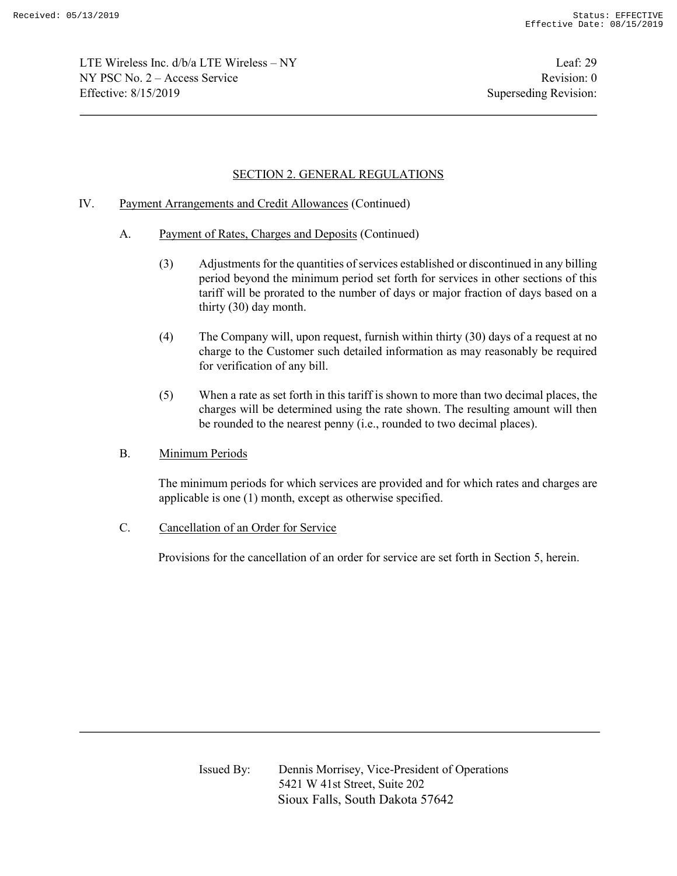LTE Wireless Inc. d/b/a LTE Wireless – NY Leaf: 29  $NY PSC No. 2 - Access Service$  Revision: 0 Effective: 8/15/2019 Superseding Revision:

# SECTION 2. GENERAL REGULATIONS

## IV. Payment Arrangements and Credit Allowances (Continued)

- A. Payment of Rates, Charges and Deposits (Continued)
	- (3) Adjustments for the quantities of services established or discontinued in any billing period beyond the minimum period set forth for services in other sections of this tariff will be prorated to the number of days or major fraction of days based on a thirty (30) day month.
	- (4) The Company will, upon request, furnish within thirty (30) days of a request at no charge to the Customer such detailed information as may reasonably be required for verification of any bill.
	- (5) When a rate as set forth in this tariff is shown to more than two decimal places, the charges will be determined using the rate shown. The resulting amount will then be rounded to the nearest penny (i.e., rounded to two decimal places).
- B. Minimum Periods

The minimum periods for which services are provided and for which rates and charges are applicable is one (1) month, except as otherwise specified.

C. Cancellation of an Order for Service

Provisions for the cancellation of an order for service are set forth in Section 5, herein.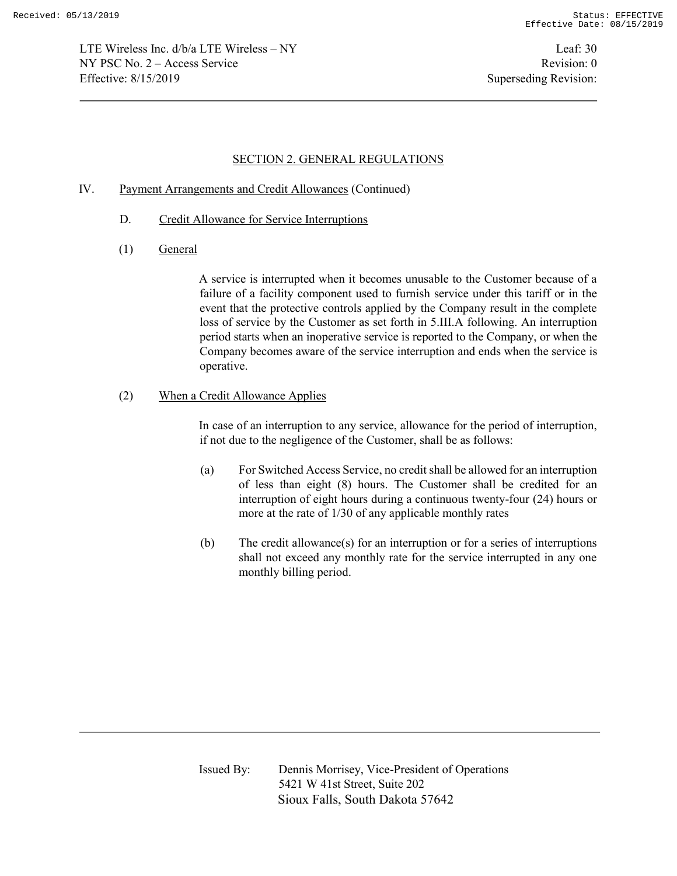LTE Wireless Inc. d/b/a LTE Wireless – NY Leaf: 30 NY PSC No. 2 – Access Service Revision: 0 Effective: 8/15/2019 Superseding Revision:

### SECTION 2. GENERAL REGULATIONS

## IV. Payment Arrangements and Credit Allowances (Continued)

- D. Credit Allowance for Service Interruptions
- (1) General

A service is interrupted when it becomes unusable to the Customer because of a failure of a facility component used to furnish service under this tariff or in the event that the protective controls applied by the Company result in the complete loss of service by the Customer as set forth in 5.III.A following. An interruption period starts when an inoperative service is reported to the Company, or when the Company becomes aware of the service interruption and ends when the service is operative.

#### (2) When a Credit Allowance Applies

In case of an interruption to any service, allowance for the period of interruption, if not due to the negligence of the Customer, shall be as follows:

- (a) For Switched Access Service, no credit shall be allowed for an interruption of less than eight (8) hours. The Customer shall be credited for an interruption of eight hours during a continuous twenty-four (24) hours or more at the rate of 1/30 of any applicable monthly rates
- (b) The credit allowance(s) for an interruption or for a series of interruptions shall not exceed any monthly rate for the service interrupted in any one monthly billing period.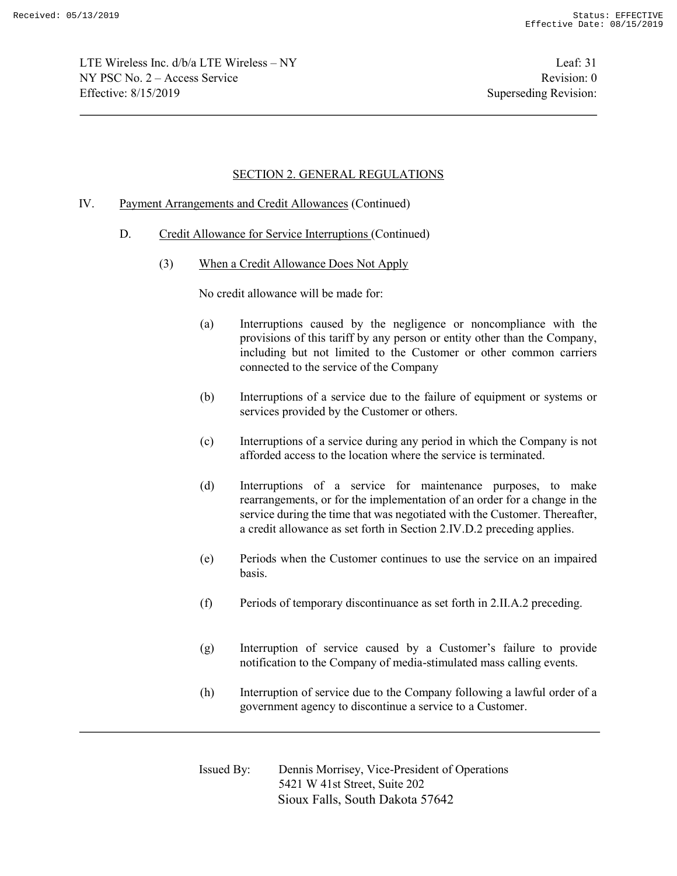LTE Wireless Inc.  $d/b/a$  LTE Wireless – NY Leaf: 31  $NY PSC No. 2 - Access Service$  Revision: 0 Effective: 8/15/2019 Superseding Revision:

## SECTION 2. GENERAL REGULATIONS

### IV. Payment Arrangements and Credit Allowances (Continued)

- D. Credit Allowance for Service Interruptions (Continued)
	- (3) When a Credit Allowance Does Not Apply

No credit allowance will be made for:

- (a) Interruptions caused by the negligence or noncompliance with the provisions of this tariff by any person or entity other than the Company, including but not limited to the Customer or other common carriers connected to the service of the Company
- (b) Interruptions of a service due to the failure of equipment or systems or services provided by the Customer or others.
- (c) Interruptions of a service during any period in which the Company is not afforded access to the location where the service is terminated.
- (d) Interruptions of a service for maintenance purposes, to make rearrangements, or for the implementation of an order for a change in the service during the time that was negotiated with the Customer. Thereafter, a credit allowance as set forth in Section 2.IV.D.2 preceding applies.
- (e) Periods when the Customer continues to use the service on an impaired basis.
- (f) Periods of temporary discontinuance as set forth in 2.II.A.2 preceding.
- (g) Interruption of service caused by a Customer's failure to provide notification to the Company of media-stimulated mass calling events.
- (h) Interruption of service due to the Company following a lawful order of a government agency to discontinue a service to a Customer.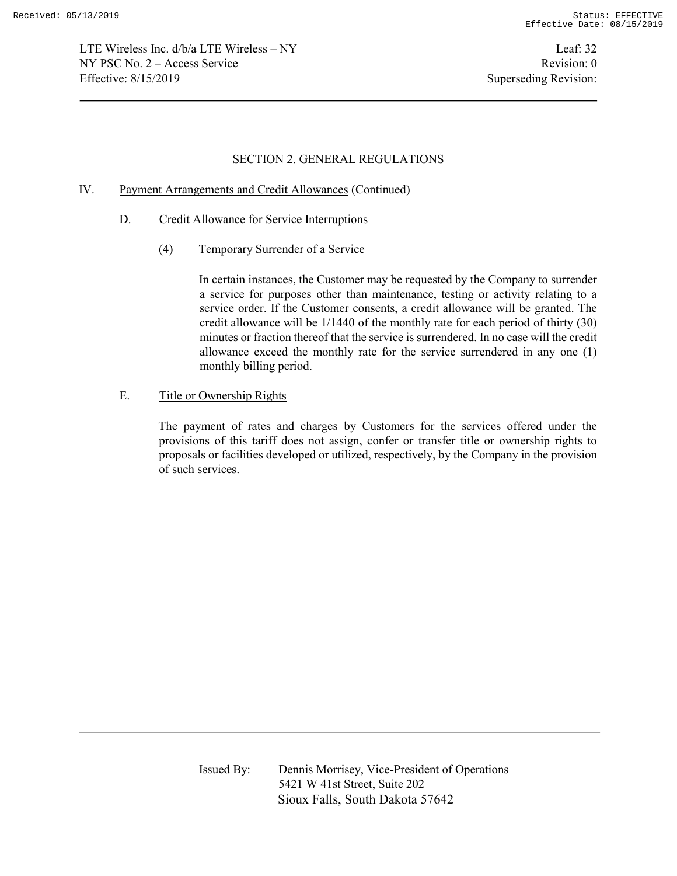LTE Wireless Inc. d/b/a LTE Wireless – NY Leaf: 32 NY PSC No. 2 – Access Service Revision: 0 Effective: 8/15/2019 Superseding Revision:

## SECTION 2. GENERAL REGULATIONS

## IV. Payment Arrangements and Credit Allowances (Continued)

- D. Credit Allowance for Service Interruptions
	- (4) Temporary Surrender of a Service

In certain instances, the Customer may be requested by the Company to surrender a service for purposes other than maintenance, testing or activity relating to a service order. If the Customer consents, a credit allowance will be granted. The credit allowance will be 1/1440 of the monthly rate for each period of thirty (30) minutes or fraction thereof that the service is surrendered. In no case will the credit allowance exceed the monthly rate for the service surrendered in any one (1) monthly billing period.

E. Title or Ownership Rights

The payment of rates and charges by Customers for the services offered under the provisions of this tariff does not assign, confer or transfer title or ownership rights to proposals or facilities developed or utilized, respectively, by the Company in the provision of such services.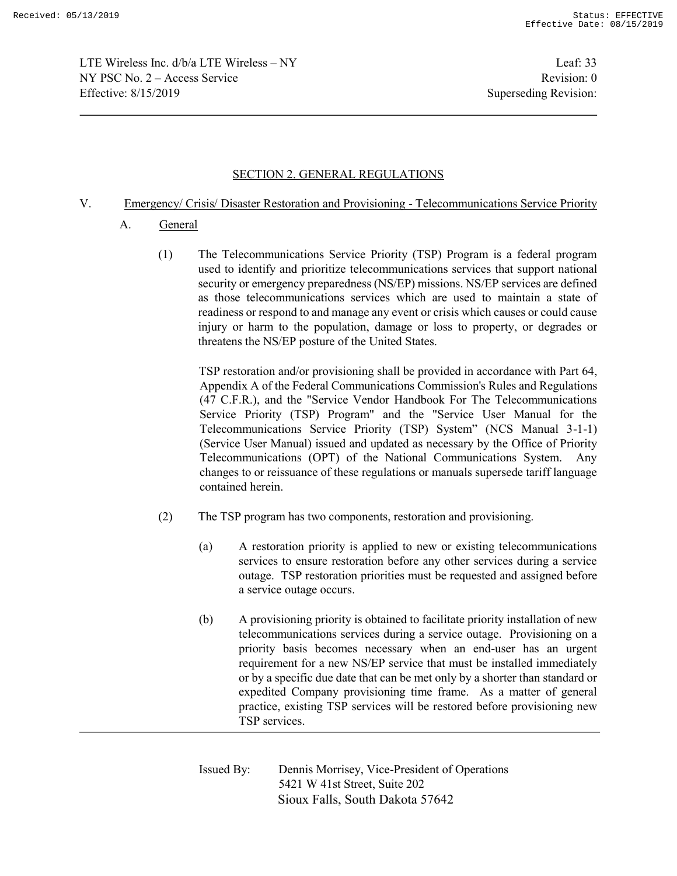LTE Wireless Inc. d/b/a LTE Wireless – NY Leaf: 33  $NY PSC No. 2 - Access Service$  Revision: 0 Effective: 8/15/2019 Superseding Revision:

# SECTION 2. GENERAL REGULATIONS

## V. Emergency/ Crisis/ Disaster Restoration and Provisioning - Telecommunications Service Priority

- A. General
	- (1) The Telecommunications Service Priority (TSP) Program is a federal program used to identify and prioritize telecommunications services that support national security or emergency preparedness (NS/EP) missions. NS/EP services are defined as those telecommunications services which are used to maintain a state of readiness or respond to and manage any event or crisis which causes or could cause injury or harm to the population, damage or loss to property, or degrades or threatens the NS/EP posture of the United States.

TSP restoration and/or provisioning shall be provided in accordance with Part 64, Appendix A of the Federal Communications Commission's Rules and Regulations (47 C.F.R.), and the "Service Vendor Handbook For The Telecommunications Service Priority (TSP) Program" and the "Service User Manual for the Telecommunications Service Priority (TSP) System" (NCS Manual 3-1-1) (Service User Manual) issued and updated as necessary by the Office of Priority Telecommunications (OPT) of the National Communications System. Any changes to or reissuance of these regulations or manuals supersede tariff language contained herein.

- (2) The TSP program has two components, restoration and provisioning.
	- (a) A restoration priority is applied to new or existing telecommunications services to ensure restoration before any other services during a service outage. TSP restoration priorities must be requested and assigned before a service outage occurs.
	- (b) A provisioning priority is obtained to facilitate priority installation of new telecommunications services during a service outage. Provisioning on a priority basis becomes necessary when an end-user has an urgent requirement for a new NS/EP service that must be installed immediately or by a specific due date that can be met only by a shorter than standard or expedited Company provisioning time frame. As a matter of general practice, existing TSP services will be restored before provisioning new TSP services.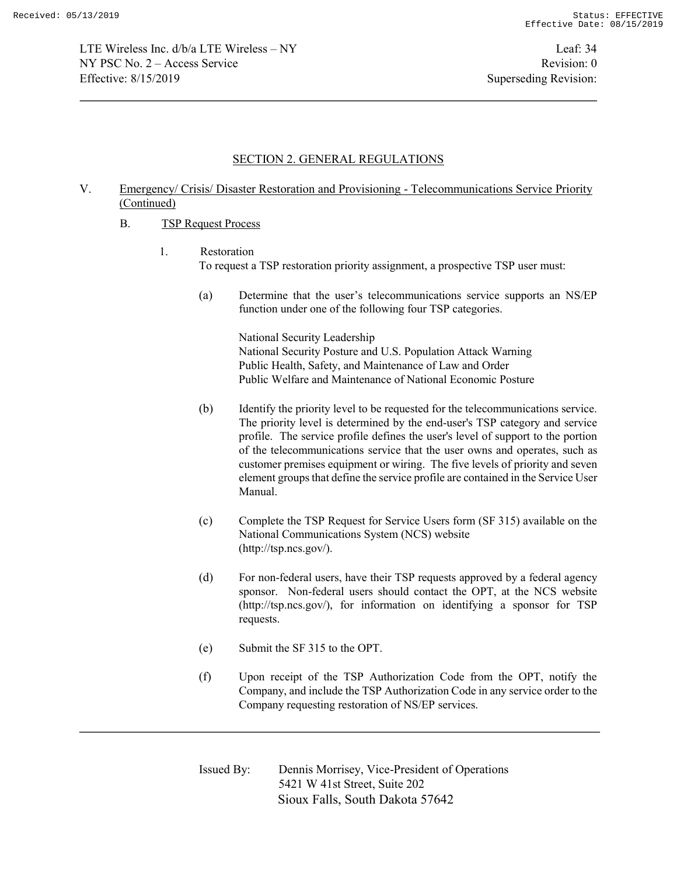LTE Wireless Inc. d/b/a LTE Wireless – NY Leaf: 34 NY PSC No. 2 – Access Service Revision: 0 Effective: 8/15/2019 Superseding Revision:

#### SECTION 2. GENERAL REGULATIONS

## V. Emergency/ Crisis/ Disaster Restoration and Provisioning - Telecommunications Service Priority (Continued)

- B. TSP Request Process
	- 1. Restoration To request a TSP restoration priority assignment, a prospective TSP user must:
		- (a) Determine that the user's telecommunications service supports an NS/EP function under one of the following four TSP categories.

National Security Leadership National Security Posture and U.S. Population Attack Warning Public Health, Safety, and Maintenance of Law and Order Public Welfare and Maintenance of National Economic Posture

- (b) Identify the priority level to be requested for the telecommunications service. The priority level is determined by the end-user's TSP category and service profile. The service profile defines the user's level of support to the portion of the telecommunications service that the user owns and operates, such as customer premises equipment or wiring. The five levels of priority and seven element groups that define the service profile are contained in the Service User Manual.
- (c) Complete the TSP Request for Service Users form (SF 315) available on the National Communications System (NCS) website (http://tsp.ncs.gov/).
- (d) For non-federal users, have their TSP requests approved by a federal agency sponsor. Non-federal users should contact the OPT, at the NCS website (http://tsp.ncs.gov/), for information on identifying a sponsor for TSP requests.
- (e) Submit the SF 315 to the OPT.
- (f) Upon receipt of the TSP Authorization Code from the OPT, notify the Company, and include the TSP Authorization Code in any service order to the Company requesting restoration of NS/EP services.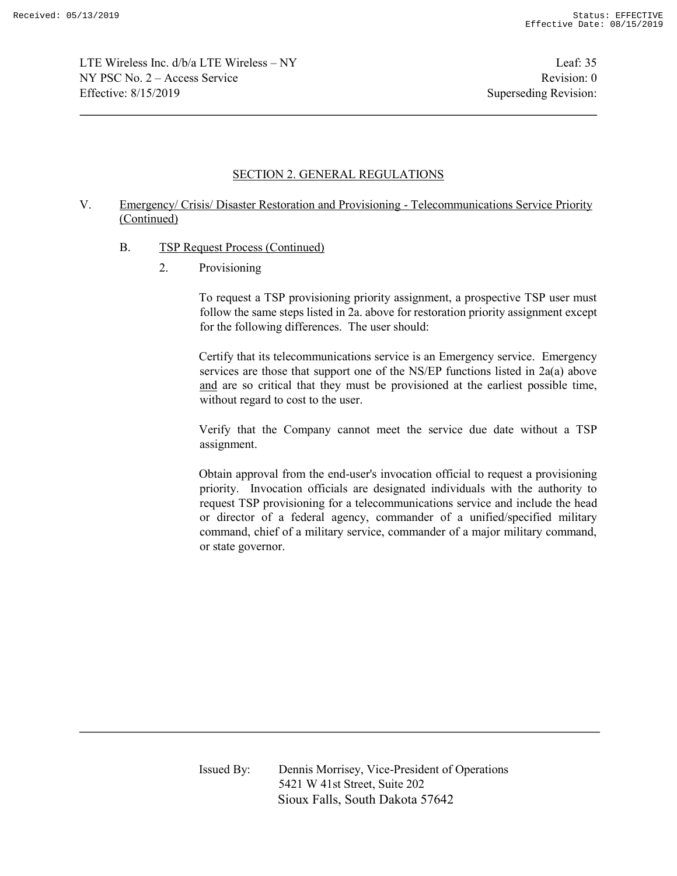LTE Wireless Inc. d/b/a LTE Wireless – NY Leaf: 35  $NY PSC No. 2 - Access Service$  Revision: 0 Effective: 8/15/2019 Superseding Revision:

## SECTION 2. GENERAL REGULATIONS

## V. Emergency/ Crisis/ Disaster Restoration and Provisioning - Telecommunications Service Priority (Continued)

- B. TSP Request Process (Continued)
	- 2. Provisioning

To request a TSP provisioning priority assignment, a prospective TSP user must follow the same steps listed in 2a. above for restoration priority assignment except for the following differences. The user should:

Certify that its telecommunications service is an Emergency service. Emergency services are those that support one of the NS/EP functions listed in 2a(a) above and are so critical that they must be provisioned at the earliest possible time, without regard to cost to the user.

Verify that the Company cannot meet the service due date without a TSP assignment.

Obtain approval from the end-user's invocation official to request a provisioning priority. Invocation officials are designated individuals with the authority to request TSP provisioning for a telecommunications service and include the head or director of a federal agency, commander of a unified/specified military command, chief of a military service, commander of a major military command, or state governor.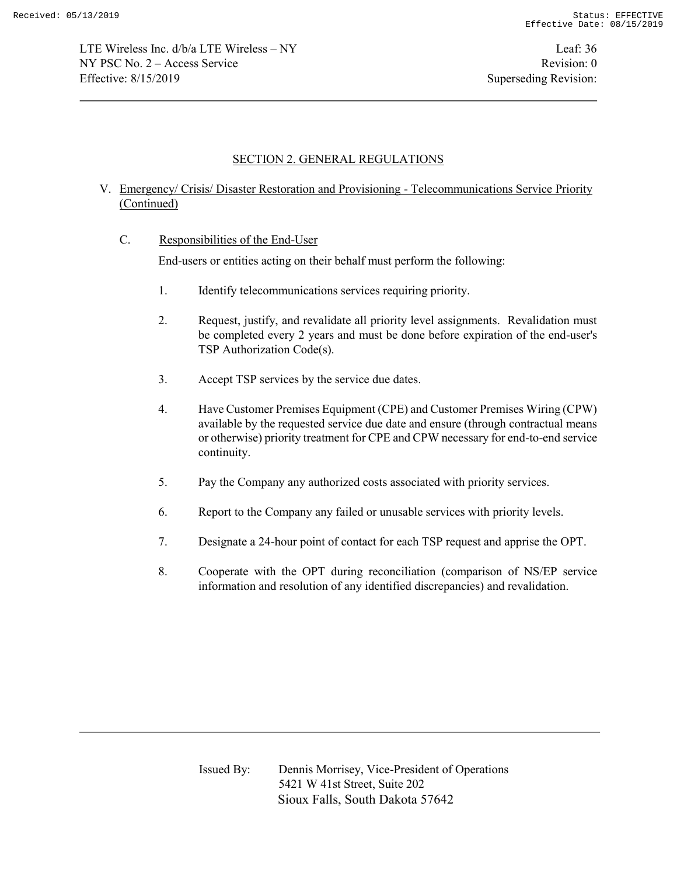## SECTION 2. GENERAL REGULATIONS

## V. Emergency/ Crisis/ Disaster Restoration and Provisioning - Telecommunications Service Priority (Continued)

C. Responsibilities of the End-User

End-users or entities acting on their behalf must perform the following:

- 1. Identify telecommunications services requiring priority.
- 2. Request, justify, and revalidate all priority level assignments. Revalidation must be completed every 2 years and must be done before expiration of the end-user's TSP Authorization Code(s).
- 3. Accept TSP services by the service due dates.
- 4. Have Customer Premises Equipment (CPE) and Customer Premises Wiring (CPW) available by the requested service due date and ensure (through contractual means or otherwise) priority treatment for CPE and CPW necessary for end-to-end service continuity.
- 5. Pay the Company any authorized costs associated with priority services.
- 6. Report to the Company any failed or unusable services with priority levels.
- 7. Designate a 24-hour point of contact for each TSP request and apprise the OPT.
- 8. Cooperate with the OPT during reconciliation (comparison of NS/EP service information and resolution of any identified discrepancies) and revalidation.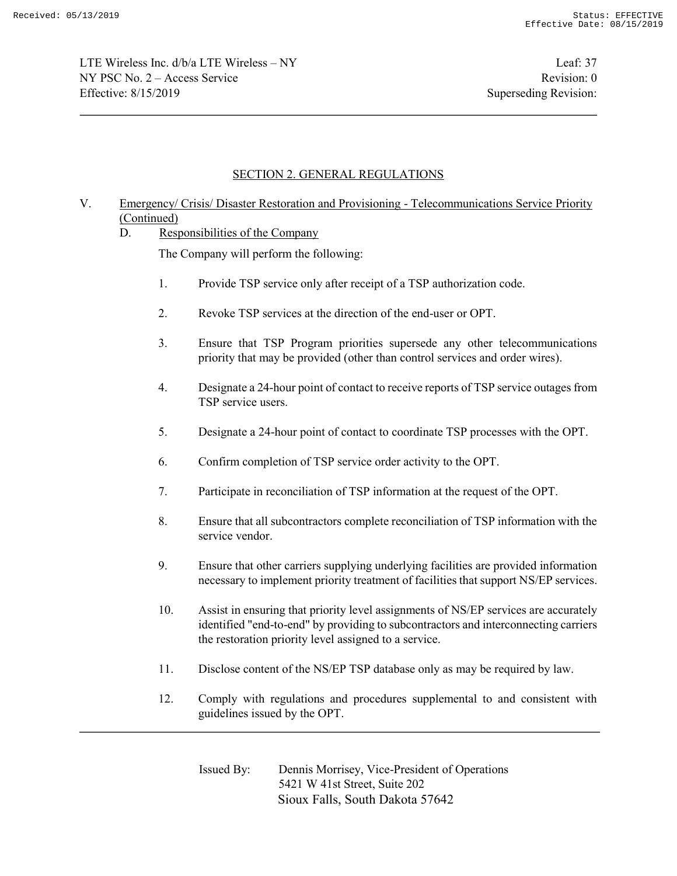LTE Wireless Inc. d/b/a LTE Wireless – NY Leaf: 37  $NY PSC No. 2 - Access Service$  Revision: 0 Effective: 8/15/2019 Superseding Revision:

# SECTION 2. GENERAL REGULATIONS

# V. Emergency/ Crisis/ Disaster Restoration and Provisioning - Telecommunications Service Priority (Continued)

### D. Responsibilities of the Company

The Company will perform the following:

- 1. Provide TSP service only after receipt of a TSP authorization code.
- 2. Revoke TSP services at the direction of the end-user or OPT.
- 3. Ensure that TSP Program priorities supersede any other telecommunications priority that may be provided (other than control services and order wires).
- 4. Designate a 24-hour point of contact to receive reports of TSP service outages from TSP service users.
- 5. Designate a 24-hour point of contact to coordinate TSP processes with the OPT.
- 6. Confirm completion of TSP service order activity to the OPT.
- 7. Participate in reconciliation of TSP information at the request of the OPT.
- 8. Ensure that all subcontractors complete reconciliation of TSP information with the service vendor.
- 9. Ensure that other carriers supplying underlying facilities are provided information necessary to implement priority treatment of facilities that support NS/EP services.
- 10. Assist in ensuring that priority level assignments of NS/EP services are accurately identified "end-to-end" by providing to subcontractors and interconnecting carriers the restoration priority level assigned to a service.
- 11. Disclose content of the NS/EP TSP database only as may be required by law.
- 12. Comply with regulations and procedures supplemental to and consistent with guidelines issued by the OPT.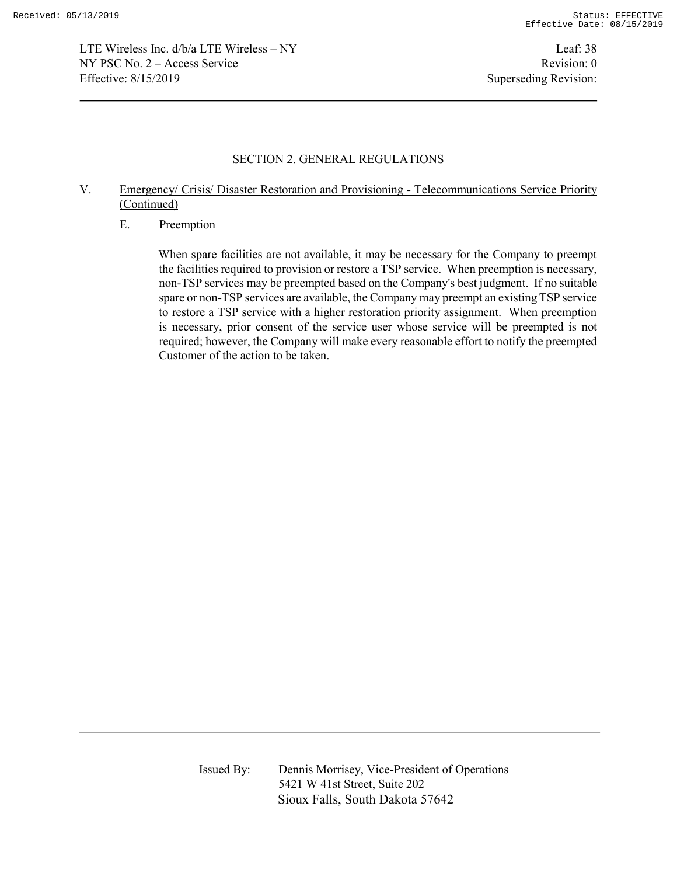LTE Wireless Inc. d/b/a LTE Wireless – NY Leaf: 38 NY PSC No. 2 – Access Service Revision: 0 Effective: 8/15/2019 Superseding Revision:

### SECTION 2. GENERAL REGULATIONS

# V. Emergency/ Crisis/ Disaster Restoration and Provisioning - Telecommunications Service Priority (Continued)

#### E. Preemption

When spare facilities are not available, it may be necessary for the Company to preempt the facilities required to provision or restore a TSP service. When preemption is necessary, non-TSP services may be preempted based on the Company's best judgment. If no suitable spare or non-TSP services are available, the Company may preempt an existing TSP service to restore a TSP service with a higher restoration priority assignment. When preemption is necessary, prior consent of the service user whose service will be preempted is not required; however, the Company will make every reasonable effort to notify the preempted Customer of the action to be taken.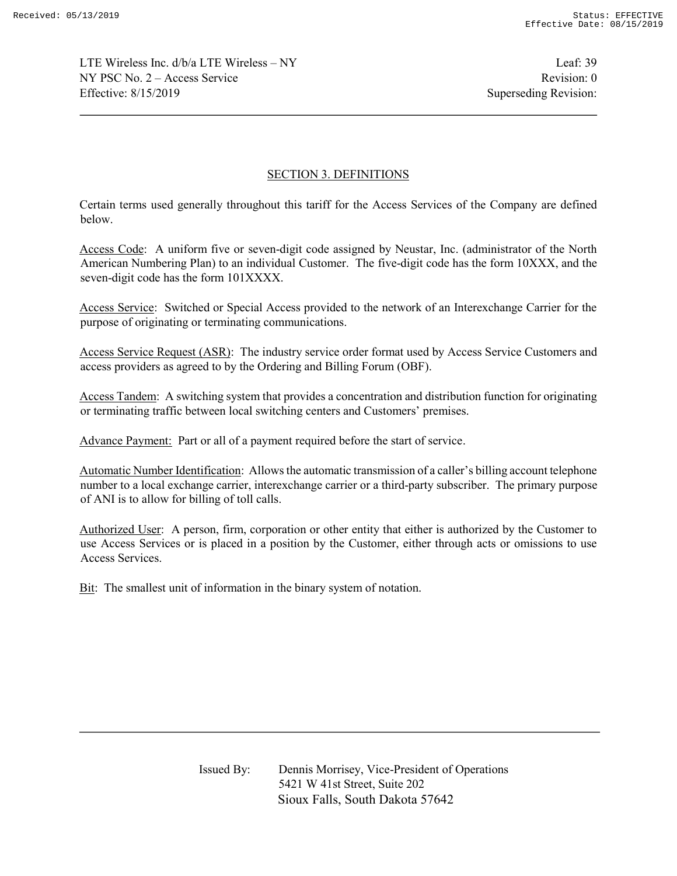LTE Wireless Inc. d/b/a LTE Wireless – NY Leaf: 39  $NY PSC No. 2 - Access Service$  Revision: 0 Effective: 8/15/2019 Superseding Revision:

# SECTION 3. DEFINITIONS

Certain terms used generally throughout this tariff for the Access Services of the Company are defined below.

Access Code: A uniform five or seven-digit code assigned by Neustar, Inc. (administrator of the North American Numbering Plan) to an individual Customer. The five-digit code has the form 10XXX, and the seven-digit code has the form 101XXXX.

Access Service: Switched or Special Access provided to the network of an Interexchange Carrier for the purpose of originating or terminating communications.

Access Service Request (ASR): The industry service order format used by Access Service Customers and access providers as agreed to by the Ordering and Billing Forum (OBF).

Access Tandem: A switching system that provides a concentration and distribution function for originating or terminating traffic between local switching centers and Customers' premises.

Advance Payment: Part or all of a payment required before the start of service.

Automatic Number Identification: Allows the automatic transmission of a caller's billing account telephone number to a local exchange carrier, interexchange carrier or a third-party subscriber. The primary purpose of ANI is to allow for billing of toll calls.

Authorized User: A person, firm, corporation or other entity that either is authorized by the Customer to use Access Services or is placed in a position by the Customer, either through acts or omissions to use Access Services.

Bit: The smallest unit of information in the binary system of notation.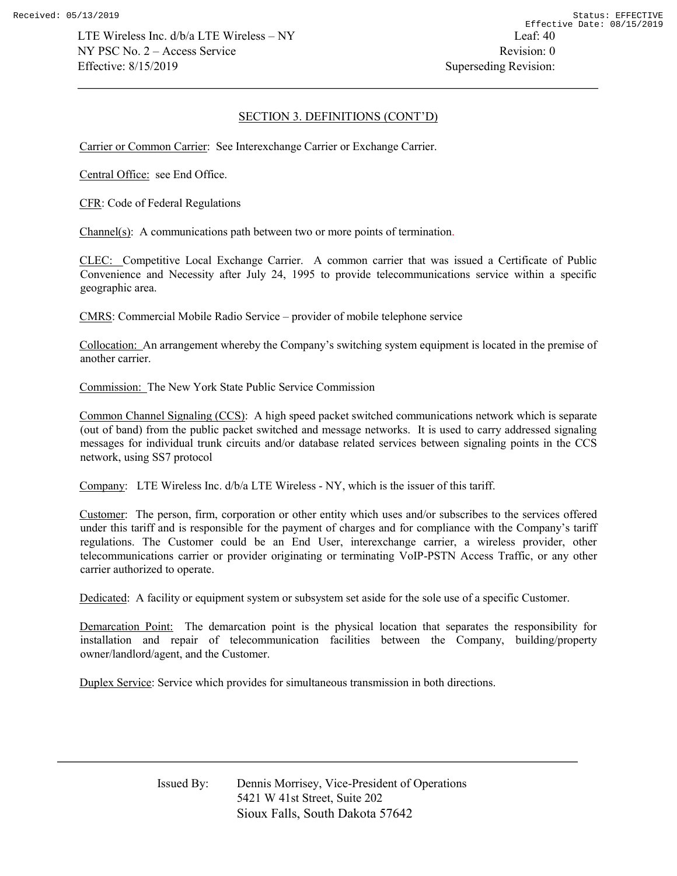## SECTION 3. DEFINITIONS (CONT'D)

Carrier or Common Carrier: See Interexchange Carrier or Exchange Carrier.

Central Office: see End Office.

CFR: Code of Federal Regulations

Channel(s): A communications path between two or more points of termination.

CLEC: Competitive Local Exchange Carrier. A common carrier that was issued a Certificate of Public Convenience and Necessity after July 24, 1995 to provide telecommunications service within a specific geographic area.

CMRS: Commercial Mobile Radio Service – provider of mobile telephone service

Collocation: An arrangement whereby the Company's switching system equipment is located in the premise of another carrier.

Commission: The New York State Public Service Commission

Common Channel Signaling (CCS): A high speed packet switched communications network which is separate (out of band) from the public packet switched and message networks. It is used to carry addressed signaling messages for individual trunk circuits and/or database related services between signaling points in the CCS network, using SS7 protocol

Company: LTE Wireless Inc. d/b/a LTE Wireless - NY, which is the issuer of this tariff.

Customer: The person, firm, corporation or other entity which uses and/or subscribes to the services offered under this tariff and is responsible for the payment of charges and for compliance with the Company's tariff regulations. The Customer could be an End User, interexchange carrier, a wireless provider, other telecommunications carrier or provider originating or terminating VoIP-PSTN Access Traffic, or any other carrier authorized to operate.

Dedicated: A facility or equipment system or subsystem set aside for the sole use of a specific Customer.

Demarcation Point: The demarcation point is the physical location that separates the responsibility for installation and repair of telecommunication facilities between the Company, building/property owner/landlord/agent, and the Customer.

Duplex Service: Service which provides for simultaneous transmission in both directions.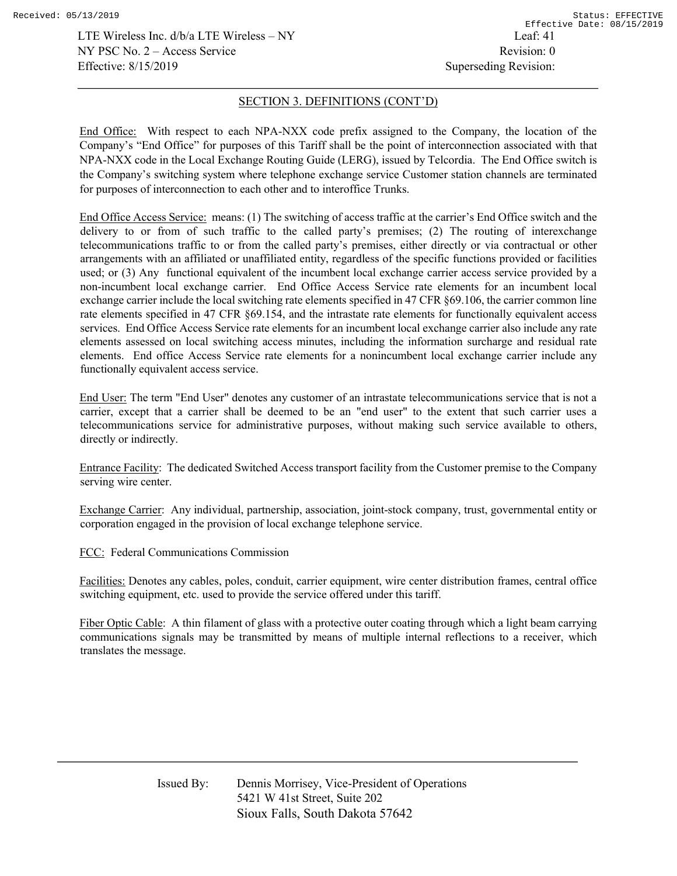LTE Wireless Inc. d/b/a LTE Wireless – NY Leaf: 41  $NY PSC No. 2 - Access Service$  Revision: 0 Effective: 8/15/2019 Superseding Revision:

#### SECTION 3. DEFINITIONS (CONT'D)

End Office: With respect to each NPA-NXX code prefix assigned to the Company, the location of the Company's "End Office" for purposes of this Tariff shall be the point of interconnection associated with that NPA-NXX code in the Local Exchange Routing Guide (LERG), issued by Telcordia. The End Office switch is the Company's switching system where telephone exchange service Customer station channels are terminated for purposes of interconnection to each other and to interoffice Trunks.

End Office Access Service: means: (1) The switching of access traffic at the carrier's End Office switch and the delivery to or from of such traffic to the called party's premises; (2) The routing of interexchange telecommunications traffic to or from the called party's premises, either directly or via contractual or other arrangements with an affiliated or unaffiliated entity, regardless of the specific functions provided or facilities used; or (3) Any functional equivalent of the incumbent local exchange carrier access service provided by a non-incumbent local exchange carrier. End Office Access Service rate elements for an incumbent local exchange carrier include the local switching rate elements specified in 47 CFR §69.106, the carrier common line rate elements specified in 47 CFR §69.154, and the intrastate rate elements for functionally equivalent access services. End Office Access Service rate elements for an incumbent local exchange carrier also include any rate elements assessed on local switching access minutes, including the information surcharge and residual rate elements. End office Access Service rate elements for a nonincumbent local exchange carrier include any functionally equivalent access service.

End User: The term "End User" denotes any customer of an intrastate telecommunications service that is not a carrier, except that a carrier shall be deemed to be an "end user" to the extent that such carrier uses a telecommunications service for administrative purposes, without making such service available to others, directly or indirectly.

Entrance Facility: The dedicated Switched Access transport facility from the Customer premise to the Company serving wire center.

Exchange Carrier: Any individual, partnership, association, joint-stock company, trust, governmental entity or corporation engaged in the provision of local exchange telephone service.

FCC: Federal Communications Commission

Facilities: Denotes any cables, poles, conduit, carrier equipment, wire center distribution frames, central office switching equipment, etc. used to provide the service offered under this tariff.

Fiber Optic Cable: A thin filament of glass with a protective outer coating through which a light beam carrying communications signals may be transmitted by means of multiple internal reflections to a receiver, which translates the message.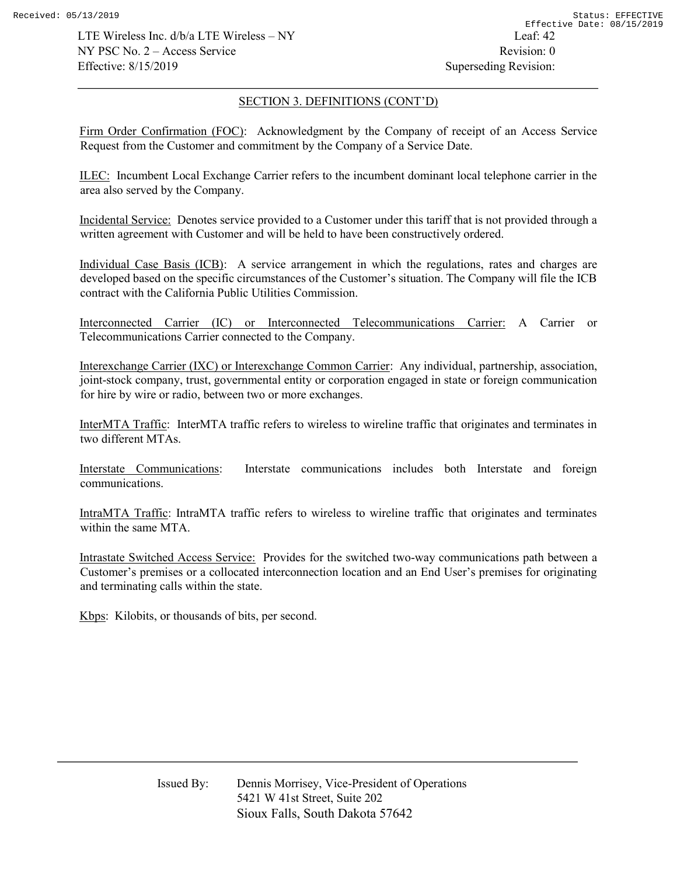LTE Wireless Inc.  $d/b/a$  LTE Wireless – NY Leaf: 42  $NY PSC No. 2 - Access Service$  Revision: 0 Effective: 8/15/2019 Superseding Revision:

#### SECTION 3. DEFINITIONS (CONT'D)

Firm Order Confirmation (FOC): Acknowledgment by the Company of receipt of an Access Service Request from the Customer and commitment by the Company of a Service Date.

ILEC: Incumbent Local Exchange Carrier refers to the incumbent dominant local telephone carrier in the area also served by the Company.

Incidental Service: Denotes service provided to a Customer under this tariff that is not provided through a written agreement with Customer and will be held to have been constructively ordered.

Individual Case Basis (ICB): A service arrangement in which the regulations, rates and charges are developed based on the specific circumstances of the Customer's situation. The Company will file the ICB contract with the California Public Utilities Commission.

Interconnected Carrier (IC) or Interconnected Telecommunications Carrier: A Carrier or Telecommunications Carrier connected to the Company.

Interexchange Carrier (IXC) or Interexchange Common Carrier: Any individual, partnership, association, joint-stock company, trust, governmental entity or corporation engaged in state or foreign communication for hire by wire or radio, between two or more exchanges.

InterMTA Traffic: InterMTA traffic refers to wireless to wireline traffic that originates and terminates in two different MTAs.

Interstate Communications: Interstate communications includes both Interstate and foreign communications.

IntraMTA Traffic: IntraMTA traffic refers to wireless to wireline traffic that originates and terminates within the same MTA.

Intrastate Switched Access Service: Provides for the switched two-way communications path between a Customer's premises or a collocated interconnection location and an End User's premises for originating and terminating calls within the state.

Kbps: Kilobits, or thousands of bits, per second.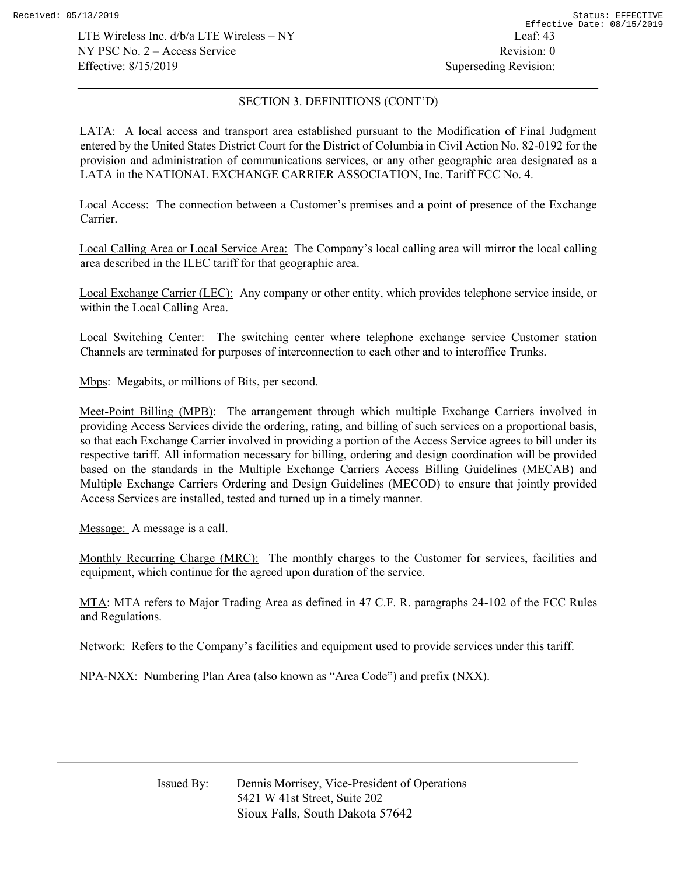LTE Wireless Inc.  $d/b/a$  LTE Wireless – NY Leaf: 43  $NY PSC No. 2 - Access Service$  Revision: 0 Effective: 8/15/2019 Superseding Revision:

# SECTION 3. DEFINITIONS (CONT'D)

LATA: A local access and transport area established pursuant to the Modification of Final Judgment entered by the United States District Court for the District of Columbia in Civil Action No. 82-0192 for the provision and administration of communications services, or any other geographic area designated as a LATA in the NATIONAL EXCHANGE CARRIER ASSOCIATION, Inc. Tariff FCC No. 4.

Local Access: The connection between a Customer's premises and a point of presence of the Exchange Carrier.

Local Calling Area or Local Service Area: The Company's local calling area will mirror the local calling area described in the ILEC tariff for that geographic area.

Local Exchange Carrier (LEC): Any company or other entity, which provides telephone service inside, or within the Local Calling Area.

Local Switching Center: The switching center where telephone exchange service Customer station Channels are terminated for purposes of interconnection to each other and to interoffice Trunks.

Mbps: Megabits, or millions of Bits, per second.

Meet-Point Billing (MPB): The arrangement through which multiple Exchange Carriers involved in providing Access Services divide the ordering, rating, and billing of such services on a proportional basis, so that each Exchange Carrier involved in providing a portion of the Access Service agrees to bill under its respective tariff. All information necessary for billing, ordering and design coordination will be provided based on the standards in the Multiple Exchange Carriers Access Billing Guidelines (MECAB) and Multiple Exchange Carriers Ordering and Design Guidelines (MECOD) to ensure that jointly provided Access Services are installed, tested and turned up in a timely manner.

Message: A message is a call.

Monthly Recurring Charge (MRC): The monthly charges to the Customer for services, facilities and equipment, which continue for the agreed upon duration of the service.

MTA: MTA refers to Major Trading Area as defined in 47 C.F. R. paragraphs 24-102 of the FCC Rules and Regulations.

Network: Refers to the Company's facilities and equipment used to provide services under this tariff.

NPA-NXX: Numbering Plan Area (also known as "Area Code") and prefix (NXX).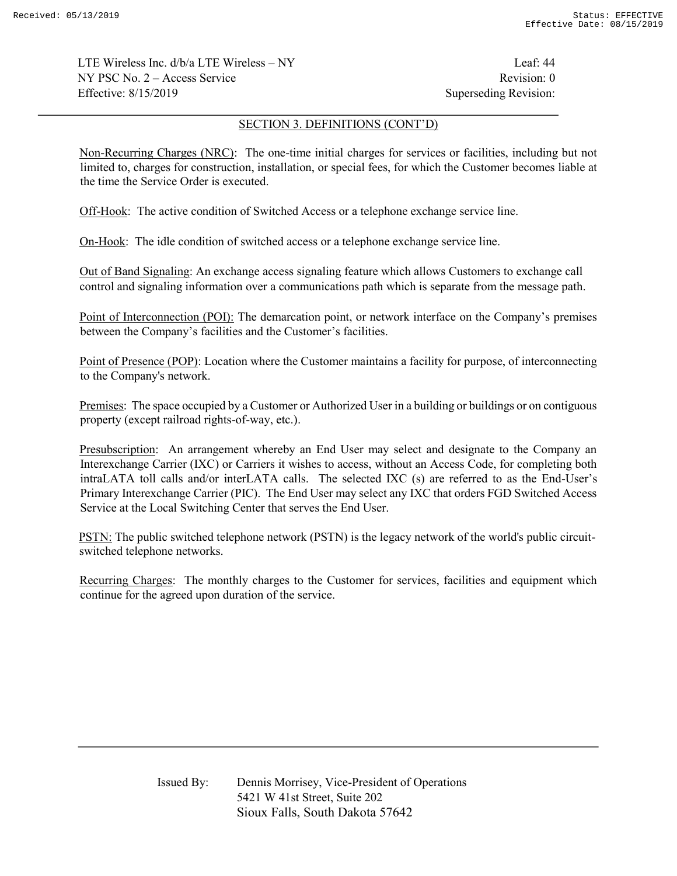LTE Wireless Inc.  $d/b/a$  LTE Wireless – NY Leaf: 44  $NY PSC No. 2 - Access Service$  Revision: 0 Effective: 8/15/2019 Superseding Revision:

### SECTION 3. DEFINITIONS (CONT'D)

Non-Recurring Charges (NRC): The one-time initial charges for services or facilities, including but not limited to, charges for construction, installation, or special fees, for which the Customer becomes liable at the time the Service Order is executed.

Off-Hook: The active condition of Switched Access or a telephone exchange service line.

On-Hook: The idle condition of switched access or a telephone exchange service line.

Out of Band Signaling: An exchange access signaling feature which allows Customers to exchange call control and signaling information over a communications path which is separate from the message path.

Point of Interconnection (POI): The demarcation point, or network interface on the Company's premises between the Company's facilities and the Customer's facilities.

Point of Presence (POP): Location where the Customer maintains a facility for purpose, of interconnecting to the Company's network.

Premises: The space occupied by a Customer or Authorized User in a building or buildings or on contiguous property (except railroad rights-of-way, etc.).

Presubscription: An arrangement whereby an End User may select and designate to the Company an Interexchange Carrier (IXC) or Carriers it wishes to access, without an Access Code, for completing both intraLATA toll calls and/or interLATA calls. The selected IXC (s) are referred to as the End-User's Primary Interexchange Carrier (PIC). The End User may select any IXC that orders FGD Switched Access Service at the Local Switching Center that serves the End User.

PSTN: The public switched telephone network (PSTN) is the legacy network of the world's public circuitswitched telephone networks.

Recurring Charges: The monthly charges to the Customer for services, facilities and equipment which continue for the agreed upon duration of the service.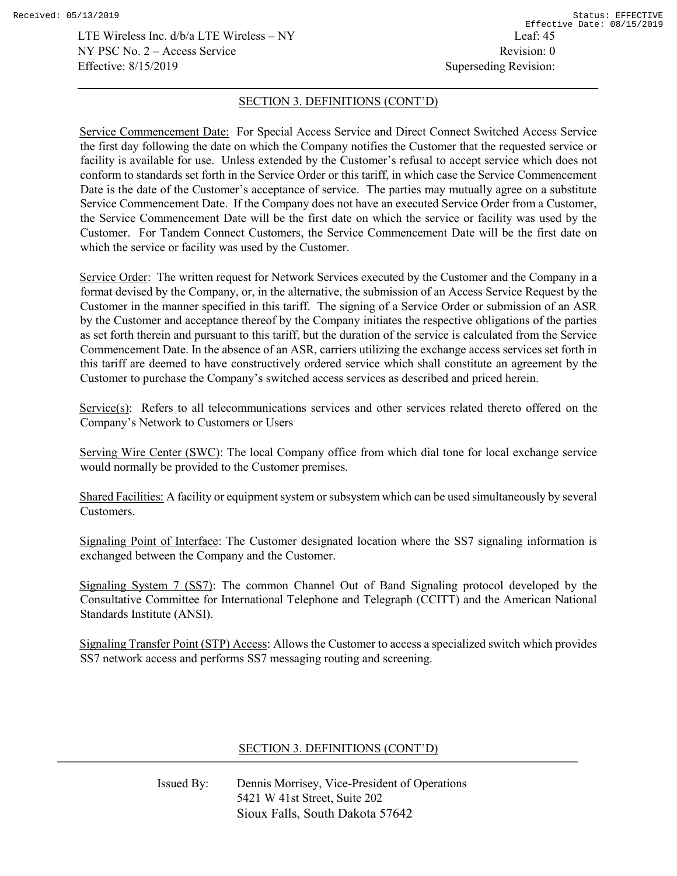LTE Wireless Inc. d/b/a LTE Wireless – NY Leaf: 45  $NY PSC No. 2 - Access Service$  Revision: 0 Effective: 8/15/2019 Superseding Revision:

#### SECTION 3. DEFINITIONS (CONT'D)

Service Commencement Date: For Special Access Service and Direct Connect Switched Access Service the first day following the date on which the Company notifies the Customer that the requested service or facility is available for use. Unless extended by the Customer's refusal to accept service which does not conform to standards set forth in the Service Order or this tariff, in which case the Service Commencement Date is the date of the Customer's acceptance of service. The parties may mutually agree on a substitute Service Commencement Date. If the Company does not have an executed Service Order from a Customer, the Service Commencement Date will be the first date on which the service or facility was used by the Customer. For Tandem Connect Customers, the Service Commencement Date will be the first date on which the service or facility was used by the Customer.

Service Order: The written request for Network Services executed by the Customer and the Company in a format devised by the Company, or, in the alternative, the submission of an Access Service Request by the Customer in the manner specified in this tariff. The signing of a Service Order or submission of an ASR by the Customer and acceptance thereof by the Company initiates the respective obligations of the parties as set forth therein and pursuant to this tariff, but the duration of the service is calculated from the Service Commencement Date. In the absence of an ASR, carriers utilizing the exchange access services set forth in this tariff are deemed to have constructively ordered service which shall constitute an agreement by the Customer to purchase the Company's switched access services as described and priced herein.

Service(s): Refers to all telecommunications services and other services related thereto offered on the Company's Network to Customers or Users

Serving Wire Center (SWC): The local Company office from which dial tone for local exchange service would normally be provided to the Customer premises.

Shared Facilities: A facility or equipment system or subsystem which can be used simultaneously by several Customers.

Signaling Point of Interface: The Customer designated location where the SS7 signaling information is exchanged between the Company and the Customer.

Signaling System 7 (SS7): The common Channel Out of Band Signaling protocol developed by the Consultative Committee for International Telephone and Telegraph (CCITT) and the American National Standards Institute (ANSI).

Signaling Transfer Point (STP) Access: Allows the Customer to access a specialized switch which provides SS7 network access and performs SS7 messaging routing and screening.

# SECTION 3. DEFINITIONS (CONT'D)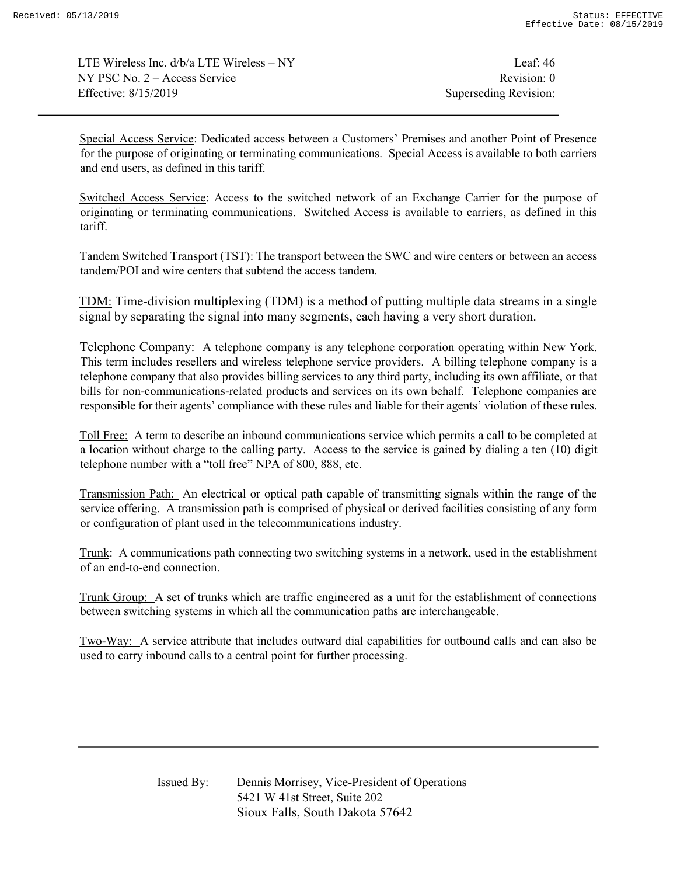LTE Wireless Inc.  $d/b/a$  LTE Wireless – NY Leaf: 46  $NY PSC No. 2 - Access Service$  Revision: 0 Effective: 8/15/2019 Superseding Revision:

Special Access Service: Dedicated access between a Customers' Premises and another Point of Presence for the purpose of originating or terminating communications. Special Access is available to both carriers and end users, as defined in this tariff.

Switched Access Service: Access to the switched network of an Exchange Carrier for the purpose of originating or terminating communications. Switched Access is available to carriers, as defined in this tariff.

Tandem Switched Transport (TST): The transport between the SWC and wire centers or between an access tandem/POI and wire centers that subtend the access tandem.

TDM: Time-division multiplexing (TDM) is a method of putting multiple data streams in a single signal by separating the signal into many segments, each having a very short duration.

Telephone Company: A telephone company is any telephone corporation operating within New York. This term includes resellers and wireless telephone service providers. A billing telephone company is a telephone company that also provides billing services to any third party, including its own affiliate, or that bills for non-communications-related products and services on its own behalf. Telephone companies are responsible for their agents' compliance with these rules and liable for their agents' violation of these rules.

Toll Free: A term to describe an inbound communications service which permits a call to be completed at a location without charge to the calling party. Access to the service is gained by dialing a ten (10) digit telephone number with a "toll free" NPA of 800, 888, etc.

Transmission Path: An electrical or optical path capable of transmitting signals within the range of the service offering. A transmission path is comprised of physical or derived facilities consisting of any form or configuration of plant used in the telecommunications industry.

Trunk: A communications path connecting two switching systems in a network, used in the establishment of an end-to-end connection.

Trunk Group: A set of trunks which are traffic engineered as a unit for the establishment of connections between switching systems in which all the communication paths are interchangeable.

Two-Way: A service attribute that includes outward dial capabilities for outbound calls and can also be used to carry inbound calls to a central point for further processing.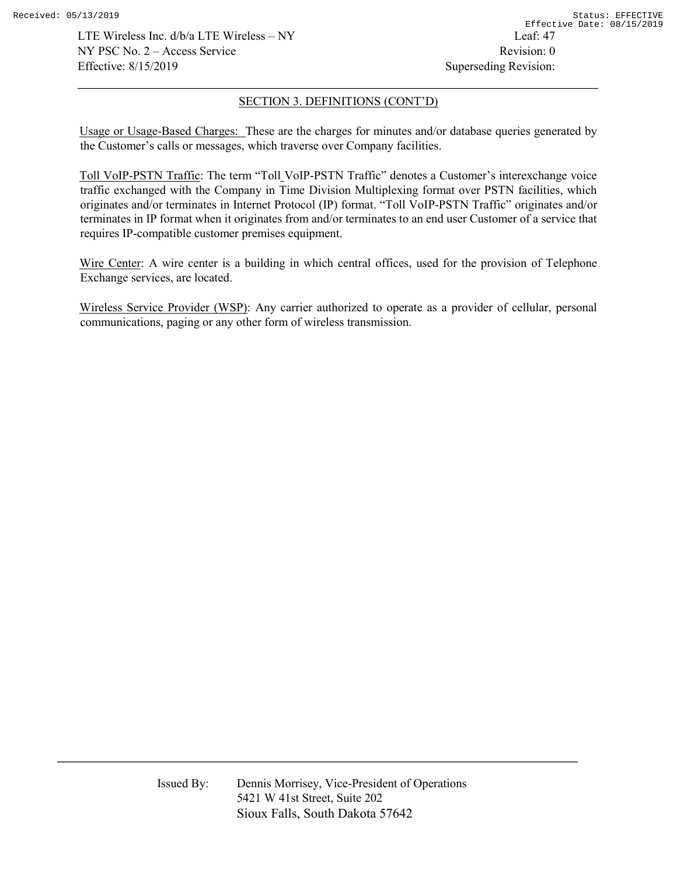LTE Wireless Inc. d/b/a LTE Wireless – NY Leaf: 47  $NY PSC No. 2 - Access Service$  Revision: 0 Effective: 8/15/2019 Superseding Revision:

## SECTION 3. DEFINITIONS (CONT'D)

Usage or Usage-Based Charges: These are the charges for minutes and/or database queries generated by the Customer's calls or messages, which traverse over Company facilities.

Toll VoIP-PSTN Traffic: The term "Toll VoIP-PSTN Traffic" denotes a Customer's interexchange voice traffic exchanged with the Company in Time Division Multiplexing format over PSTN facilities, which originates and/or terminates in Internet Protocol (IP) format. "Toll VoIP-PSTN Traffic" originates and/or terminates in IP format when it originates from and/or terminates to an end user Customer of a service that requires IP-compatible customer premises equipment.

Wire Center: A wire center is a building in which central offices, used for the provision of Telephone Exchange services, are located.

Wireless Service Provider (WSP): Any carrier authorized to operate as a provider of cellular, personal communications, paging or any other form of wireless transmission.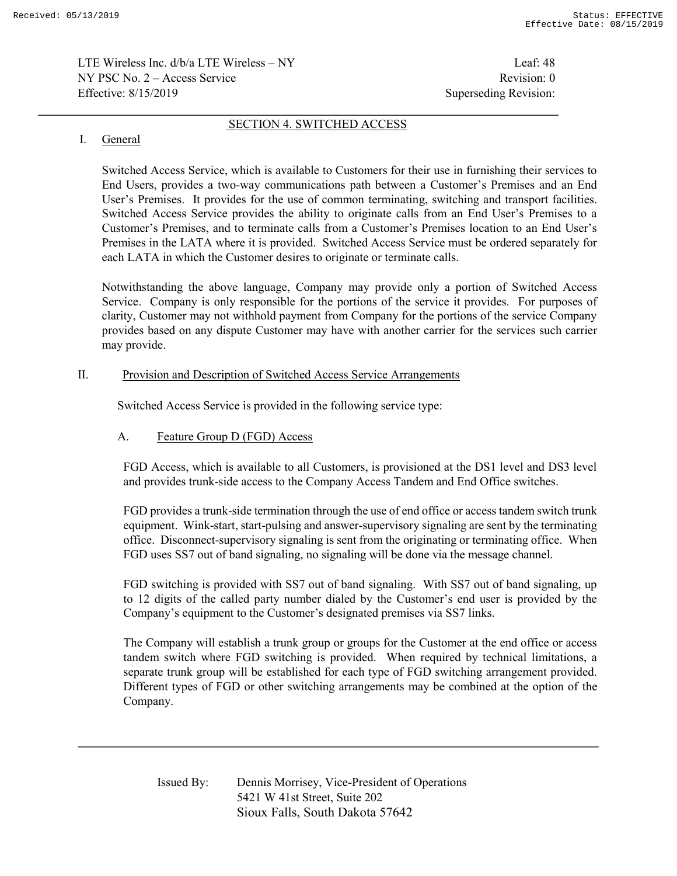LTE Wireless Inc. d/b/a LTE Wireless – NY Leaf: 48  $NY PSC No. 2 - Access Service$  Revision: 0 Effective: 8/15/2019 Superseding Revision:

# I. General

Switched Access Service, which is available to Customers for their use in furnishing their services to End Users, provides a two-way communications path between a Customer's Premises and an End User's Premises. It provides for the use of common terminating, switching and transport facilities. Switched Access Service provides the ability to originate calls from an End User's Premises to a Customer's Premises, and to terminate calls from a Customer's Premises location to an End User's Premises in the LATA where it is provided. Switched Access Service must be ordered separately for each LATA in which the Customer desires to originate or terminate calls.

SECTION 4. SWITCHED ACCESS

Notwithstanding the above language, Company may provide only a portion of Switched Access Service. Company is only responsible for the portions of the service it provides. For purposes of clarity, Customer may not withhold payment from Company for the portions of the service Company provides based on any dispute Customer may have with another carrier for the services such carrier may provide.

### II. Provision and Description of Switched Access Service Arrangements

Switched Access Service is provided in the following service type:

## A. Feature Group D (FGD) Access

 FGD Access, which is available to all Customers, is provisioned at the DS1 level and DS3 level and provides trunk-side access to the Company Access Tandem and End Office switches.

 FGD provides a trunk-side termination through the use of end office or access tandem switch trunk equipment. Wink-start, start-pulsing and answer-supervisory signaling are sent by the terminating office. Disconnect-supervisory signaling is sent from the originating or terminating office. When FGD uses SS7 out of band signaling, no signaling will be done via the message channel.

 FGD switching is provided with SS7 out of band signaling. With SS7 out of band signaling, up to 12 digits of the called party number dialed by the Customer's end user is provided by the Company's equipment to the Customer's designated premises via SS7 links.

 The Company will establish a trunk group or groups for the Customer at the end office or access tandem switch where FGD switching is provided. When required by technical limitations, a separate trunk group will be established for each type of FGD switching arrangement provided. Different types of FGD or other switching arrangements may be combined at the option of the Company.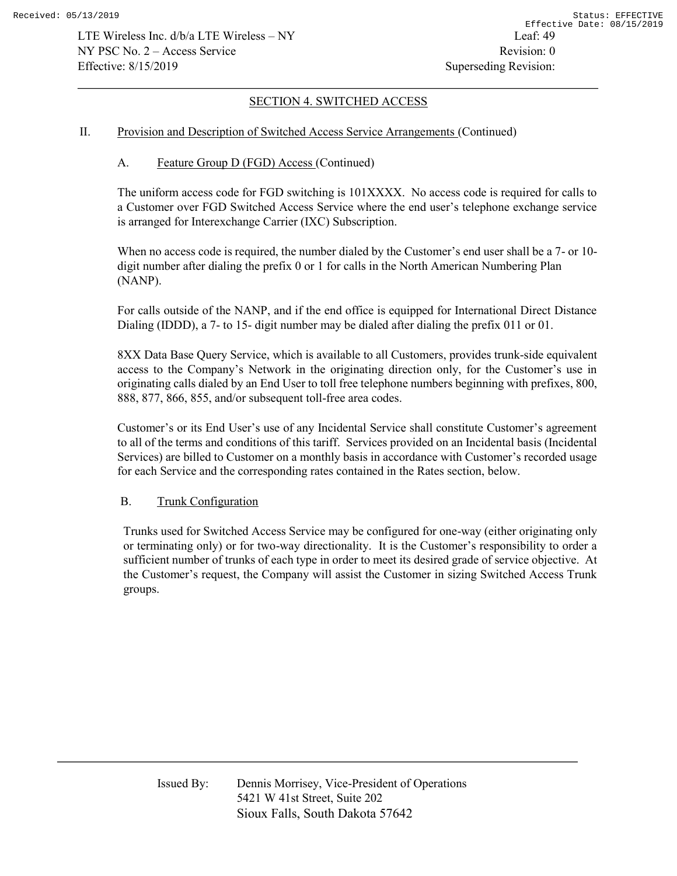### II. Provision and Description of Switched Access Service Arrangements (Continued)

## A. Feature Group D (FGD) Access (Continued)

The uniform access code for FGD switching is 101XXXX. No access code is required for calls to a Customer over FGD Switched Access Service where the end user's telephone exchange service is arranged for Interexchange Carrier (IXC) Subscription.

 When no access code is required, the number dialed by the Customer's end user shall be a 7- or 10 digit number after dialing the prefix 0 or 1 for calls in the North American Numbering Plan (NANP).

For calls outside of the NANP, and if the end office is equipped for International Direct Distance Dialing (IDDD), a 7- to 15- digit number may be dialed after dialing the prefix 011 or 01.

8XX Data Base Query Service, which is available to all Customers, provides trunk-side equivalent access to the Company's Network in the originating direction only, for the Customer's use in originating calls dialed by an End User to toll free telephone numbers beginning with prefixes, 800, 888, 877, 866, 855, and/or subsequent toll-free area codes.

Customer's or its End User's use of any Incidental Service shall constitute Customer's agreement to all of the terms and conditions of this tariff. Services provided on an Incidental basis (Incidental Services) are billed to Customer on a monthly basis in accordance with Customer's recorded usage for each Service and the corresponding rates contained in the Rates section, below.

## B. Trunk Configuration

Trunks used for Switched Access Service may be configured for one-way (either originating only or terminating only) or for two-way directionality. It is the Customer's responsibility to order a sufficient number of trunks of each type in order to meet its desired grade of service objective. At the Customer's request, the Company will assist the Customer in sizing Switched Access Trunk groups.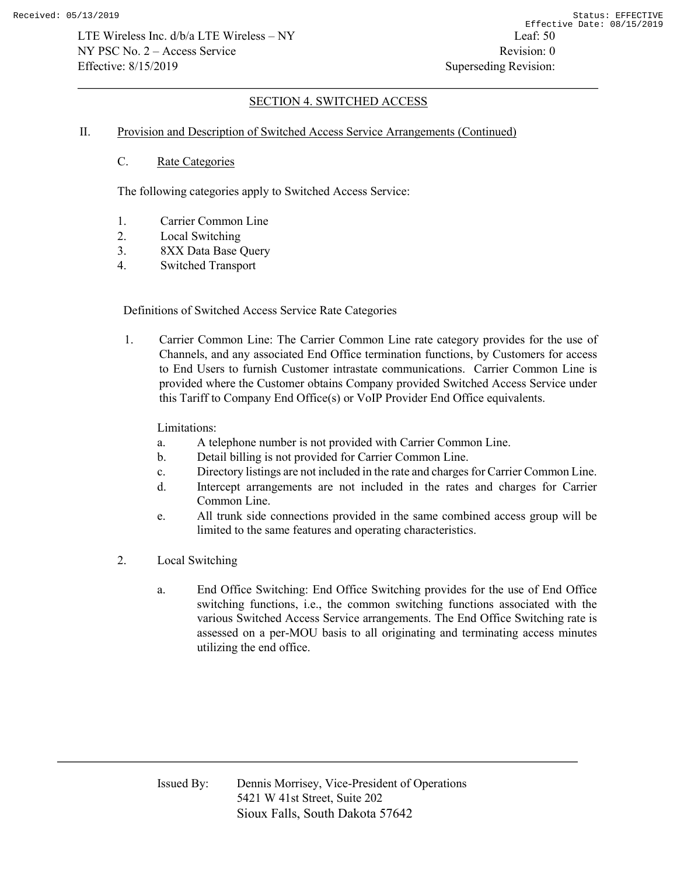### II. Provision and Description of Switched Access Service Arrangements (Continued)

C. Rate Categories

The following categories apply to Switched Access Service:

- 1. Carrier Common Line
- 2. Local Switching
- 3. 8XX Data Base Query
- 4. Switched Transport

## Definitions of Switched Access Service Rate Categories

1. Carrier Common Line: The Carrier Common Line rate category provides for the use of Channels, and any associated End Office termination functions, by Customers for access to End Users to furnish Customer intrastate communications. Carrier Common Line is provided where the Customer obtains Company provided Switched Access Service under this Tariff to Company End Office(s) or VoIP Provider End Office equivalents.

## Limitations:

- a. A telephone number is not provided with Carrier Common Line.
- b. Detail billing is not provided for Carrier Common Line.
- c. Directory listings are not included in the rate and charges for Carrier Common Line.
- d. Intercept arrangements are not included in the rates and charges for Carrier Common Line.
- e. All trunk side connections provided in the same combined access group will be limited to the same features and operating characteristics.
- 2. Local Switching
	- a. End Office Switching: End Office Switching provides for the use of End Office switching functions, i.e., the common switching functions associated with the various Switched Access Service arrangements. The End Office Switching rate is assessed on a per-MOU basis to all originating and terminating access minutes utilizing the end office.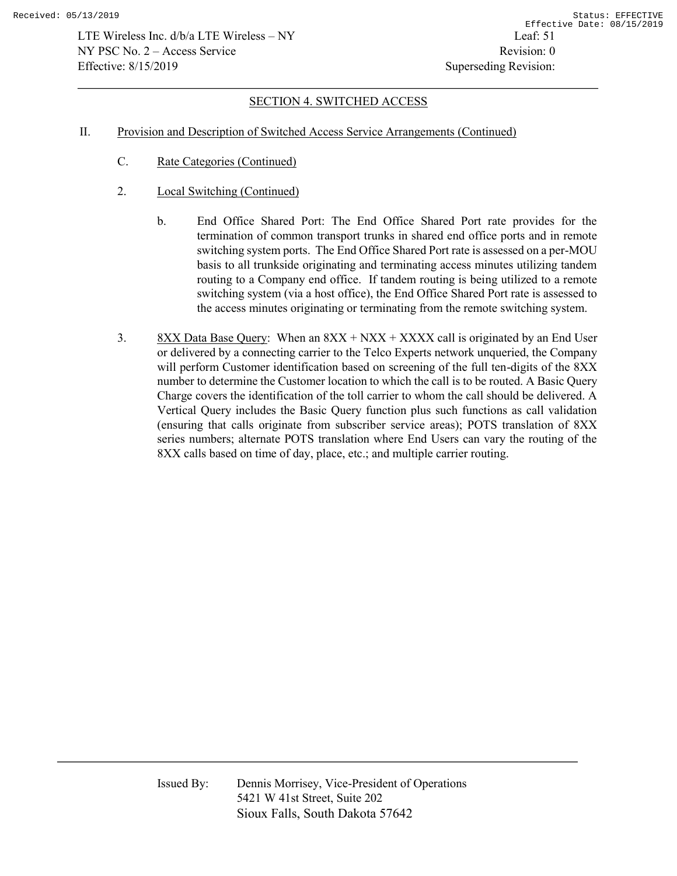- II. Provision and Description of Switched Access Service Arrangements (Continued)
	- C. Rate Categories (Continued)
	- 2. Local Switching (Continued)
		- b. End Office Shared Port: The End Office Shared Port rate provides for the termination of common transport trunks in shared end office ports and in remote switching system ports. The End Office Shared Port rate is assessed on a per-MOU basis to all trunkside originating and terminating access minutes utilizing tandem routing to a Company end office. If tandem routing is being utilized to a remote switching system (via a host office), the End Office Shared Port rate is assessed to the access minutes originating or terminating from the remote switching system.
	- 3. 8XX Data Base Query: When an  $8XX + NXX + XXXX$  call is originated by an End User or delivered by a connecting carrier to the Telco Experts network unqueried, the Company will perform Customer identification based on screening of the full ten-digits of the 8XX number to determine the Customer location to which the call is to be routed. A Basic Query Charge covers the identification of the toll carrier to whom the call should be delivered. A Vertical Query includes the Basic Query function plus such functions as call validation (ensuring that calls originate from subscriber service areas); POTS translation of 8XX series numbers; alternate POTS translation where End Users can vary the routing of the 8XX calls based on time of day, place, etc.; and multiple carrier routing.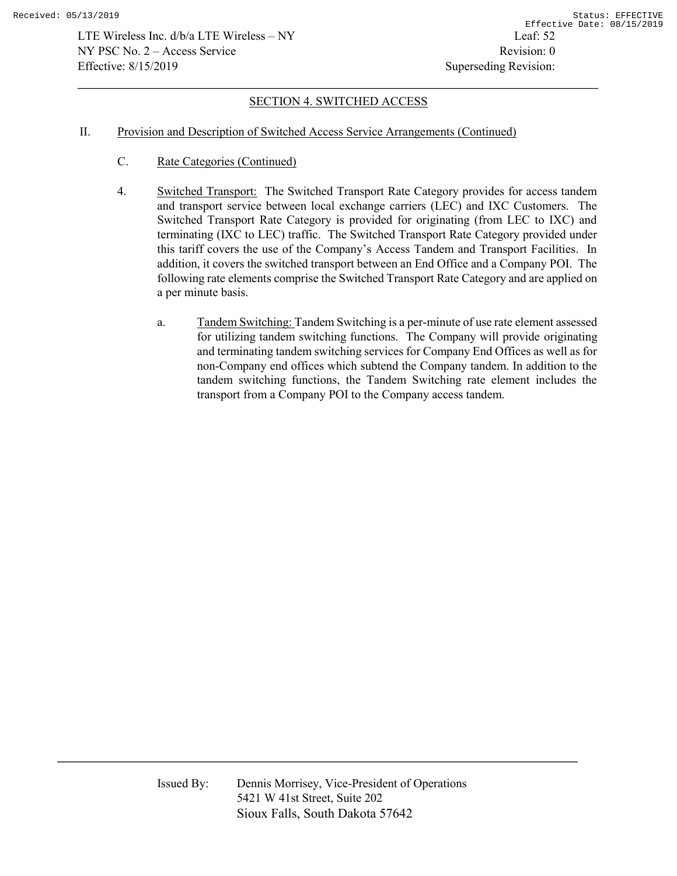### II. Provision and Description of Switched Access Service Arrangements (Continued)

- C. Rate Categories (Continued)
- 4. Switched Transport: The Switched Transport Rate Category provides for access tandem and transport service between local exchange carriers (LEC) and IXC Customers. The Switched Transport Rate Category is provided for originating (from LEC to IXC) and terminating (IXC to LEC) traffic. The Switched Transport Rate Category provided under this tariff covers the use of the Company's Access Tandem and Transport Facilities. In addition, it covers the switched transport between an End Office and a Company POI. The following rate elements comprise the Switched Transport Rate Category and are applied on a per minute basis.
	- a. Tandem Switching: Tandem Switching is a per-minute of use rate element assessed for utilizing tandem switching functions. The Company will provide originating and terminating tandem switching services for Company End Offices as well as for non-Company end offices which subtend the Company tandem. In addition to the tandem switching functions, the Tandem Switching rate element includes the transport from a Company POI to the Company access tandem.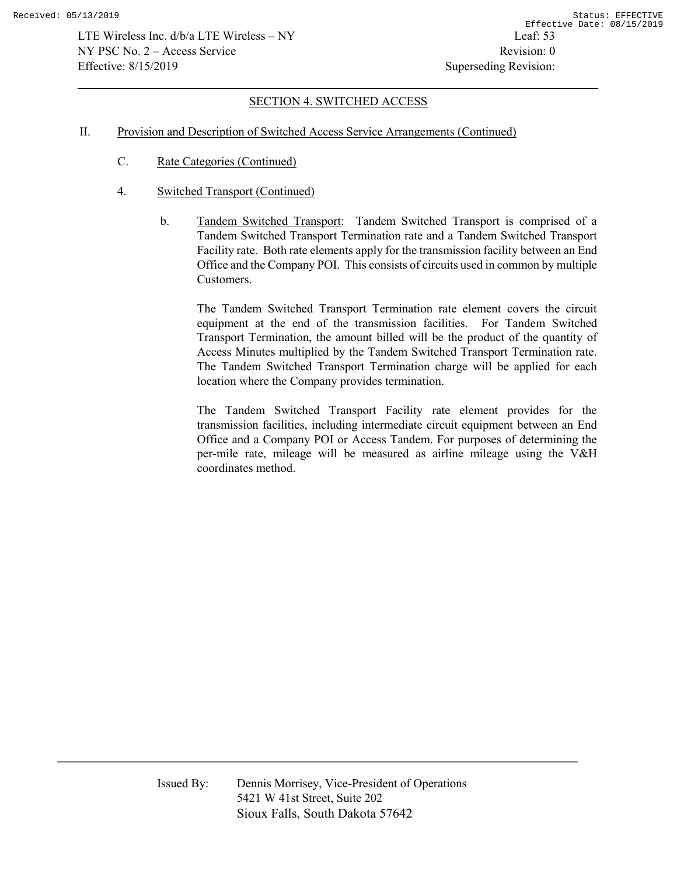### II. Provision and Description of Switched Access Service Arrangements (Continued)

- C. Rate Categories (Continued)
- 4. Switched Transport (Continued)
	- b. Tandem Switched Transport: Tandem Switched Transport is comprised of a Tandem Switched Transport Termination rate and a Tandem Switched Transport Facility rate. Both rate elements apply for the transmission facility between an End Office and the Company POI. This consists of circuits used in common by multiple Customers.

 The Tandem Switched Transport Termination rate element covers the circuit equipment at the end of the transmission facilities. For Tandem Switched Transport Termination, the amount billed will be the product of the quantity of Access Minutes multiplied by the Tandem Switched Transport Termination rate. The Tandem Switched Transport Termination charge will be applied for each location where the Company provides termination.

 The Tandem Switched Transport Facility rate element provides for the transmission facilities, including intermediate circuit equipment between an End Office and a Company POI or Access Tandem. For purposes of determining the per-mile rate, mileage will be measured as airline mileage using the V&H coordinates method.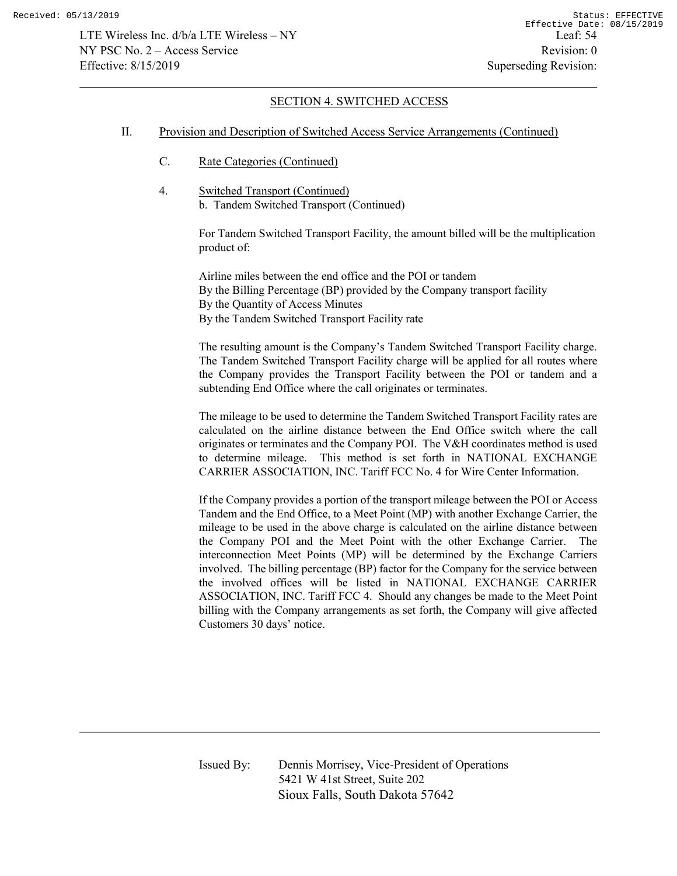#### II. Provision and Description of Switched Access Service Arrangements (Continued)

- C. Rate Categories (Continued)
- 4. Switched Transport (Continued) b. Tandem Switched Transport (Continued)

For Tandem Switched Transport Facility, the amount billed will be the multiplication product of:

Airline miles between the end office and the POI or tandem By the Billing Percentage (BP) provided by the Company transport facility By the Quantity of Access Minutes By the Tandem Switched Transport Facility rate

The resulting amount is the Company's Tandem Switched Transport Facility charge. The Tandem Switched Transport Facility charge will be applied for all routes where the Company provides the Transport Facility between the POI or tandem and a subtending End Office where the call originates or terminates.

The mileage to be used to determine the Tandem Switched Transport Facility rates are calculated on the airline distance between the End Office switch where the call originates or terminates and the Company POI. The V&H coordinates method is used to determine mileage. This method is set forth in NATIONAL EXCHANGE CARRIER ASSOCIATION, INC. Tariff FCC No. 4 for Wire Center Information.

If the Company provides a portion of the transport mileage between the POI or Access Tandem and the End Office, to a Meet Point (MP) with another Exchange Carrier, the mileage to be used in the above charge is calculated on the airline distance between the Company POI and the Meet Point with the other Exchange Carrier. The interconnection Meet Points (MP) will be determined by the Exchange Carriers involved. The billing percentage (BP) factor for the Company for the service between the involved offices will be listed in NATIONAL EXCHANGE CARRIER ASSOCIATION, INC. Tariff FCC 4. Should any changes be made to the Meet Point billing with the Company arrangements as set forth, the Company will give affected Customers 30 days' notice.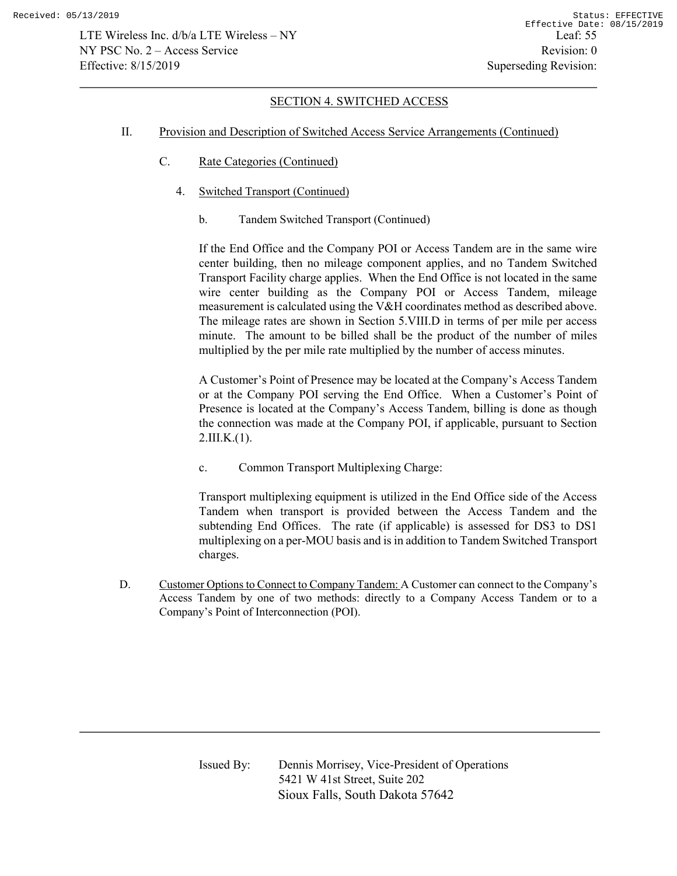- II. Provision and Description of Switched Access Service Arrangements (Continued)
	- C. Rate Categories (Continued)
		- 4. Switched Transport (Continued)
			- b. Tandem Switched Transport (Continued)

If the End Office and the Company POI or Access Tandem are in the same wire center building, then no mileage component applies, and no Tandem Switched Transport Facility charge applies. When the End Office is not located in the same wire center building as the Company POI or Access Tandem, mileage measurement is calculated using the V&H coordinates method as described above. The mileage rates are shown in Section 5.VIII.D in terms of per mile per access minute. The amount to be billed shall be the product of the number of miles multiplied by the per mile rate multiplied by the number of access minutes.

A Customer's Point of Presence may be located at the Company's Access Tandem or at the Company POI serving the End Office. When a Customer's Point of Presence is located at the Company's Access Tandem, billing is done as though the connection was made at the Company POI, if applicable, pursuant to Section  $2.III.K.(1).$ 

c. Common Transport Multiplexing Charge:

Transport multiplexing equipment is utilized in the End Office side of the Access Tandem when transport is provided between the Access Tandem and the subtending End Offices. The rate (if applicable) is assessed for DS3 to DS1 multiplexing on a per-MOU basis and is in addition to Tandem Switched Transport charges.

D. Customer Options to Connect to Company Tandem: A Customer can connect to the Company's Access Tandem by one of two methods: directly to a Company Access Tandem or to a Company's Point of Interconnection (POI).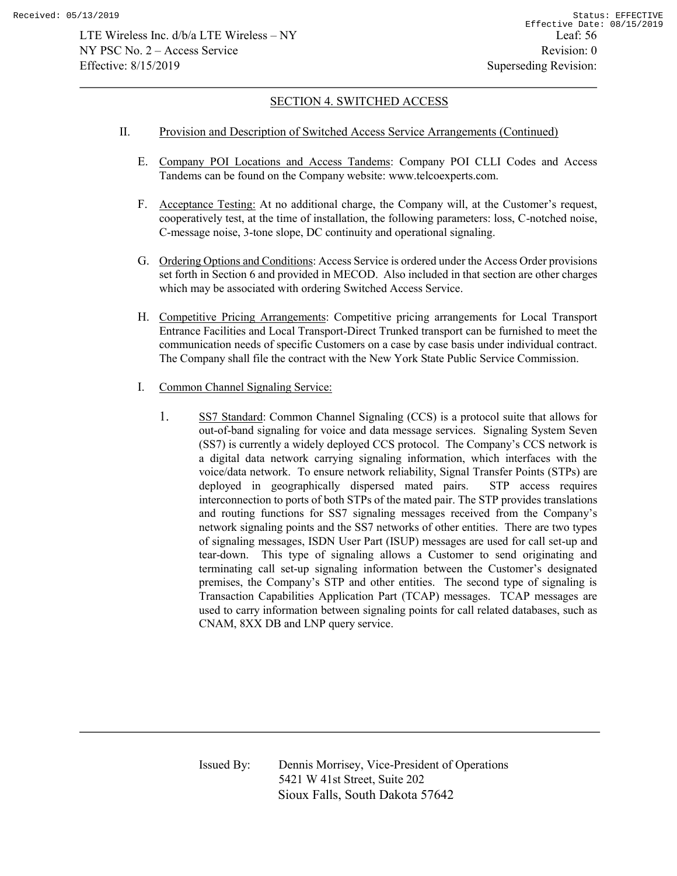#### II. Provision and Description of Switched Access Service Arrangements (Continued)

- E. Company POI Locations and Access Tandems: Company POI CLLI Codes and Access Tandems can be found on the Company website: www.telcoexperts.com.
- F. Acceptance Testing: At no additional charge, the Company will, at the Customer's request, cooperatively test, at the time of installation, the following parameters: loss, C-notched noise, C-message noise, 3-tone slope, DC continuity and operational signaling.
- G. Ordering Options and Conditions: Access Service is ordered under the Access Order provisions set forth in Section 6 and provided in MECOD. Also included in that section are other charges which may be associated with ordering Switched Access Service.
- H. Competitive Pricing Arrangements: Competitive pricing arrangements for Local Transport Entrance Facilities and Local Transport-Direct Trunked transport can be furnished to meet the communication needs of specific Customers on a case by case basis under individual contract. The Company shall file the contract with the New York State Public Service Commission.
- I. Common Channel Signaling Service:
	- 1. SS7 Standard: Common Channel Signaling (CCS) is a protocol suite that allows for out-of-band signaling for voice and data message services. Signaling System Seven (SS7) is currently a widely deployed CCS protocol. The Company's CCS network is a digital data network carrying signaling information, which interfaces with the voice/data network. To ensure network reliability, Signal Transfer Points (STPs) are deployed in geographically dispersed mated pairs. STP access requires interconnection to ports of both STPs of the mated pair. The STP provides translations and routing functions for SS7 signaling messages received from the Company's network signaling points and the SS7 networks of other entities. There are two types of signaling messages, ISDN User Part (ISUP) messages are used for call set-up and tear-down. This type of signaling allows a Customer to send originating and terminating call set-up signaling information between the Customer's designated premises, the Company's STP and other entities. The second type of signaling is Transaction Capabilities Application Part (TCAP) messages. TCAP messages are used to carry information between signaling points for call related databases, such as CNAM, 8XX DB and LNP query service.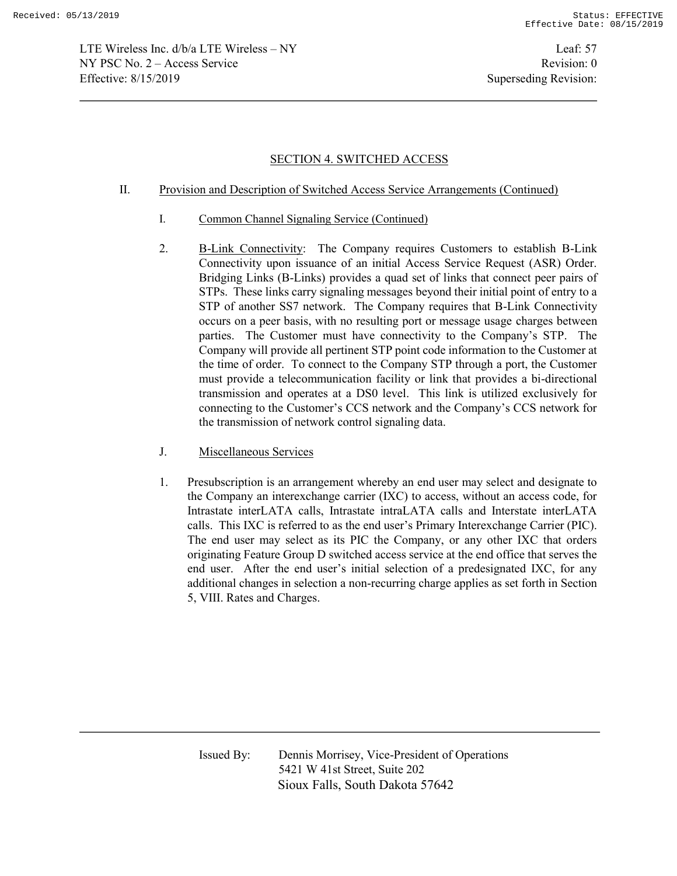#### II. Provision and Description of Switched Access Service Arrangements (Continued)

- I. Common Channel Signaling Service (Continued)
- 2. B-Link Connectivity: The Company requires Customers to establish B-Link Connectivity upon issuance of an initial Access Service Request (ASR) Order. Bridging Links (B-Links) provides a quad set of links that connect peer pairs of STPs. These links carry signaling messages beyond their initial point of entry to a STP of another SS7 network. The Company requires that B-Link Connectivity occurs on a peer basis, with no resulting port or message usage charges between parties. The Customer must have connectivity to the Company's STP. The Company will provide all pertinent STP point code information to the Customer at the time of order. To connect to the Company STP through a port, the Customer must provide a telecommunication facility or link that provides a bi-directional transmission and operates at a DS0 level. This link is utilized exclusively for connecting to the Customer's CCS network and the Company's CCS network for the transmission of network control signaling data.
- J. Miscellaneous Services
- 1. Presubscription is an arrangement whereby an end user may select and designate to the Company an interexchange carrier (IXC) to access, without an access code, for Intrastate interLATA calls, Intrastate intraLATA calls and Interstate interLATA calls. This IXC is referred to as the end user's Primary Interexchange Carrier (PIC). The end user may select as its PIC the Company, or any other IXC that orders originating Feature Group D switched access service at the end office that serves the end user. After the end user's initial selection of a predesignated IXC, for any additional changes in selection a non-recurring charge applies as set forth in Section 5, VIII. Rates and Charges.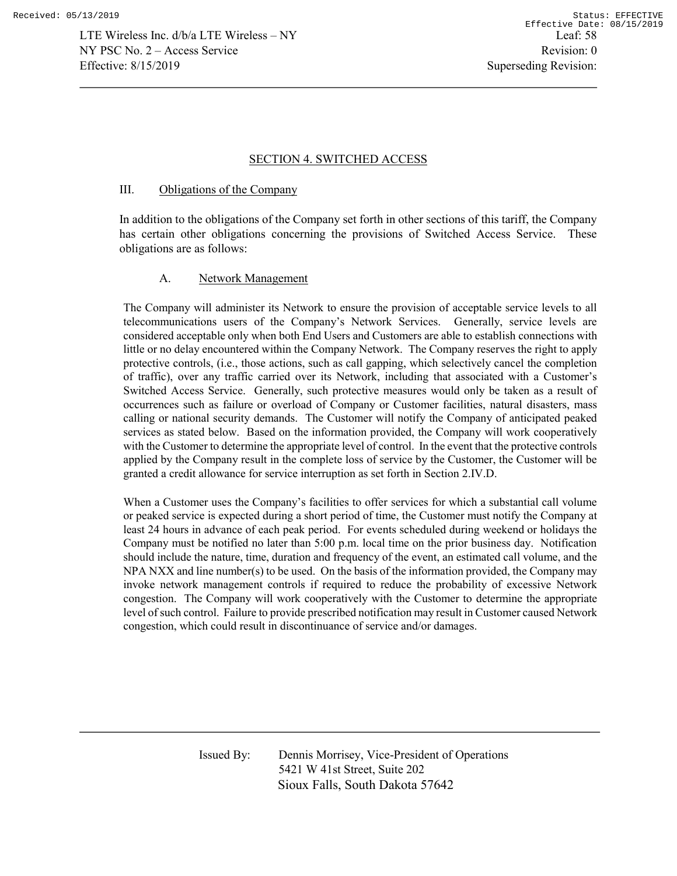### III. Obligations of the Company

In addition to the obligations of the Company set forth in other sections of this tariff, the Company has certain other obligations concerning the provisions of Switched Access Service. These obligations are as follows:

## A. Network Management

 The Company will administer its Network to ensure the provision of acceptable service levels to all telecommunications users of the Company's Network Services. Generally, service levels are considered acceptable only when both End Users and Customers are able to establish connections with little or no delay encountered within the Company Network. The Company reserves the right to apply protective controls, (i.e., those actions, such as call gapping, which selectively cancel the completion of traffic), over any traffic carried over its Network, including that associated with a Customer's Switched Access Service. Generally, such protective measures would only be taken as a result of occurrences such as failure or overload of Company or Customer facilities, natural disasters, mass calling or national security demands. The Customer will notify the Company of anticipated peaked services as stated below. Based on the information provided, the Company will work cooperatively with the Customer to determine the appropriate level of control. In the event that the protective controls applied by the Company result in the complete loss of service by the Customer, the Customer will be granted a credit allowance for service interruption as set forth in Section 2.IV.D.

 When a Customer uses the Company's facilities to offer services for which a substantial call volume or peaked service is expected during a short period of time, the Customer must notify the Company at least 24 hours in advance of each peak period. For events scheduled during weekend or holidays the Company must be notified no later than 5:00 p.m. local time on the prior business day. Notification should include the nature, time, duration and frequency of the event, an estimated call volume, and the NPA NXX and line number(s) to be used. On the basis of the information provided, the Company may invoke network management controls if required to reduce the probability of excessive Network congestion. The Company will work cooperatively with the Customer to determine the appropriate level of such control. Failure to provide prescribed notification may result in Customer caused Network congestion, which could result in discontinuance of service and/or damages.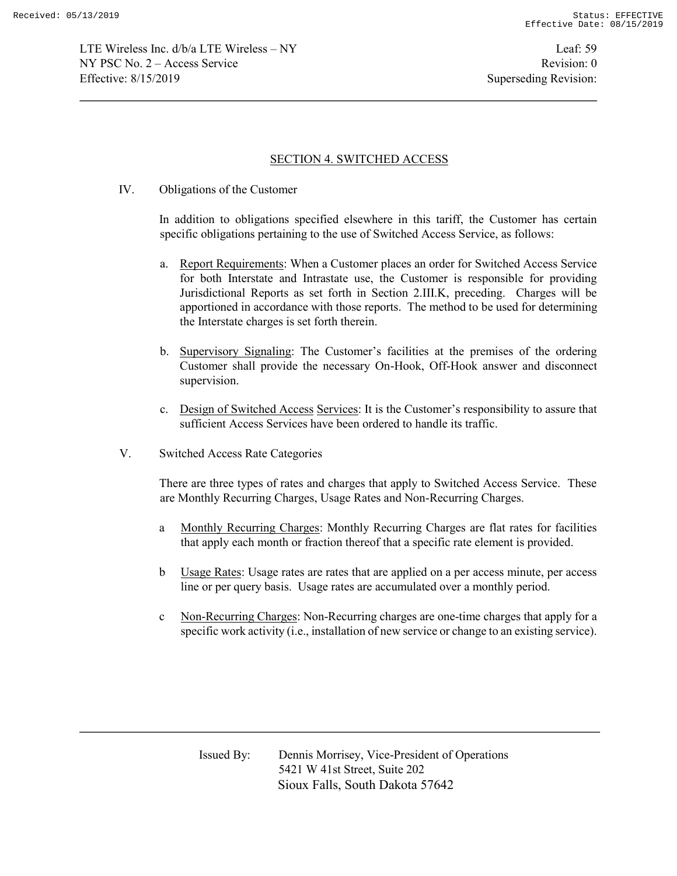LTE Wireless Inc. d/b/a LTE Wireless – NY Leaf: 59 NY PSC No. 2 – Access Service Revision: 0 Effective: 8/15/2019 Superseding Revision:

### SECTION 4. SWITCHED ACCESS

IV. Obligations of the Customer

In addition to obligations specified elsewhere in this tariff, the Customer has certain specific obligations pertaining to the use of Switched Access Service, as follows:

- a. Report Requirements: When a Customer places an order for Switched Access Service for both Interstate and Intrastate use, the Customer is responsible for providing Jurisdictional Reports as set forth in Section 2.III.K, preceding. Charges will be apportioned in accordance with those reports. The method to be used for determining the Interstate charges is set forth therein.
- b. Supervisory Signaling: The Customer's facilities at the premises of the ordering Customer shall provide the necessary On-Hook, Off-Hook answer and disconnect supervision.
- c. Design of Switched Access Services: It is the Customer's responsibility to assure that sufficient Access Services have been ordered to handle its traffic.
- V. Switched Access Rate Categories

There are three types of rates and charges that apply to Switched Access Service. These are Monthly Recurring Charges, Usage Rates and Non-Recurring Charges.

- a Monthly Recurring Charges: Monthly Recurring Charges are flat rates for facilities that apply each month or fraction thereof that a specific rate element is provided.
- b Usage Rates: Usage rates are rates that are applied on a per access minute, per access line or per query basis. Usage rates are accumulated over a monthly period.
- c Non-Recurring Charges: Non-Recurring charges are one-time charges that apply for a specific work activity (i.e., installation of new service or change to an existing service).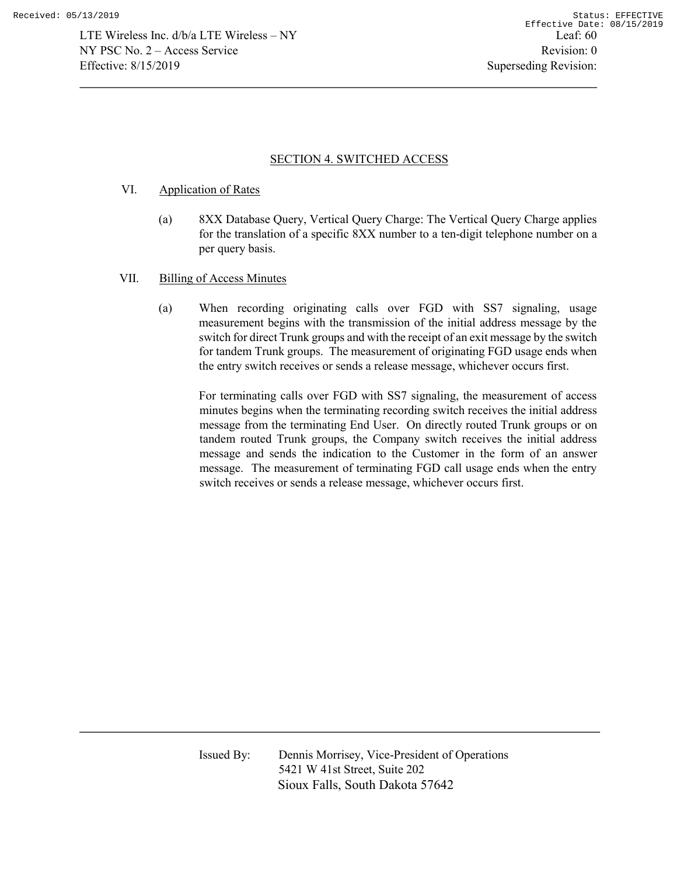### VI. Application of Rates

- (a) 8XX Database Query, Vertical Query Charge: The Vertical Query Charge applies for the translation of a specific 8XX number to a ten-digit telephone number on a per query basis.
- VII. Billing of Access Minutes
	- (a) When recording originating calls over FGD with SS7 signaling, usage measurement begins with the transmission of the initial address message by the switch for direct Trunk groups and with the receipt of an exit message by the switch for tandem Trunk groups. The measurement of originating FGD usage ends when the entry switch receives or sends a release message, whichever occurs first.

For terminating calls over FGD with SS7 signaling, the measurement of access minutes begins when the terminating recording switch receives the initial address message from the terminating End User. On directly routed Trunk groups or on tandem routed Trunk groups, the Company switch receives the initial address message and sends the indication to the Customer in the form of an answer message. The measurement of terminating FGD call usage ends when the entry switch receives or sends a release message, whichever occurs first.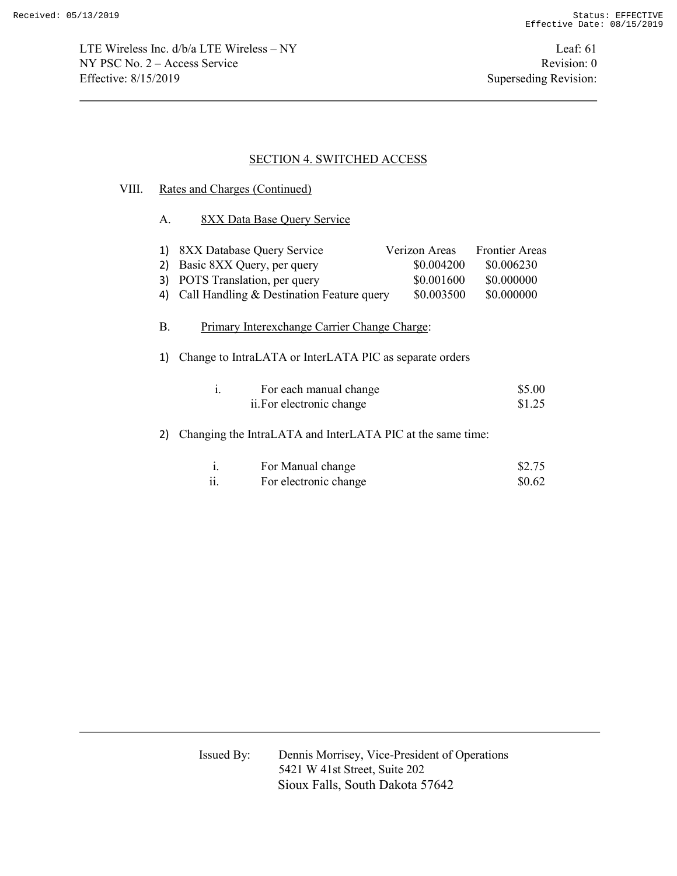LTE Wireless Inc. d/b/a LTE Wireless – NY Leaf: 61 NY PSC No. 2 – Access Service Revision: 0 Effective: 8/15/2019 Superseding Revision:

### SECTION 4. SWITCHED ACCESS

### VIII. Rates and Charges (Continued)

A. 8XX Data Base Query Service

| 1) 8XX Database Query Service                | Verizon Areas | <b>Frontier Areas</b> |
|----------------------------------------------|---------------|-----------------------|
| 2) Basic 8XX Query, per query                | \$0.004200    | \$0.006230            |
| 3) POTS Translation, per query               | \$0.001600    | \$0.000000            |
| 4) Call Handling & Destination Feature query | \$0.003500    | \$0.000000            |

# B. Primary Interexchange Carrier Change Charge:

1) Change to IntraLATA or InterLATA PIC as separate orders

| For each manual change    | \$5.00 |
|---------------------------|--------|
| ii. For electronic change | \$1.25 |

# 2) Changing the IntraLATA and InterLATA PIC at the same time:

|               | For Manual change     | \$2.75 |
|---------------|-----------------------|--------|
| $\cdot \cdot$ | For electronic change | \$0.62 |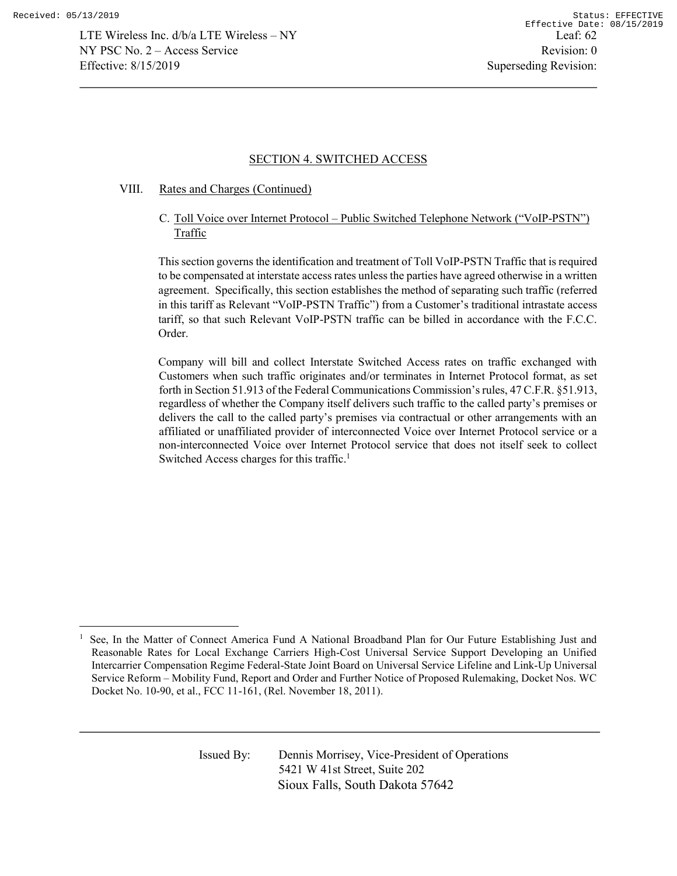l

### SECTION 4. SWITCHED ACCESS

### VIII. Rates and Charges (Continued)

C. Toll Voice over Internet Protocol – Public Switched Telephone Network ("VoIP-PSTN") Traffic

This section governs the identification and treatment of Toll VoIP-PSTN Traffic that is required to be compensated at interstate access rates unless the parties have agreed otherwise in a written agreement. Specifically, this section establishes the method of separating such traffic (referred in this tariff as Relevant "VoIP-PSTN Traffic") from a Customer's traditional intrastate access tariff, so that such Relevant VoIP-PSTN traffic can be billed in accordance with the F.C.C. Order.

Company will bill and collect Interstate Switched Access rates on traffic exchanged with Customers when such traffic originates and/or terminates in Internet Protocol format, as set forth in Section 51.913 of the Federal Communications Commission's rules, 47 C.F.R. §51.913, regardless of whether the Company itself delivers such traffic to the called party's premises or delivers the call to the called party's premises via contractual or other arrangements with an affiliated or unaffiliated provider of interconnected Voice over Internet Protocol service or a non-interconnected Voice over Internet Protocol service that does not itself seek to collect Switched Access charges for this traffic.<sup>1</sup>

<sup>1</sup> See, In the Matter of Connect America Fund A National Broadband Plan for Our Future Establishing Just and Reasonable Rates for Local Exchange Carriers High-Cost Universal Service Support Developing an Unified Intercarrier Compensation Regime Federal-State Joint Board on Universal Service Lifeline and Link-Up Universal Service Reform – Mobility Fund, Report and Order and Further Notice of Proposed Rulemaking, Docket Nos. WC Docket No. 10-90, et al., FCC 11-161, (Rel. November 18, 2011).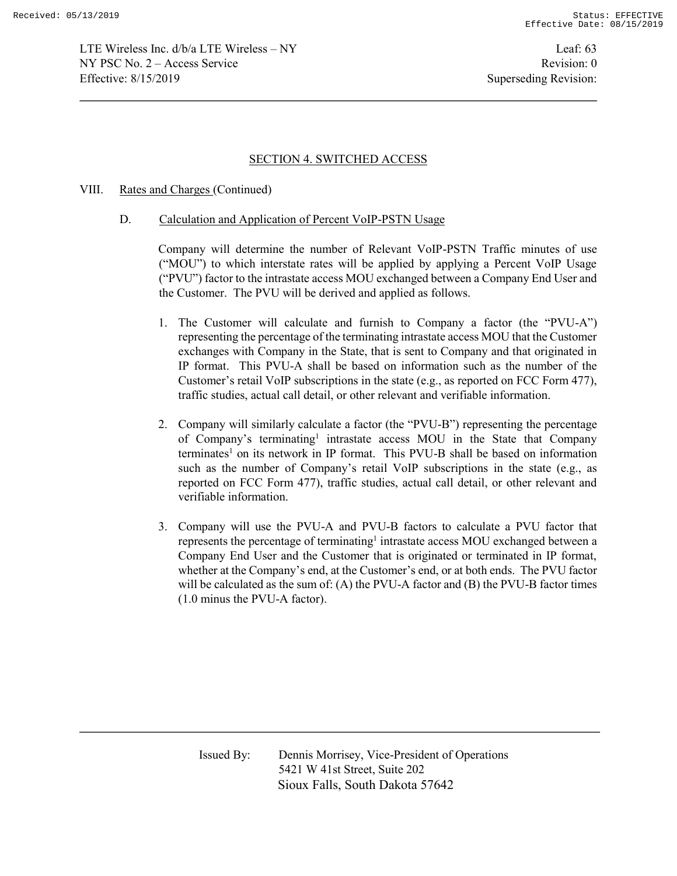LTE Wireless Inc. d/b/a LTE Wireless – NY Leaf: 63 NY PSC No. 2 – Access Service Revision: 0 Effective: 8/15/2019 Superseding Revision:

### SECTION 4. SWITCHED ACCESS

#### VIII. Rates and Charges (Continued)

#### D. Calculation and Application of Percent VoIP-PSTN Usage

Company will determine the number of Relevant VoIP-PSTN Traffic minutes of use ("MOU") to which interstate rates will be applied by applying a Percent VoIP Usage ("PVU") factor to the intrastate access MOU exchanged between a Company End User and the Customer. The PVU will be derived and applied as follows.

- 1. The Customer will calculate and furnish to Company a factor (the "PVU-A") representing the percentage of the terminating intrastate access MOU that the Customer exchanges with Company in the State, that is sent to Company and that originated in IP format. This PVU-A shall be based on information such as the number of the Customer's retail VoIP subscriptions in the state (e.g., as reported on FCC Form 477), traffic studies, actual call detail, or other relevant and verifiable information.
- 2. Company will similarly calculate a factor (the "PVU-B") representing the percentage of Company's terminating<sup>1</sup> intrastate access MOU in the State that Company terminates<sup>1</sup> on its network in IP format. This PVU-B shall be based on information such as the number of Company's retail VoIP subscriptions in the state (e.g., as reported on FCC Form 477), traffic studies, actual call detail, or other relevant and verifiable information.
- 3. Company will use the PVU-A and PVU-B factors to calculate a PVU factor that represents the percentage of terminating<sup>1</sup> intrastate access MOU exchanged between a Company End User and the Customer that is originated or terminated in IP format, whether at the Company's end, at the Customer's end, or at both ends. The PVU factor will be calculated as the sum of: (A) the PVU-A factor and (B) the PVU-B factor times (1.0 minus the PVU-A factor).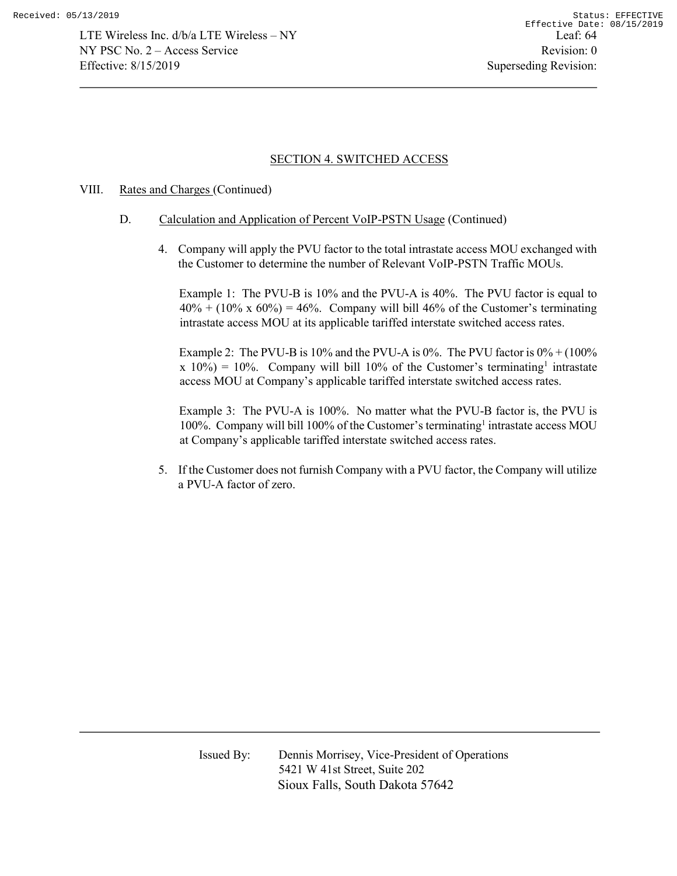## VIII. Rates and Charges (Continued)

- D. Calculation and Application of Percent VoIP-PSTN Usage (Continued)
	- 4. Company will apply the PVU factor to the total intrastate access MOU exchanged with the Customer to determine the number of Relevant VoIP-PSTN Traffic MOUs.

Example 1: The PVU-B is 10% and the PVU-A is 40%. The PVU factor is equal to  $40\% + (10\% \times 60\%) = 46\%$ . Company will bill 46% of the Customer's terminating intrastate access MOU at its applicable tariffed interstate switched access rates.

Example 2: The PVU-B is 10% and the PVU-A is 0%. The PVU factor is  $0\% + (100\%$  $x 10\% = 10\%$ . Company will bill 10% of the Customer's terminating<sup>1</sup> intrastate access MOU at Company's applicable tariffed interstate switched access rates.

Example 3: The PVU-A is 100%. No matter what the PVU-B factor is, the PVU is 100%. Company will bill 100% of the Customer's terminating<sup>1</sup> intrastate access MOU at Company's applicable tariffed interstate switched access rates.

5. If the Customer does not furnish Company with a PVU factor, the Company will utilize a PVU-A factor of zero.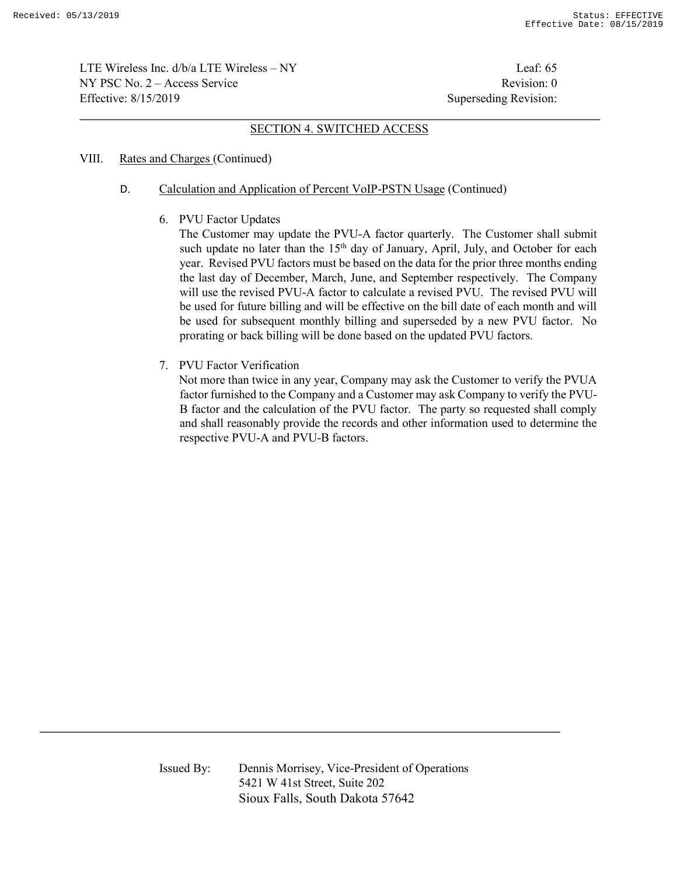LTE Wireless Inc. d/b/a LTE Wireless – NY Leaf: 65  $NY PSC No. 2 - Access Service$  Revision: 0 Effective: 8/15/2019 Superseding Revision:

#### SECTION 4. SWITCHED ACCESS

#### VIII. Rates and Charges (Continued)

#### D. Calculation and Application of Percent VoIP-PSTN Usage (Continued)

6. PVU Factor Updates

The Customer may update the PVU-A factor quarterly. The Customer shall submit such update no later than the  $15<sup>th</sup>$  day of January, April, July, and October for each year. Revised PVU factors must be based on the data for the prior three months ending the last day of December, March, June, and September respectively. The Company will use the revised PVU-A factor to calculate a revised PVU. The revised PVU will be used for future billing and will be effective on the bill date of each month and will be used for subsequent monthly billing and superseded by a new PVU factor. No prorating or back billing will be done based on the updated PVU factors.

7. PVU Factor Verification

Not more than twice in any year, Company may ask the Customer to verify the PVUA factor furnished to the Company and a Customer may ask Company to verify the PVU-B factor and the calculation of the PVU factor. The party so requested shall comply and shall reasonably provide the records and other information used to determine the respective PVU-A and PVU-B factors.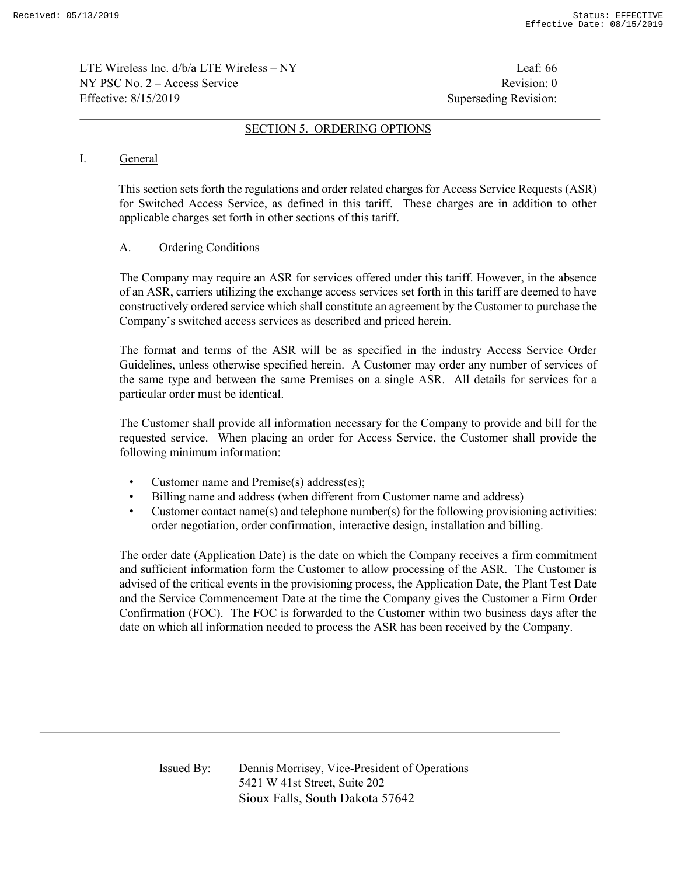LTE Wireless Inc. d/b/a LTE Wireless – NY Leaf: 66  $NY PSC No. 2 - Access Service$  Revision: 0 Effective: 8/15/2019 Superseding Revision:

#### SECTION 5. ORDERING OPTIONS

### I. General

This section sets forth the regulations and order related charges for Access Service Requests (ASR) for Switched Access Service, as defined in this tariff. These charges are in addition to other applicable charges set forth in other sections of this tariff.

### A. Ordering Conditions

The Company may require an ASR for services offered under this tariff. However, in the absence of an ASR, carriers utilizing the exchange access services set forth in this tariff are deemed to have constructively ordered service which shall constitute an agreement by the Customer to purchase the Company's switched access services as described and priced herein.

The format and terms of the ASR will be as specified in the industry Access Service Order Guidelines, unless otherwise specified herein. A Customer may order any number of services of the same type and between the same Premises on a single ASR. All details for services for a particular order must be identical.

The Customer shall provide all information necessary for the Company to provide and bill for the requested service. When placing an order for Access Service, the Customer shall provide the following minimum information:

- Customer name and Premise(s) address(es);
- Billing name and address (when different from Customer name and address)
- Customer contact name(s) and telephone number(s) for the following provisioning activities: order negotiation, order confirmation, interactive design, installation and billing.

The order date (Application Date) is the date on which the Company receives a firm commitment and sufficient information form the Customer to allow processing of the ASR. The Customer is advised of the critical events in the provisioning process, the Application Date, the Plant Test Date and the Service Commencement Date at the time the Company gives the Customer a Firm Order Confirmation (FOC). The FOC is forwarded to the Customer within two business days after the date on which all information needed to process the ASR has been received by the Company.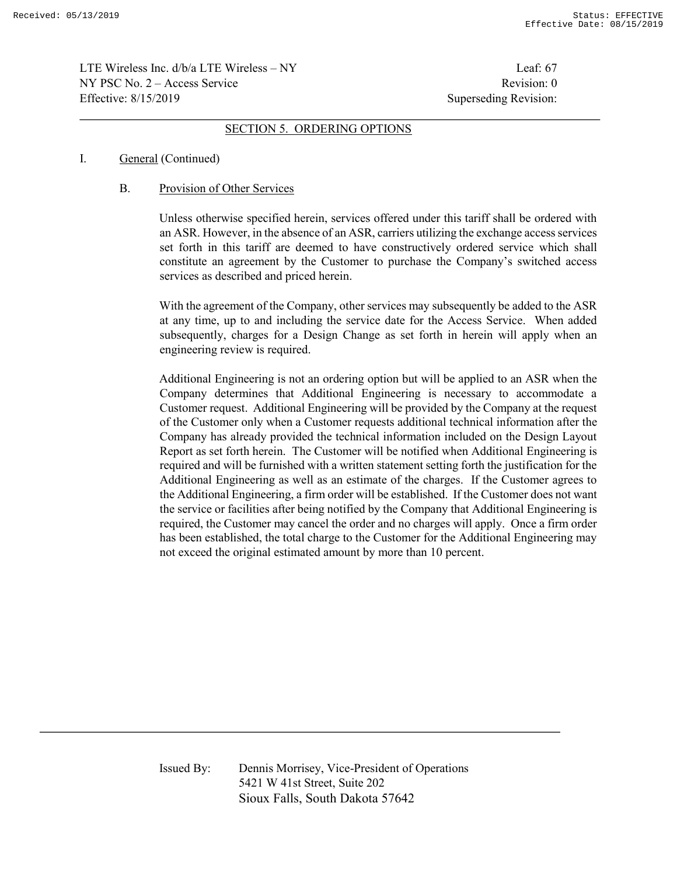LTE Wireless Inc.  $d/b/a$  LTE Wireless – NY Leaf: 67  $NY PSC No. 2 - Access Service$  Revision: 0 Effective: 8/15/2019 Superseding Revision:

#### SECTION 5. ORDERING OPTIONS

#### I. General (Continued)

### B. Provision of Other Services

Unless otherwise specified herein, services offered under this tariff shall be ordered with an ASR. However, in the absence of an ASR, carriers utilizing the exchange access services set forth in this tariff are deemed to have constructively ordered service which shall constitute an agreement by the Customer to purchase the Company's switched access services as described and priced herein.

With the agreement of the Company, other services may subsequently be added to the ASR at any time, up to and including the service date for the Access Service. When added subsequently, charges for a Design Change as set forth in herein will apply when an engineering review is required.

Additional Engineering is not an ordering option but will be applied to an ASR when the Company determines that Additional Engineering is necessary to accommodate a Customer request. Additional Engineering will be provided by the Company at the request of the Customer only when a Customer requests additional technical information after the Company has already provided the technical information included on the Design Layout Report as set forth herein. The Customer will be notified when Additional Engineering is required and will be furnished with a written statement setting forth the justification for the Additional Engineering as well as an estimate of the charges. If the Customer agrees to the Additional Engineering, a firm order will be established. If the Customer does not want the service or facilities after being notified by the Company that Additional Engineering is required, the Customer may cancel the order and no charges will apply. Once a firm order has been established, the total charge to the Customer for the Additional Engineering may not exceed the original estimated amount by more than 10 percent.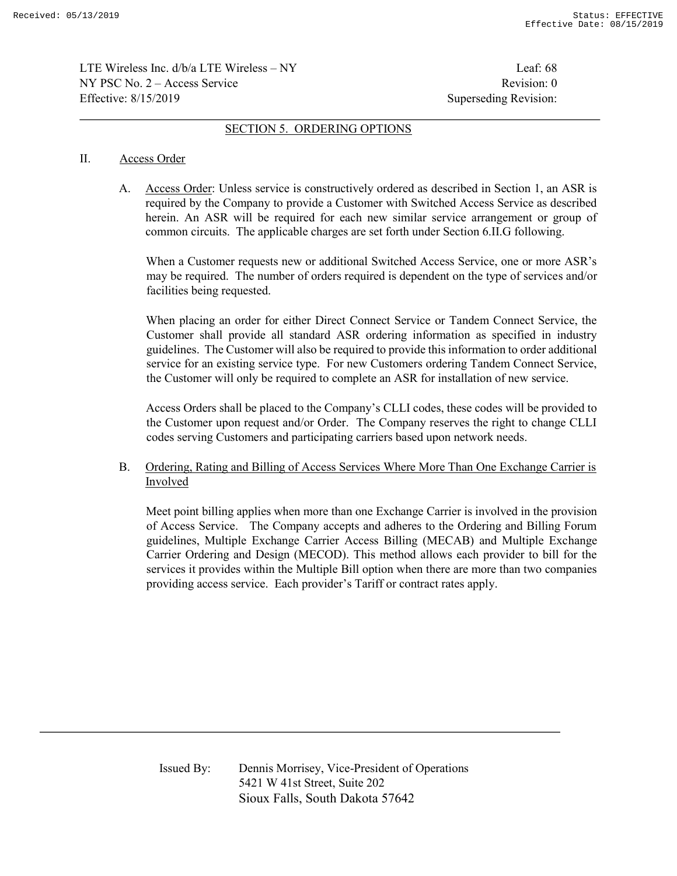LTE Wireless Inc.  $d/b/a$  LTE Wireless – NY Leaf: 68  $NY PSC No. 2 - Access Service$  Revision: 0 Effective: 8/15/2019 Superseding Revision:

#### SECTION 5. ORDERING OPTIONS

#### II. Access Order

A. Access Order: Unless service is constructively ordered as described in Section 1, an ASR is required by the Company to provide a Customer with Switched Access Service as described herein. An ASR will be required for each new similar service arrangement or group of common circuits. The applicable charges are set forth under Section 6.II.G following.

When a Customer requests new or additional Switched Access Service, one or more ASR's may be required. The number of orders required is dependent on the type of services and/or facilities being requested.

When placing an order for either Direct Connect Service or Tandem Connect Service, the Customer shall provide all standard ASR ordering information as specified in industry guidelines. The Customer will also be required to provide this information to order additional service for an existing service type. For new Customers ordering Tandem Connect Service, the Customer will only be required to complete an ASR for installation of new service.

Access Orders shall be placed to the Company's CLLI codes, these codes will be provided to the Customer upon request and/or Order. The Company reserves the right to change CLLI codes serving Customers and participating carriers based upon network needs.

## B. Ordering, Rating and Billing of Access Services Where More Than One Exchange Carrier is Involved

Meet point billing applies when more than one Exchange Carrier is involved in the provision of Access Service. The Company accepts and adheres to the Ordering and Billing Forum guidelines, Multiple Exchange Carrier Access Billing (MECAB) and Multiple Exchange Carrier Ordering and Design (MECOD). This method allows each provider to bill for the services it provides within the Multiple Bill option when there are more than two companies providing access service. Each provider's Tariff or contract rates apply.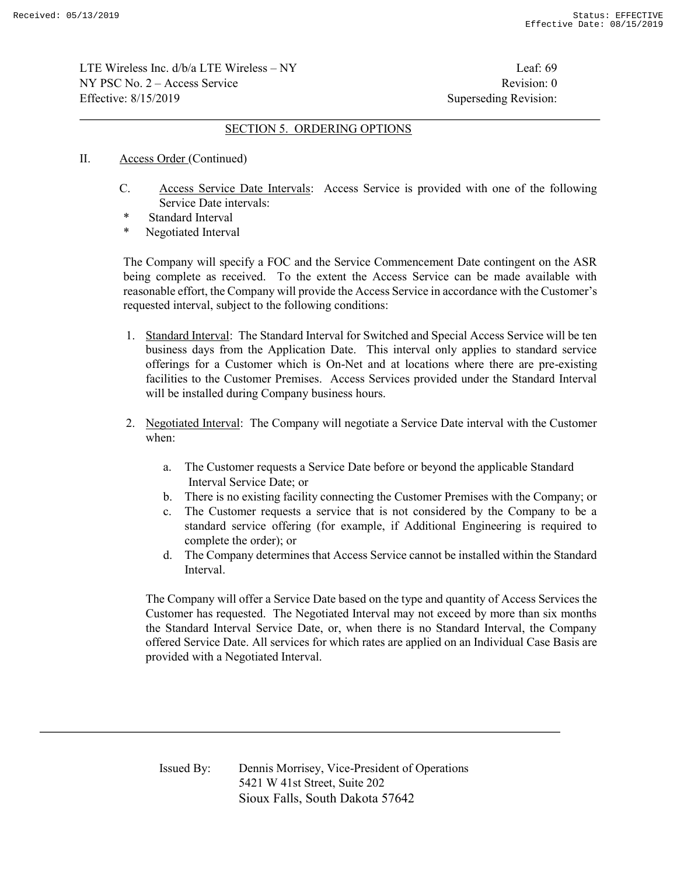LTE Wireless Inc.  $d/b/a$  LTE Wireless – NY Leaf: 69  $NY PSC No. 2 - Access Service$  Revision: 0 Effective: 8/15/2019 Superseding Revision:

#### SECTION 5. ORDERING OPTIONS

- II. Access Order (Continued)
	- C. Access Service Date Intervals: Access Service is provided with one of the following Service Date intervals:
	- \* Standard Interval
	- Negotiated Interval

The Company will specify a FOC and the Service Commencement Date contingent on the ASR being complete as received. To the extent the Access Service can be made available with reasonable effort, the Company will provide the Access Service in accordance with the Customer's requested interval, subject to the following conditions:

- 1. Standard Interval: The Standard Interval for Switched and Special Access Service will be ten business days from the Application Date. This interval only applies to standard service offerings for a Customer which is On-Net and at locations where there are pre-existing facilities to the Customer Premises. Access Services provided under the Standard Interval will be installed during Company business hours.
- 2. Negotiated Interval: The Company will negotiate a Service Date interval with the Customer when:
	- a. The Customer requests a Service Date before or beyond the applicable Standard Interval Service Date; or
	- b. There is no existing facility connecting the Customer Premises with the Company; or
	- c. The Customer requests a service that is not considered by the Company to be a standard service offering (for example, if Additional Engineering is required to complete the order); or
	- d. The Company determines that Access Service cannot be installed within the Standard Interval.

 The Company will offer a Service Date based on the type and quantity of Access Services the Customer has requested. The Negotiated Interval may not exceed by more than six months the Standard Interval Service Date, or, when there is no Standard Interval, the Company offered Service Date. All services for which rates are applied on an Individual Case Basis are provided with a Negotiated Interval.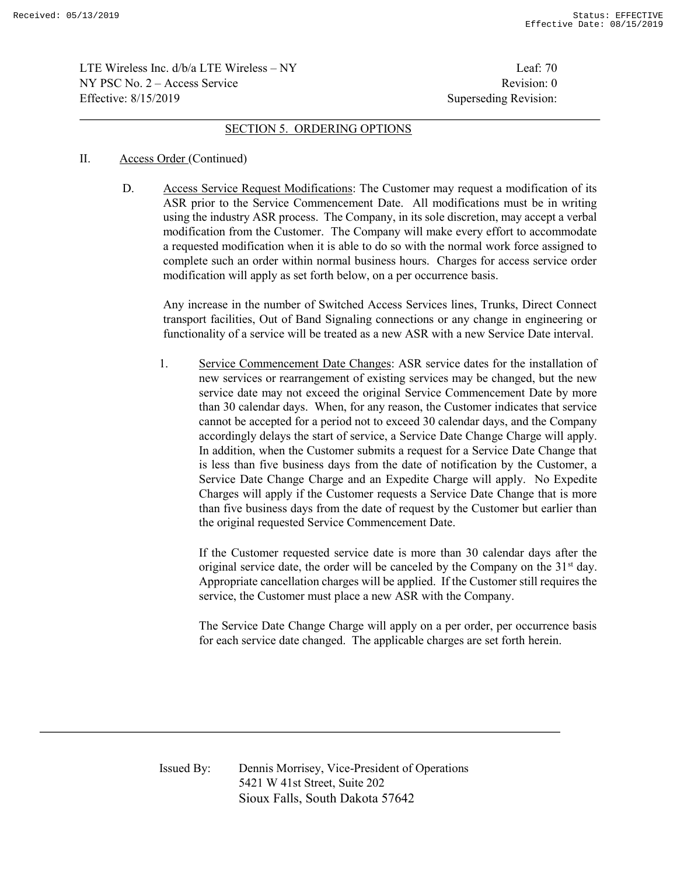LTE Wireless Inc.  $d/b/a$  LTE Wireless – NY Leaf: 70  $NY PSC No. 2 - Access Service$  Revision: 0 Effective: 8/15/2019 Superseding Revision:

#### SECTION 5. ORDERING OPTIONS

#### II. Access Order (Continued)

D. Access Service Request Modifications: The Customer may request a modification of its ASR prior to the Service Commencement Date. All modifications must be in writing using the industry ASR process. The Company, in its sole discretion, may accept a verbal modification from the Customer. The Company will make every effort to accommodate a requested modification when it is able to do so with the normal work force assigned to complete such an order within normal business hours. Charges for access service order modification will apply as set forth below, on a per occurrence basis.

Any increase in the number of Switched Access Services lines, Trunks, Direct Connect transport facilities, Out of Band Signaling connections or any change in engineering or functionality of a service will be treated as a new ASR with a new Service Date interval.

1. Service Commencement Date Changes: ASR service dates for the installation of new services or rearrangement of existing services may be changed, but the new service date may not exceed the original Service Commencement Date by more than 30 calendar days. When, for any reason, the Customer indicates that service cannot be accepted for a period not to exceed 30 calendar days, and the Company accordingly delays the start of service, a Service Date Change Charge will apply. In addition, when the Customer submits a request for a Service Date Change that is less than five business days from the date of notification by the Customer, a Service Date Change Charge and an Expedite Charge will apply. No Expedite Charges will apply if the Customer requests a Service Date Change that is more than five business days from the date of request by the Customer but earlier than the original requested Service Commencement Date.

 If the Customer requested service date is more than 30 calendar days after the original service date, the order will be canceled by the Company on the  $31<sup>st</sup>$  day. Appropriate cancellation charges will be applied. If the Customer still requires the service, the Customer must place a new ASR with the Company.

 The Service Date Change Charge will apply on a per order, per occurrence basis for each service date changed. The applicable charges are set forth herein.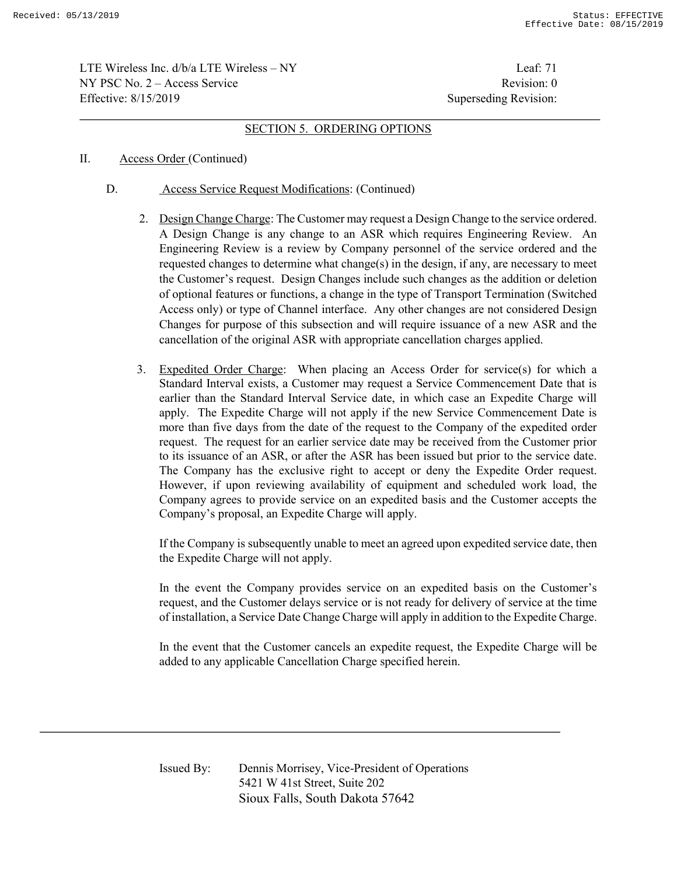LTE Wireless Inc.  $d/b/a$  LTE Wireless – NY Leaf: 71  $NY PSC No. 2 - Access Service$  Revision: 0 Effective: 8/15/2019 Superseding Revision:

#### SECTION 5. ORDERING OPTIONS

- II. Access Order (Continued)
	- D. Access Service Request Modifications: (Continued)
		- 2. Design Change Charge: The Customer may request a Design Change to the service ordered. A Design Change is any change to an ASR which requires Engineering Review. An Engineering Review is a review by Company personnel of the service ordered and the requested changes to determine what change(s) in the design, if any, are necessary to meet the Customer's request. Design Changes include such changes as the addition or deletion of optional features or functions, a change in the type of Transport Termination (Switched Access only) or type of Channel interface. Any other changes are not considered Design Changes for purpose of this subsection and will require issuance of a new ASR and the cancellation of the original ASR with appropriate cancellation charges applied.
		- 3. Expedited Order Charge: When placing an Access Order for service(s) for which a Standard Interval exists, a Customer may request a Service Commencement Date that is earlier than the Standard Interval Service date, in which case an Expedite Charge will apply. The Expedite Charge will not apply if the new Service Commencement Date is more than five days from the date of the request to the Company of the expedited order request. The request for an earlier service date may be received from the Customer prior to its issuance of an ASR, or after the ASR has been issued but prior to the service date. The Company has the exclusive right to accept or deny the Expedite Order request. However, if upon reviewing availability of equipment and scheduled work load, the Company agrees to provide service on an expedited basis and the Customer accepts the Company's proposal, an Expedite Charge will apply.

 If the Company is subsequently unable to meet an agreed upon expedited service date, then the Expedite Charge will not apply.

 In the event the Company provides service on an expedited basis on the Customer's request, and the Customer delays service or is not ready for delivery of service at the time of installation, a Service Date Change Charge will apply in addition to the Expedite Charge.

 In the event that the Customer cancels an expedite request, the Expedite Charge will be added to any applicable Cancellation Charge specified herein.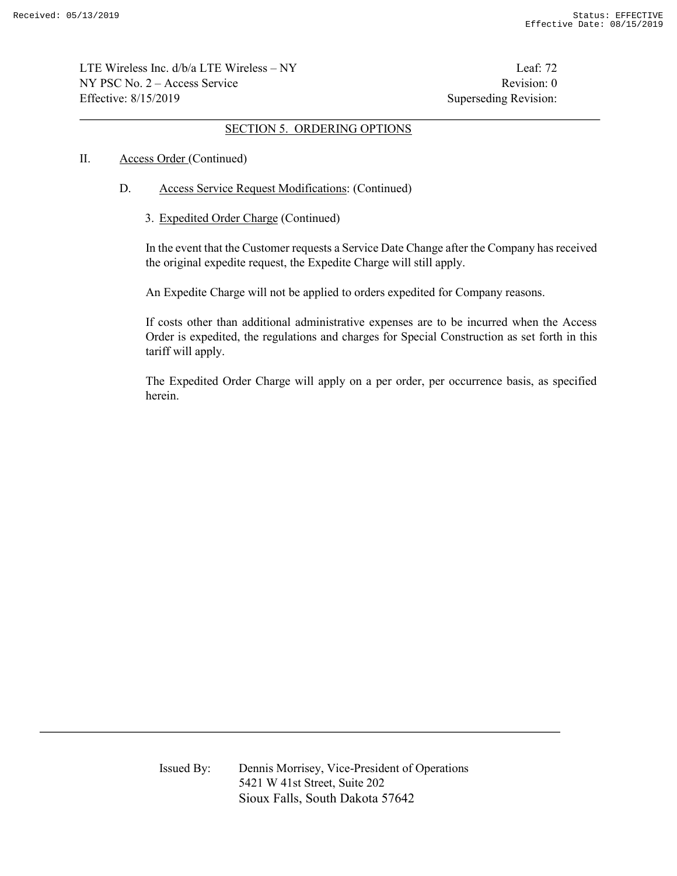LTE Wireless Inc. d/b/a LTE Wireless – NY Leaf: 72  $NY PSC No. 2 - Access Service$  Revision: 0 Effective: 8/15/2019 Superseding Revision:

#### SECTION 5. ORDERING OPTIONS

#### II. Access Order (Continued)

- D. Access Service Request Modifications: (Continued)
	- 3. Expedited Order Charge (Continued)

 In the event that the Customer requests a Service Date Change after the Company has received the original expedite request, the Expedite Charge will still apply.

An Expedite Charge will not be applied to orders expedited for Company reasons.

 If costs other than additional administrative expenses are to be incurred when the Access Order is expedited, the regulations and charges for Special Construction as set forth in this tariff will apply.

 The Expedited Order Charge will apply on a per order, per occurrence basis, as specified herein.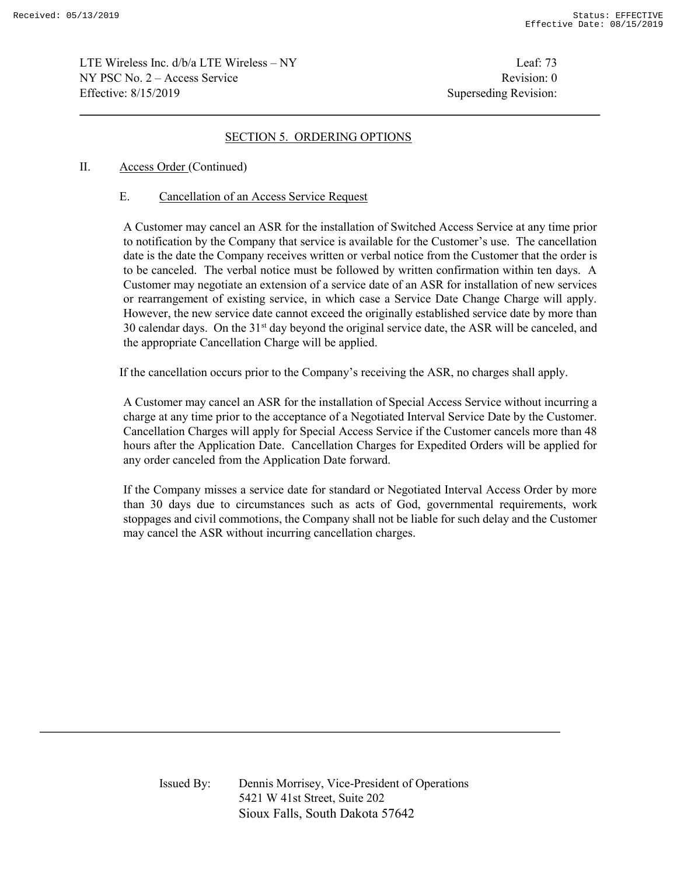LTE Wireless Inc.  $d/b/a$  LTE Wireless – NY Leaf: 73  $NY PSC No. 2 - Access Service$  Revision: 0 Effective: 8/15/2019 Superseding Revision:

# SECTION 5. ORDERING OPTIONS

# II. Access Order (Continued)

# E. Cancellation of an Access Service Request

 A Customer may cancel an ASR for the installation of Switched Access Service at any time prior to notification by the Company that service is available for the Customer's use. The cancellation date is the date the Company receives written or verbal notice from the Customer that the order is to be canceled. The verbal notice must be followed by written confirmation within ten days. A Customer may negotiate an extension of a service date of an ASR for installation of new services or rearrangement of existing service, in which case a Service Date Change Charge will apply. However, the new service date cannot exceed the originally established service date by more than 30 calendar days. On the 31<sup>st</sup> day beyond the original service date, the ASR will be canceled, and the appropriate Cancellation Charge will be applied.

If the cancellation occurs prior to the Company's receiving the ASR, no charges shall apply.

 A Customer may cancel an ASR for the installation of Special Access Service without incurring a charge at any time prior to the acceptance of a Negotiated Interval Service Date by the Customer. Cancellation Charges will apply for Special Access Service if the Customer cancels more than 48 hours after the Application Date. Cancellation Charges for Expedited Orders will be applied for any order canceled from the Application Date forward.

If the Company misses a service date for standard or Negotiated Interval Access Order by more than 30 days due to circumstances such as acts of God, governmental requirements, work stoppages and civil commotions, the Company shall not be liable for such delay and the Customer may cancel the ASR without incurring cancellation charges.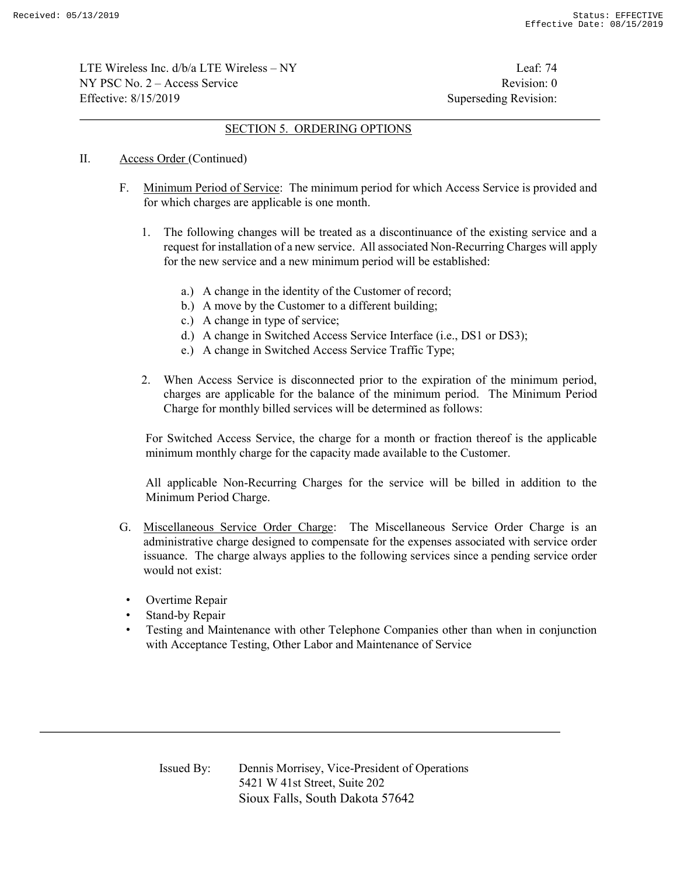LTE Wireless Inc.  $d/b/a$  LTE Wireless – NY Leaf: 74  $NY PSC No. 2 - Access Service$  Revision: 0 Effective: 8/15/2019 Superseding Revision:

### SECTION 5. ORDERING OPTIONS

- II. Access Order (Continued)
	- F. Minimum Period of Service: The minimum period for which Access Service is provided and for which charges are applicable is one month.
		- 1. The following changes will be treated as a discontinuance of the existing service and a request for installation of a new service. All associated Non-Recurring Charges will apply for the new service and a new minimum period will be established:
			- a.) A change in the identity of the Customer of record;
			- b.) A move by the Customer to a different building;
			- c.) A change in type of service;
			- d.) A change in Switched Access Service Interface (i.e., DS1 or DS3);
			- e.) A change in Switched Access Service Traffic Type;
		- 2. When Access Service is disconnected prior to the expiration of the minimum period, charges are applicable for the balance of the minimum period. The Minimum Period Charge for monthly billed services will be determined as follows:

 For Switched Access Service, the charge for a month or fraction thereof is the applicable minimum monthly charge for the capacity made available to the Customer.

 All applicable Non-Recurring Charges for the service will be billed in addition to the Minimum Period Charge.

- G. Miscellaneous Service Order Charge: The Miscellaneous Service Order Charge is an administrative charge designed to compensate for the expenses associated with service order issuance. The charge always applies to the following services since a pending service order would not exist:
- Overtime Repair
- Stand-by Repair
- Testing and Maintenance with other Telephone Companies other than when in conjunction with Acceptance Testing, Other Labor and Maintenance of Service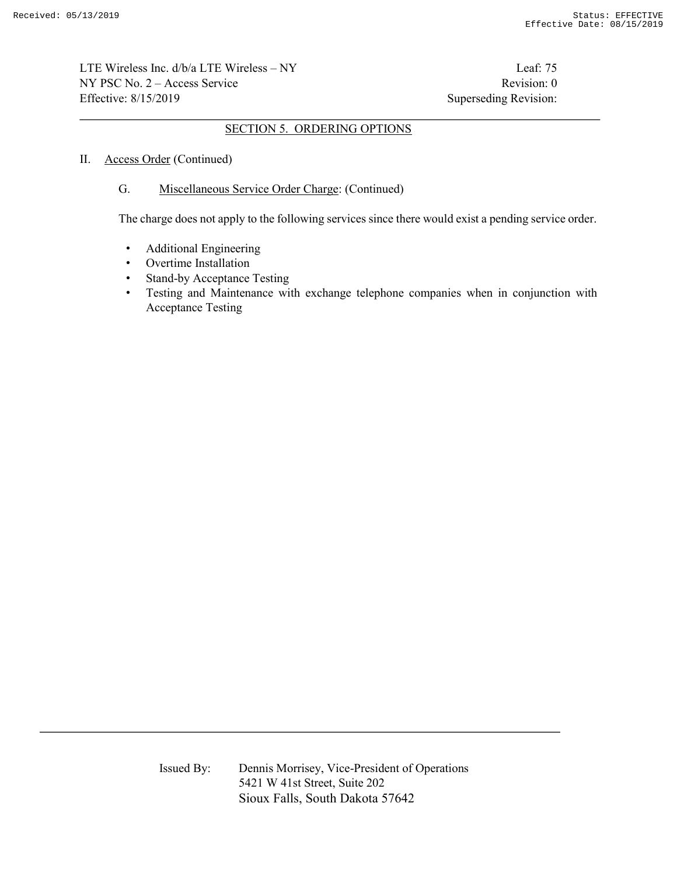LTE Wireless Inc. d/b/a LTE Wireless – NY Leaf: 75  $NY PSC No. 2 - Access Service$  Revision: 0 Effective: 8/15/2019 Superseding Revision:

### SECTION 5. ORDERING OPTIONS

### II. Access Order (Continued)

### G. Miscellaneous Service Order Charge: (Continued)

The charge does not apply to the following services since there would exist a pending service order.

- Additional Engineering
- Overtime Installation
- Stand-by Acceptance Testing
- Testing and Maintenance with exchange telephone companies when in conjunction with Acceptance Testing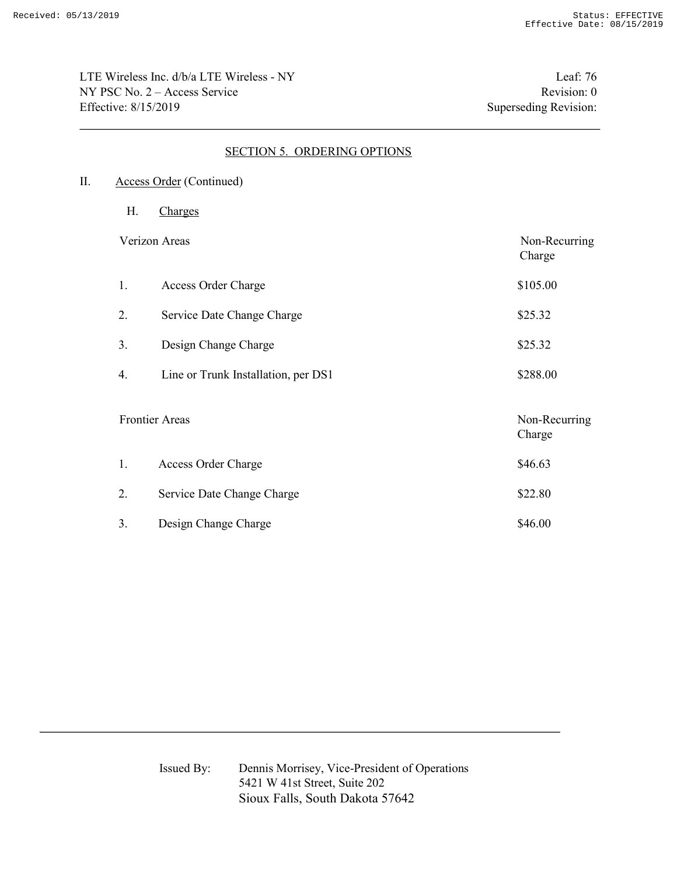LTE Wireless Inc. d/b/a LTE Wireless - NY Leaf: 76 NY PSC No. 2 – Access Service Revision: 0 Effective: 8/15/2019 Superseding Revision:

# SECTION 5. ORDERING OPTIONS

- II. Access Order (Continued)
	- H. Charges

Verizon Areas Non-Recurring

|                       |                                     | -0<br>Charge            |
|-----------------------|-------------------------------------|-------------------------|
| 1.                    | Access Order Charge                 | \$105.00                |
| 2.                    | Service Date Change Charge          | \$25.32                 |
| 3.                    | Design Change Charge                | \$25.32                 |
| 4.                    | Line or Trunk Installation, per DS1 | \$288.00                |
| <b>Frontier Areas</b> |                                     | Non-Recurring<br>Charge |
| 1.                    | Access Order Charge                 | \$46.63                 |
| 2.                    | Service Date Change Charge          | \$22.80                 |
| 3.                    | Design Change Charge                | \$46.00                 |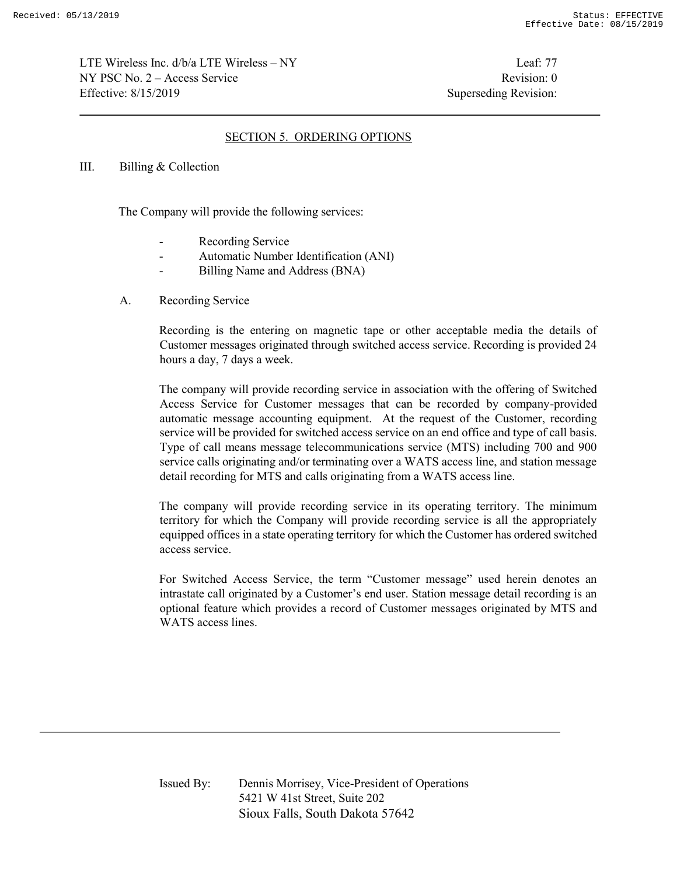LTE Wireless Inc.  $d/b/a$  LTE Wireless – NY Leaf: 77  $NY PSC No. 2 - Access Service$  Revision: 0 Effective: 8/15/2019 Superseding Revision:

# SECTION 5. ORDERING OPTIONS

#### III. Billing & Collection

The Company will provide the following services:

- Recording Service
- Automatic Number Identification (ANI)
- Billing Name and Address (BNA)
- A. Recording Service

Recording is the entering on magnetic tape or other acceptable media the details of Customer messages originated through switched access service. Recording is provided 24 hours a day, 7 days a week.

The company will provide recording service in association with the offering of Switched Access Service for Customer messages that can be recorded by company-provided automatic message accounting equipment. At the request of the Customer, recording service will be provided for switched access service on an end office and type of call basis. Type of call means message telecommunications service (MTS) including 700 and 900 service calls originating and/or terminating over a WATS access line, and station message detail recording for MTS and calls originating from a WATS access line.

The company will provide recording service in its operating territory. The minimum territory for which the Company will provide recording service is all the appropriately equipped offices in a state operating territory for which the Customer has ordered switched access service.

For Switched Access Service, the term "Customer message" used herein denotes an intrastate call originated by a Customer's end user. Station message detail recording is an optional feature which provides a record of Customer messages originated by MTS and WATS access lines.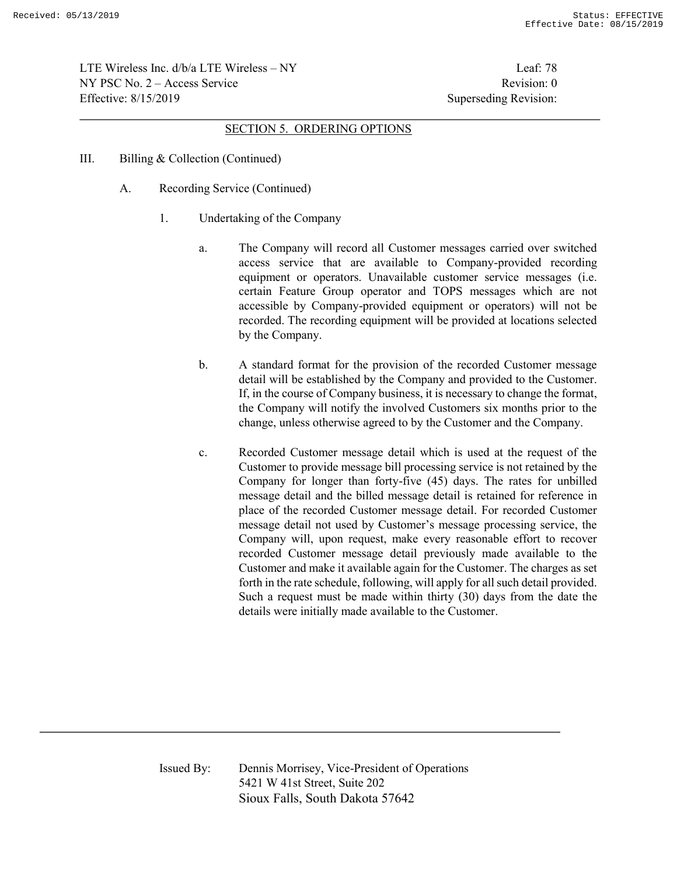LTE Wireless Inc.  $d/b/a$  LTE Wireless – NY Leaf: 78  $NY PSC No. 2 - Access Service$  Revision: 0 Effective: 8/15/2019 Superseding Revision:

#### SECTION 5. ORDERING OPTIONS

- III. Billing & Collection (Continued)
	- A. Recording Service (Continued)
		- 1. Undertaking of the Company
			- a. The Company will record all Customer messages carried over switched access service that are available to Company-provided recording equipment or operators. Unavailable customer service messages (i.e. certain Feature Group operator and TOPS messages which are not accessible by Company-provided equipment or operators) will not be recorded. The recording equipment will be provided at locations selected by the Company.
			- b. A standard format for the provision of the recorded Customer message detail will be established by the Company and provided to the Customer. If, in the course of Company business, it is necessary to change the format, the Company will notify the involved Customers six months prior to the change, unless otherwise agreed to by the Customer and the Company.
			- c. Recorded Customer message detail which is used at the request of the Customer to provide message bill processing service is not retained by the Company for longer than forty-five (45) days. The rates for unbilled message detail and the billed message detail is retained for reference in place of the recorded Customer message detail. For recorded Customer message detail not used by Customer's message processing service, the Company will, upon request, make every reasonable effort to recover recorded Customer message detail previously made available to the Customer and make it available again for the Customer. The charges as set forth in the rate schedule, following, will apply for all such detail provided. Such a request must be made within thirty (30) days from the date the details were initially made available to the Customer.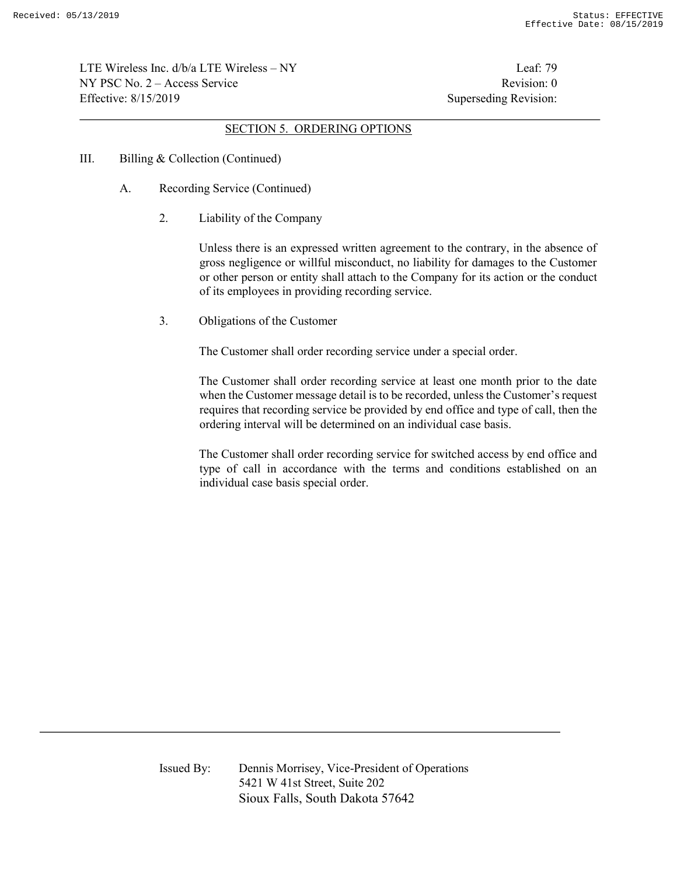LTE Wireless Inc. d/b/a LTE Wireless – NY Leaf: 79  $NY PSC No. 2 - Access Service$  Revision: 0 Effective: 8/15/2019 Superseding Revision:

### SECTION 5. ORDERING OPTIONS

- III. Billing & Collection (Continued)
	- A. Recording Service (Continued)
		- 2. Liability of the Company

Unless there is an expressed written agreement to the contrary, in the absence of gross negligence or willful misconduct, no liability for damages to the Customer or other person or entity shall attach to the Company for its action or the conduct of its employees in providing recording service.

3. Obligations of the Customer

The Customer shall order recording service under a special order.

The Customer shall order recording service at least one month prior to the date when the Customer message detail is to be recorded, unless the Customer's request requires that recording service be provided by end office and type of call, then the ordering interval will be determined on an individual case basis.

The Customer shall order recording service for switched access by end office and type of call in accordance with the terms and conditions established on an individual case basis special order.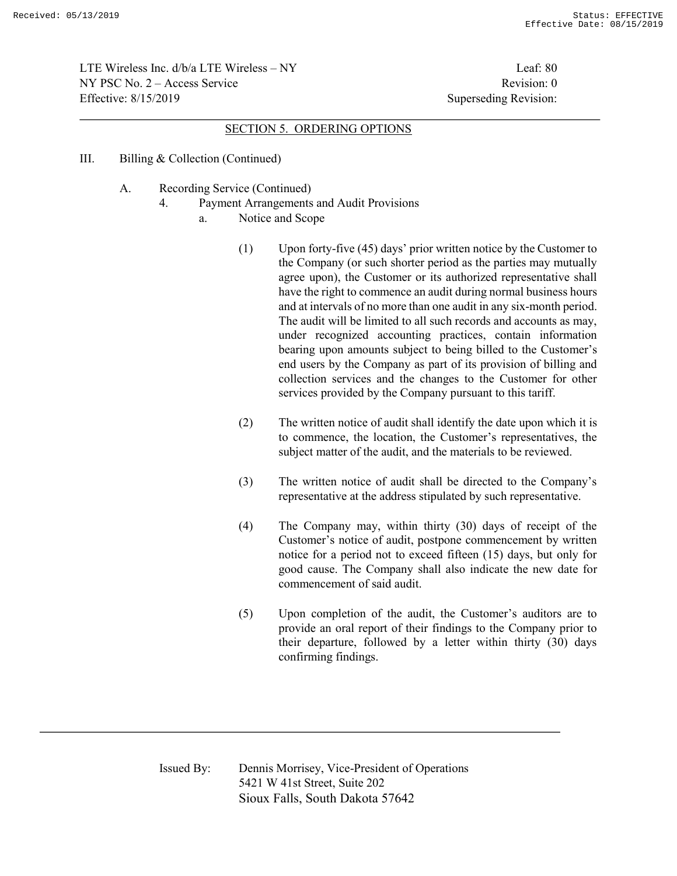LTE Wireless Inc. d/b/a LTE Wireless – NY Leaf: 80  $NY PSC No. 2 - Access Service$  Revision: 0 Effective: 8/15/2019 Superseding Revision:

#### SECTION 5. ORDERING OPTIONS

- III. Billing & Collection (Continued)
	- A. Recording Service (Continued)
		- 4. Payment Arrangements and Audit Provisions
			- a. Notice and Scope
				- (1) Upon forty-five (45) days' prior written notice by the Customer to the Company (or such shorter period as the parties may mutually agree upon), the Customer or its authorized representative shall have the right to commence an audit during normal business hours and at intervals of no more than one audit in any six-month period. The audit will be limited to all such records and accounts as may, under recognized accounting practices, contain information bearing upon amounts subject to being billed to the Customer's end users by the Company as part of its provision of billing and collection services and the changes to the Customer for other services provided by the Company pursuant to this tariff.
				- (2) The written notice of audit shall identify the date upon which it is to commence, the location, the Customer's representatives, the subject matter of the audit, and the materials to be reviewed.
				- (3) The written notice of audit shall be directed to the Company's representative at the address stipulated by such representative.
				- (4) The Company may, within thirty (30) days of receipt of the Customer's notice of audit, postpone commencement by written notice for a period not to exceed fifteen (15) days, but only for good cause. The Company shall also indicate the new date for commencement of said audit.
				- (5) Upon completion of the audit, the Customer's auditors are to provide an oral report of their findings to the Company prior to their departure, followed by a letter within thirty (30) days confirming findings.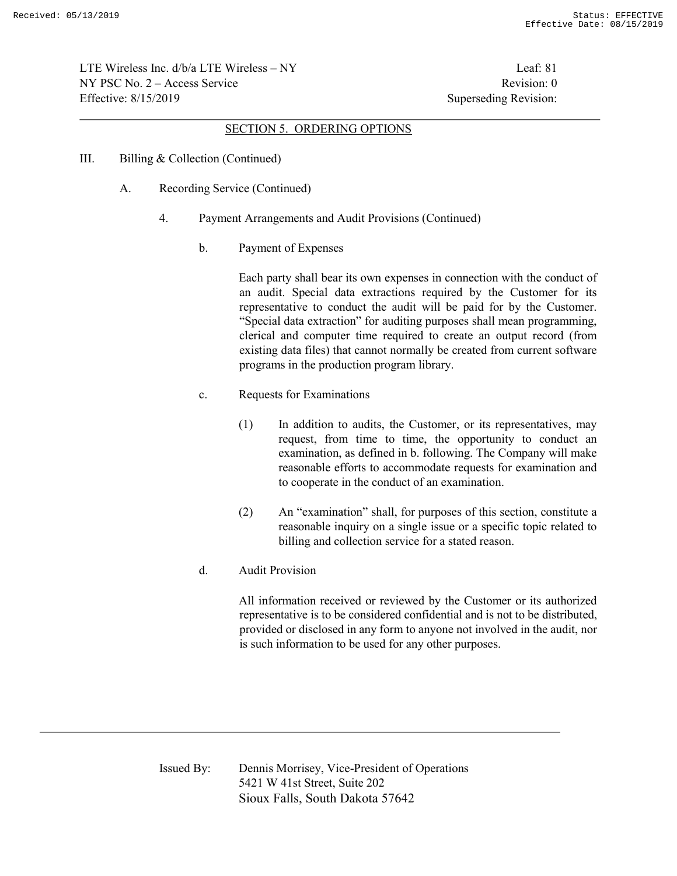LTE Wireless Inc.  $d/b/a$  LTE Wireless – NY Leaf: 81  $NY PSC No. 2 - Access Service$  Revision: 0 Effective: 8/15/2019 Superseding Revision:

#### SECTION 5. ORDERING OPTIONS

- III. Billing & Collection (Continued)
	- A. Recording Service (Continued)
		- 4. Payment Arrangements and Audit Provisions (Continued)
			- b. Payment of Expenses

Each party shall bear its own expenses in connection with the conduct of an audit. Special data extractions required by the Customer for its representative to conduct the audit will be paid for by the Customer. "Special data extraction" for auditing purposes shall mean programming, clerical and computer time required to create an output record (from existing data files) that cannot normally be created from current software programs in the production program library.

- c. Requests for Examinations
	- (1) In addition to audits, the Customer, or its representatives, may request, from time to time, the opportunity to conduct an examination, as defined in b. following. The Company will make reasonable efforts to accommodate requests for examination and to cooperate in the conduct of an examination.
	- (2) An "examination" shall, for purposes of this section, constitute a reasonable inquiry on a single issue or a specific topic related to billing and collection service for a stated reason.
- d. Audit Provision

All information received or reviewed by the Customer or its authorized representative is to be considered confidential and is not to be distributed, provided or disclosed in any form to anyone not involved in the audit, nor is such information to be used for any other purposes.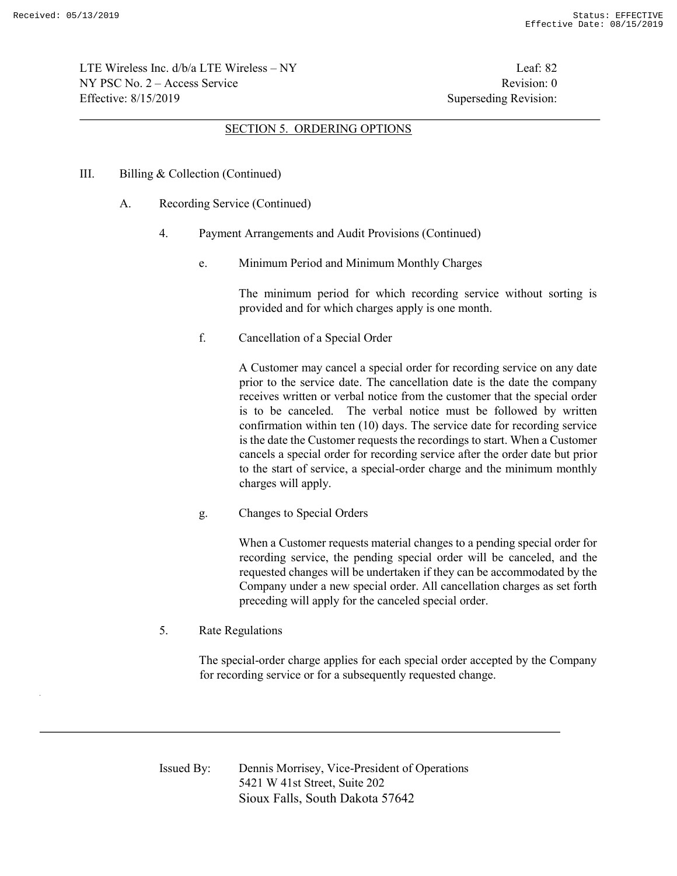LTE Wireless Inc.  $d/b/a$  LTE Wireless – NY Leaf: 82  $NY PSC No. 2 - Access Service$  Revision: 0 Effective: 8/15/2019 Superseding Revision:

#### SECTION 5. ORDERING OPTIONS

#### III. Billing & Collection (Continued)

- A. Recording Service (Continued)
	- 4. Payment Arrangements and Audit Provisions (Continued)
		- e. Minimum Period and Minimum Monthly Charges

The minimum period for which recording service without sorting is provided and for which charges apply is one month.

f. Cancellation of a Special Order

A Customer may cancel a special order for recording service on any date prior to the service date. The cancellation date is the date the company receives written or verbal notice from the customer that the special order is to be canceled. The verbal notice must be followed by written confirmation within ten (10) days. The service date for recording service is the date the Customer requests the recordings to start. When a Customer cancels a special order for recording service after the order date but prior to the start of service, a special-order charge and the minimum monthly charges will apply.

g. Changes to Special Orders

When a Customer requests material changes to a pending special order for recording service, the pending special order will be canceled, and the requested changes will be undertaken if they can be accommodated by the Company under a new special order. All cancellation charges as set forth preceding will apply for the canceled special order.

5. Rate Regulations

The special-order charge applies for each special order accepted by the Company for recording service or for a subsequently requested change.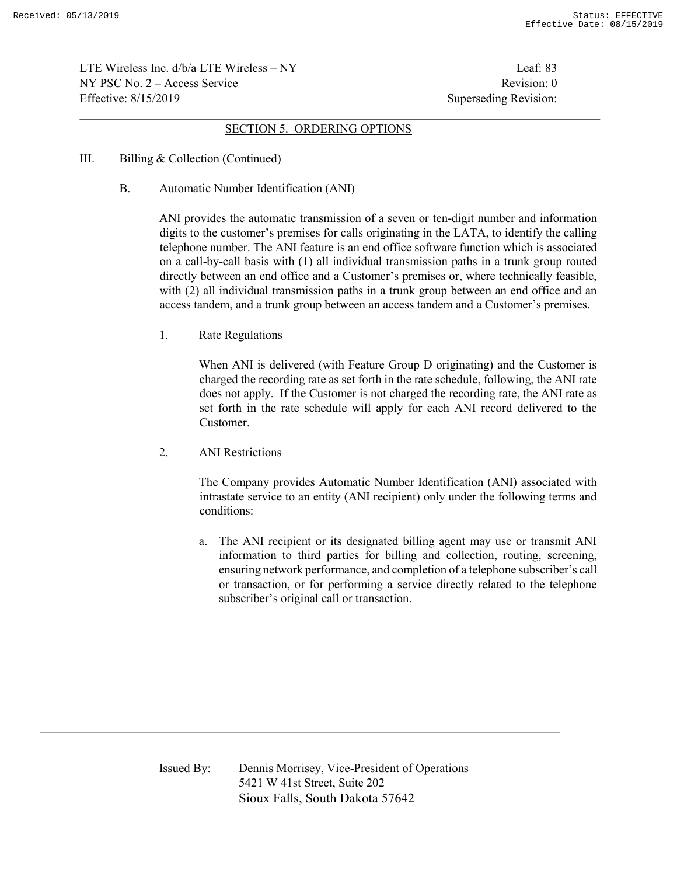LTE Wireless Inc.  $d/b/a$  LTE Wireless – NY Leaf: 83  $NY PSC No. 2 - Access Service$  Revision: 0 Effective: 8/15/2019 Superseding Revision:

#### SECTION 5. ORDERING OPTIONS

- III. Billing & Collection (Continued)
	- B. Automatic Number Identification (ANI)

ANI provides the automatic transmission of a seven or ten-digit number and information digits to the customer's premises for calls originating in the LATA, to identify the calling telephone number. The ANI feature is an end office software function which is associated on a call-by-call basis with (1) all individual transmission paths in a trunk group routed directly between an end office and a Customer's premises or, where technically feasible, with (2) all individual transmission paths in a trunk group between an end office and an access tandem, and a trunk group between an access tandem and a Customer's premises.

1. Rate Regulations

When ANI is delivered (with Feature Group D originating) and the Customer is charged the recording rate as set forth in the rate schedule, following, the ANI rate does not apply. If the Customer is not charged the recording rate, the ANI rate as set forth in the rate schedule will apply for each ANI record delivered to the Customer.

2. ANI Restrictions

The Company provides Automatic Number Identification (ANI) associated with intrastate service to an entity (ANI recipient) only under the following terms and conditions:

a. The ANI recipient or its designated billing agent may use or transmit ANI information to third parties for billing and collection, routing, screening, ensuring network performance, and completion of a telephone subscriber's call or transaction, or for performing a service directly related to the telephone subscriber's original call or transaction.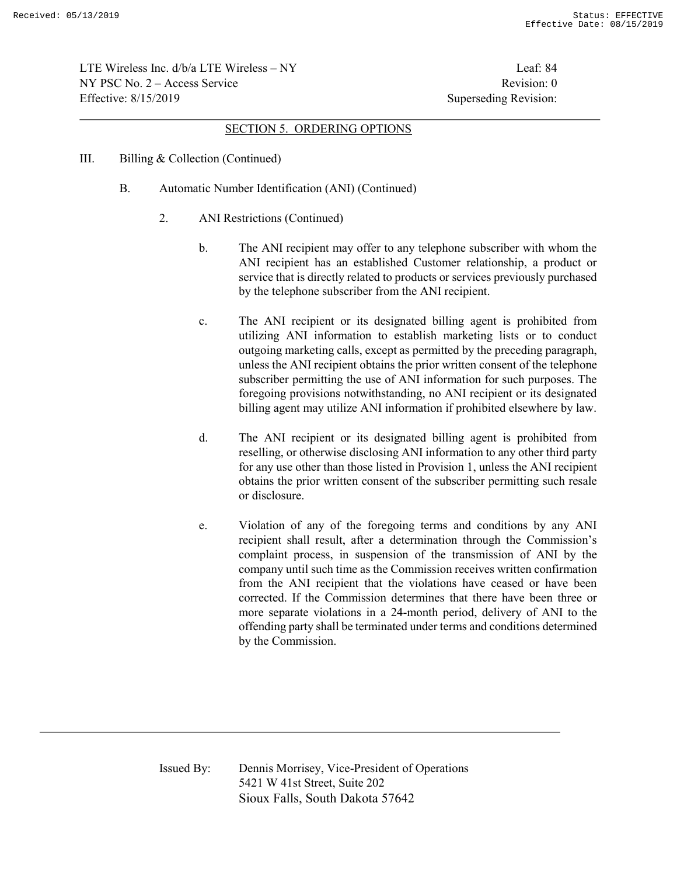LTE Wireless Inc.  $d/b/a$  LTE Wireless – NY Leaf: 84  $NY PSC No. 2 - Access Service$  Revision: 0 Effective: 8/15/2019 Superseding Revision:

#### SECTION 5. ORDERING OPTIONS

- III. Billing & Collection (Continued)
	- B. Automatic Number Identification (ANI) (Continued)
		- 2. ANI Restrictions (Continued)
			- b. The ANI recipient may offer to any telephone subscriber with whom the ANI recipient has an established Customer relationship, a product or service that is directly related to products or services previously purchased by the telephone subscriber from the ANI recipient.
			- c. The ANI recipient or its designated billing agent is prohibited from utilizing ANI information to establish marketing lists or to conduct outgoing marketing calls, except as permitted by the preceding paragraph, unless the ANI recipient obtains the prior written consent of the telephone subscriber permitting the use of ANI information for such purposes. The foregoing provisions notwithstanding, no ANI recipient or its designated billing agent may utilize ANI information if prohibited elsewhere by law.
			- d. The ANI recipient or its designated billing agent is prohibited from reselling, or otherwise disclosing ANI information to any other third party for any use other than those listed in Provision 1, unless the ANI recipient obtains the prior written consent of the subscriber permitting such resale or disclosure.
			- e. Violation of any of the foregoing terms and conditions by any ANI recipient shall result, after a determination through the Commission's complaint process, in suspension of the transmission of ANI by the company until such time as the Commission receives written confirmation from the ANI recipient that the violations have ceased or have been corrected. If the Commission determines that there have been three or more separate violations in a 24-month period, delivery of ANI to the offending party shall be terminated under terms and conditions determined by the Commission.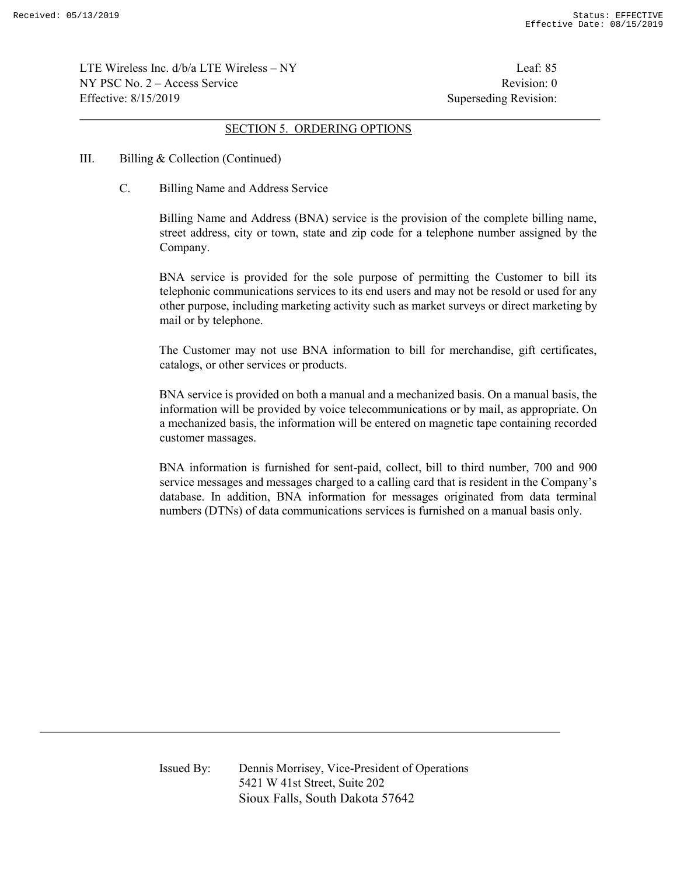LTE Wireless Inc.  $d/b/a$  LTE Wireless – NY Leaf: 85  $NY PSC No. 2 - Access Service$  Revision: 0 Effective: 8/15/2019 Superseding Revision:

#### SECTION 5. ORDERING OPTIONS

- III. Billing & Collection (Continued)
	- C. Billing Name and Address Service

Billing Name and Address (BNA) service is the provision of the complete billing name, street address, city or town, state and zip code for a telephone number assigned by the Company.

BNA service is provided for the sole purpose of permitting the Customer to bill its telephonic communications services to its end users and may not be resold or used for any other purpose, including marketing activity such as market surveys or direct marketing by mail or by telephone.

The Customer may not use BNA information to bill for merchandise, gift certificates, catalogs, or other services or products.

BNA service is provided on both a manual and a mechanized basis. On a manual basis, the information will be provided by voice telecommunications or by mail, as appropriate. On a mechanized basis, the information will be entered on magnetic tape containing recorded customer massages.

BNA information is furnished for sent-paid, collect, bill to third number, 700 and 900 service messages and messages charged to a calling card that is resident in the Company's database. In addition, BNA information for messages originated from data terminal numbers (DTNs) of data communications services is furnished on a manual basis only.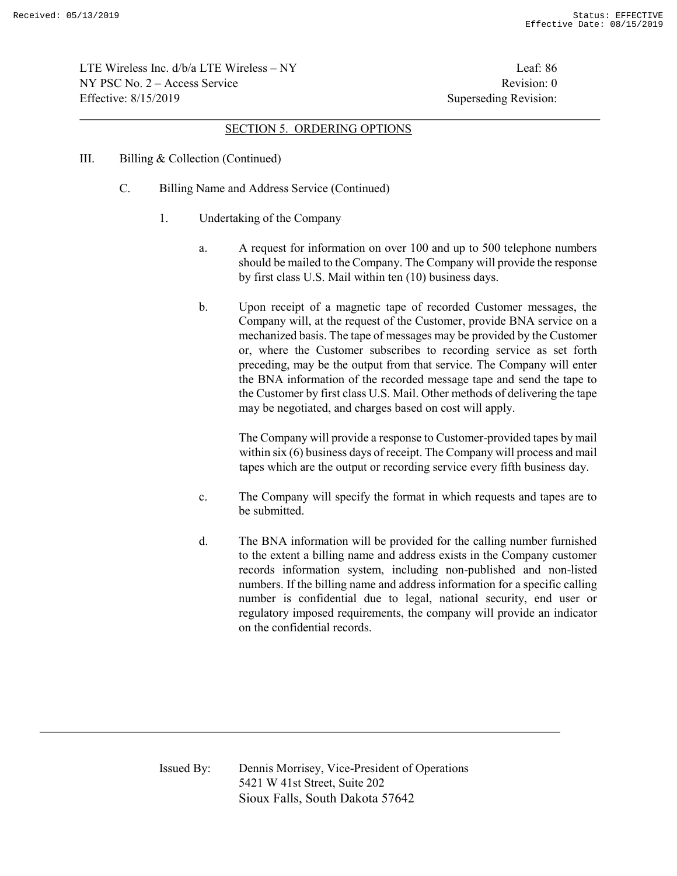LTE Wireless Inc.  $d/b/a$  LTE Wireless – NY Leaf: 86  $NY PSC No. 2 - Access Service$  Revision: 0 Effective: 8/15/2019 Superseding Revision:

#### SECTION 5. ORDERING OPTIONS

- III. Billing & Collection (Continued)
	- C. Billing Name and Address Service (Continued)
		- 1. Undertaking of the Company
			- a. A request for information on over 100 and up to 500 telephone numbers should be mailed to the Company. The Company will provide the response by first class U.S. Mail within ten (10) business days.
			- b. Upon receipt of a magnetic tape of recorded Customer messages, the Company will, at the request of the Customer, provide BNA service on a mechanized basis. The tape of messages may be provided by the Customer or, where the Customer subscribes to recording service as set forth preceding, may be the output from that service. The Company will enter the BNA information of the recorded message tape and send the tape to the Customer by first class U.S. Mail. Other methods of delivering the tape may be negotiated, and charges based on cost will apply.

The Company will provide a response to Customer-provided tapes by mail within six (6) business days of receipt. The Company will process and mail tapes which are the output or recording service every fifth business day.

- c. The Company will specify the format in which requests and tapes are to be submitted.
- d. The BNA information will be provided for the calling number furnished to the extent a billing name and address exists in the Company customer records information system, including non-published and non-listed numbers. If the billing name and address information for a specific calling number is confidential due to legal, national security, end user or regulatory imposed requirements, the company will provide an indicator on the confidential records.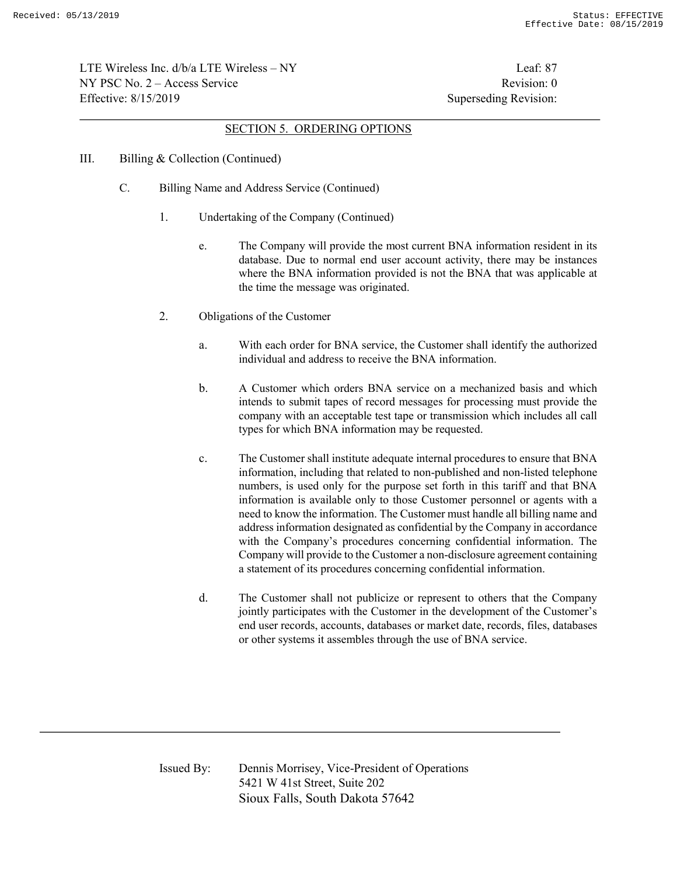LTE Wireless Inc.  $d/b/a$  LTE Wireless – NY Leaf: 87  $NY PSC No. 2 - Access Service$  Revision: 0 Effective: 8/15/2019 Superseding Revision:

#### SECTION 5. ORDERING OPTIONS

- III. Billing & Collection (Continued)
	- C. Billing Name and Address Service (Continued)
		- 1. Undertaking of the Company (Continued)
			- e. The Company will provide the most current BNA information resident in its database. Due to normal end user account activity, there may be instances where the BNA information provided is not the BNA that was applicable at the time the message was originated.
		- 2. Obligations of the Customer
			- a. With each order for BNA service, the Customer shall identify the authorized individual and address to receive the BNA information.
			- b. A Customer which orders BNA service on a mechanized basis and which intends to submit tapes of record messages for processing must provide the company with an acceptable test tape or transmission which includes all call types for which BNA information may be requested.
			- c. The Customer shall institute adequate internal procedures to ensure that BNA information, including that related to non-published and non-listed telephone numbers, is used only for the purpose set forth in this tariff and that BNA information is available only to those Customer personnel or agents with a need to know the information. The Customer must handle all billing name and address information designated as confidential by the Company in accordance with the Company's procedures concerning confidential information. The Company will provide to the Customer a non-disclosure agreement containing a statement of its procedures concerning confidential information.
			- d. The Customer shall not publicize or represent to others that the Company jointly participates with the Customer in the development of the Customer's end user records, accounts, databases or market date, records, files, databases or other systems it assembles through the use of BNA service.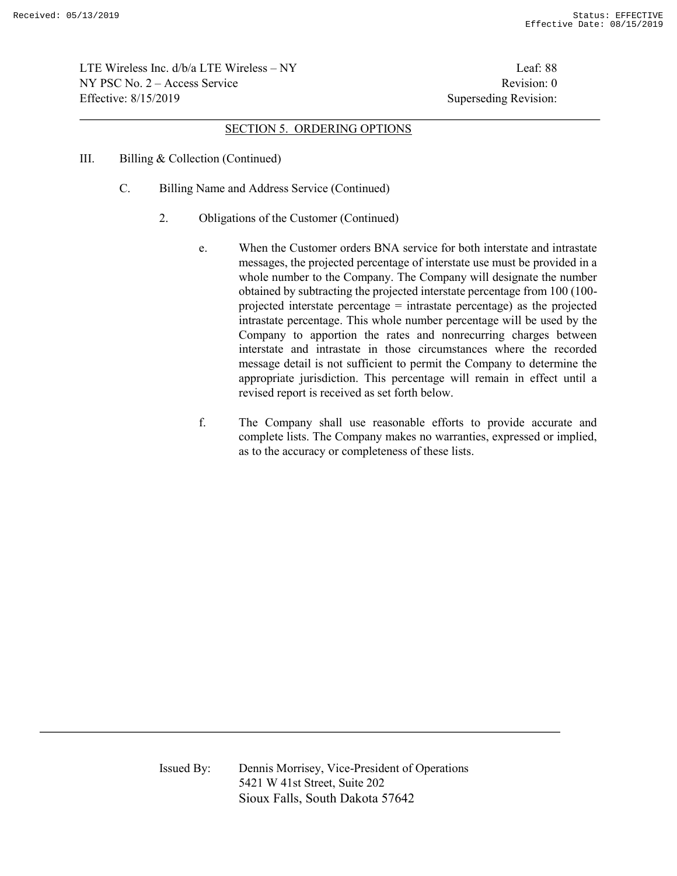LTE Wireless Inc. d/b/a LTE Wireless – NY Leaf: 88  $NY PSC No. 2 - Access Service$  Revision: 0 Effective: 8/15/2019 Superseding Revision:

#### SECTION 5. ORDERING OPTIONS

- III. Billing & Collection (Continued)
	- C. Billing Name and Address Service (Continued)
		- 2. Obligations of the Customer (Continued)
			- e. When the Customer orders BNA service for both interstate and intrastate messages, the projected percentage of interstate use must be provided in a whole number to the Company. The Company will designate the number obtained by subtracting the projected interstate percentage from 100 (100 projected interstate percentage = intrastate percentage) as the projected intrastate percentage. This whole number percentage will be used by the Company to apportion the rates and nonrecurring charges between interstate and intrastate in those circumstances where the recorded message detail is not sufficient to permit the Company to determine the appropriate jurisdiction. This percentage will remain in effect until a revised report is received as set forth below.
			- f. The Company shall use reasonable efforts to provide accurate and complete lists. The Company makes no warranties, expressed or implied, as to the accuracy or completeness of these lists.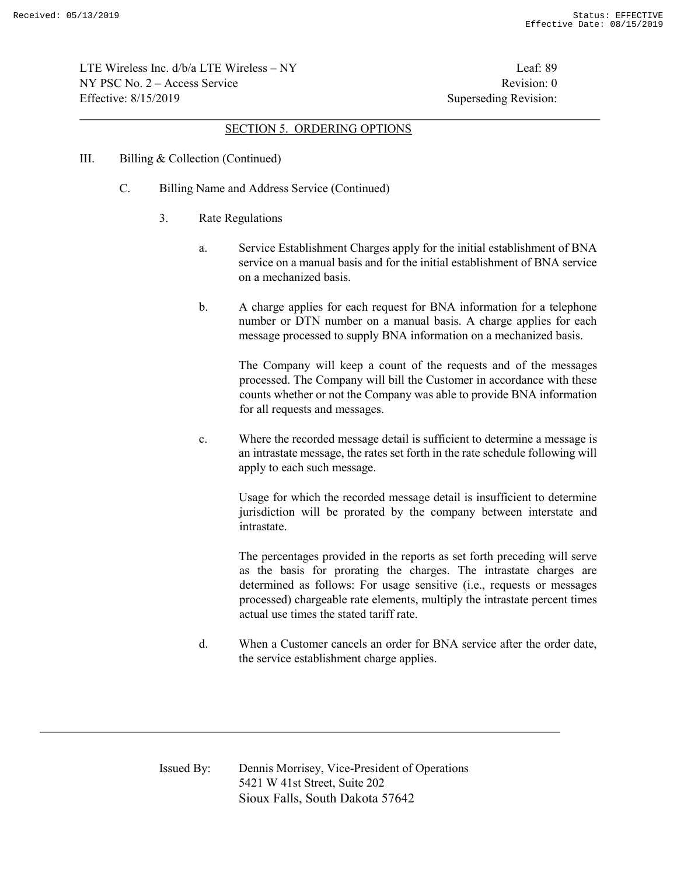LTE Wireless Inc. d/b/a LTE Wireless – NY Leaf: 89  $NY PSC No. 2 - Access Service$  Revision: 0 Effective: 8/15/2019 Superseding Revision:

#### SECTION 5. ORDERING OPTIONS

- III. Billing & Collection (Continued)
	- C. Billing Name and Address Service (Continued)
		- 3. Rate Regulations
			- a. Service Establishment Charges apply for the initial establishment of BNA service on a manual basis and for the initial establishment of BNA service on a mechanized basis.
			- b. A charge applies for each request for BNA information for a telephone number or DTN number on a manual basis. A charge applies for each message processed to supply BNA information on a mechanized basis.

The Company will keep a count of the requests and of the messages processed. The Company will bill the Customer in accordance with these counts whether or not the Company was able to provide BNA information for all requests and messages.

c. Where the recorded message detail is sufficient to determine a message is an intrastate message, the rates set forth in the rate schedule following will apply to each such message.

Usage for which the recorded message detail is insufficient to determine jurisdiction will be prorated by the company between interstate and intrastate.

The percentages provided in the reports as set forth preceding will serve as the basis for prorating the charges. The intrastate charges are determined as follows: For usage sensitive (i.e., requests or messages processed) chargeable rate elements, multiply the intrastate percent times actual use times the stated tariff rate.

d. When a Customer cancels an order for BNA service after the order date, the service establishment charge applies.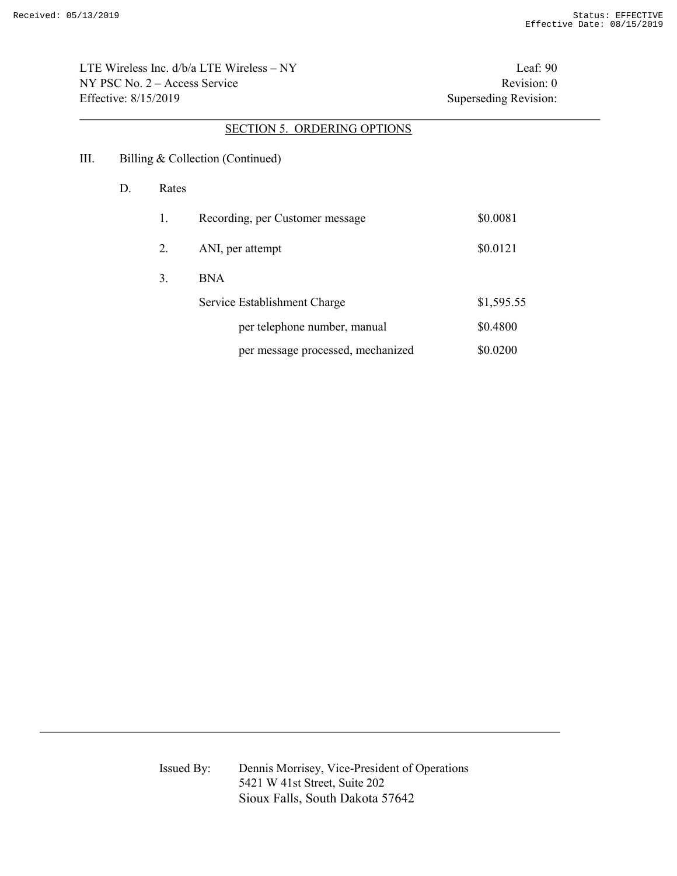LTE Wireless Inc.  $d/b/a$  LTE Wireless – NY Leaf: 90 NY PSC No. 2 – Access Service Revision: 0 Effective: 8/15/2019 Superseding Revision:

# SECTION 5. ORDERING OPTIONS

- III. Billing & Collection (Continued)
	- D. Rates

| 1. | Recording, per Customer message   | \$0.0081   |
|----|-----------------------------------|------------|
| 2. | ANI, per attempt                  | \$0.0121   |
| 3. | <b>BNA</b>                        |            |
|    | Service Establishment Charge      | \$1,595.55 |
|    | per telephone number, manual      | \$0.4800   |
|    | per message processed, mechanized | \$0.0200   |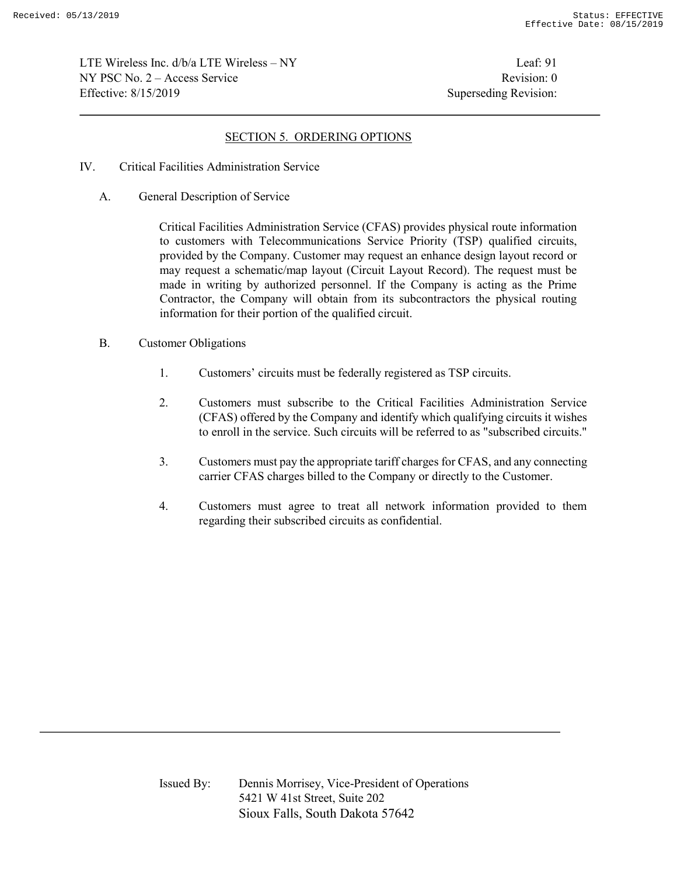LTE Wireless Inc.  $d/b/a$  LTE Wireless – NY Leaf: 91  $NY PSC No. 2 - Access Service$  Revision: 0 Effective: 8/15/2019 Superseding Revision:

# SECTION 5. ORDERING OPTIONS

- IV. Critical Facilities Administration Service
	- A. General Description of Service

Critical Facilities Administration Service (CFAS) provides physical route information to customers with Telecommunications Service Priority (TSP) qualified circuits, provided by the Company. Customer may request an enhance design layout record or may request a schematic/map layout (Circuit Layout Record). The request must be made in writing by authorized personnel. If the Company is acting as the Prime Contractor, the Company will obtain from its subcontractors the physical routing information for their portion of the qualified circuit.

- B. Customer Obligations
	- 1. Customers' circuits must be federally registered as TSP circuits.
	- 2. Customers must subscribe to the Critical Facilities Administration Service (CFAS) offered by the Company and identify which qualifying circuits it wishes to enroll in the service. Such circuits will be referred to as "subscribed circuits."
	- 3. Customers must pay the appropriate tariff charges for CFAS, and any connecting carrier CFAS charges billed to the Company or directly to the Customer.
	- 4. Customers must agree to treat all network information provided to them regarding their subscribed circuits as confidential.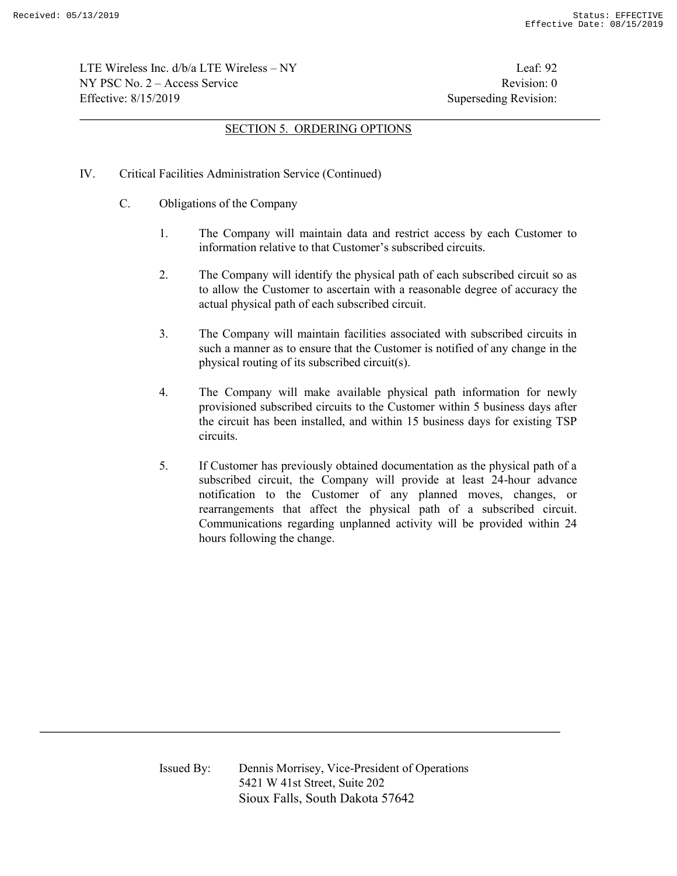LTE Wireless Inc. d/b/a LTE Wireless – NY Leaf: 92  $NY PSC No. 2 - Access Service$  Revision: 0 Effective: 8/15/2019 Superseding Revision:

# SECTION 5. ORDERING OPTIONS

- IV. Critical Facilities Administration Service (Continued)
	- C. Obligations of the Company
		- 1. The Company will maintain data and restrict access by each Customer to information relative to that Customer's subscribed circuits.
		- 2. The Company will identify the physical path of each subscribed circuit so as to allow the Customer to ascertain with a reasonable degree of accuracy the actual physical path of each subscribed circuit.
		- 3. The Company will maintain facilities associated with subscribed circuits in such a manner as to ensure that the Customer is notified of any change in the physical routing of its subscribed circuit(s).
		- 4. The Company will make available physical path information for newly provisioned subscribed circuits to the Customer within 5 business days after the circuit has been installed, and within 15 business days for existing TSP circuits.
		- 5. If Customer has previously obtained documentation as the physical path of a subscribed circuit, the Company will provide at least 24-hour advance notification to the Customer of any planned moves, changes, or rearrangements that affect the physical path of a subscribed circuit. Communications regarding unplanned activity will be provided within 24 hours following the change.